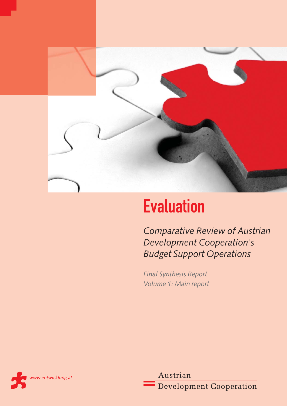

# **Evaluation**

*Comparative Review of Austrian Development Cooperation's Budget Support Operations*

*Final Synthesis Report Volume 1: Main report*



Austrian **Development Cooperation**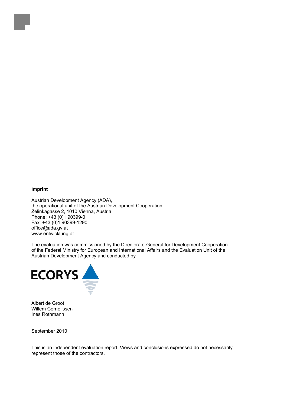### **Imprint**

Austrian Development Agency (ADA), the operational unit of the Austrian Development Cooperation Zelinkagasse 2, 1010 Vienna, Austria Phone: +43 (0)1 90399-0 Fax: +43 (0)1 90399-1290 office@ada.gv.at www.entwicklung.at

The evaluation was commissioned by the Directorate-General for Development Cooperation of the Federal Ministry for European and International Affairs and the Evaluation Unit of the Austrian Development Agency and conducted by



Albert de Groot Willem Cornelissen Ines Rothmann

September 2010

This is an independent evaluation report. Views and conclusions expressed do not necessarily represent those of the contractors.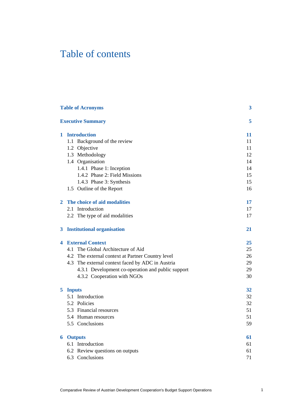# Table of contents

|   | <b>Table of Acronyms</b>                          | $\boldsymbol{3}$ |
|---|---------------------------------------------------|------------------|
|   | <b>Executive Summary</b>                          | 5                |
|   | 1 Introduction                                    | 11               |
|   | 1.1 Background of the review                      | 11               |
|   | 1.2 Objective                                     | 11               |
|   | 1.3 Methodology                                   | 12               |
|   | 1.4 Organisation                                  | 14               |
|   | 1.4.1 Phase 1: Inception                          | 14               |
|   | 1.4.2 Phase 2: Field Missions                     | 15               |
|   | 1.4.3 Phase 3: Synthesis                          | 15               |
|   | 1.5 Outline of the Report                         | 16               |
| 2 | The choice of aid modalities                      | 17               |
|   | 2.1 Introduction                                  | 17               |
|   | 2.2 The type of aid modalities                    | 17               |
|   | 3 Institutional organisation                      | 21               |
| 4 | <b>External Context</b>                           | 25               |
|   | 4.1 The Global Architecture of Aid                | 25               |
|   | 4.2 The external context at Partner Country level | 26               |
|   | 4.3 The external context faced by ADC in Austria  | 29               |
|   | 4.3.1 Development co-operation and public support | 29               |
|   | 4.3.2 Cooperation with NGOs                       | 30               |
|   | 5 Inputs                                          | 32               |
|   | 5.1 Introduction                                  | 32               |
|   | 5.2 Policies                                      | 32               |
|   | 5.3 Financial resources                           | 51               |
|   | 5.4 Human resources                               | 51               |
|   | 5.5 Conclusions                                   | 59               |
| 6 | <b>Outputs</b>                                    | 61               |
|   | 6.1 Introduction                                  | 61               |
|   | 6.2 Review questions on outputs                   | 61               |
|   | 6.3 Conclusions                                   | 71               |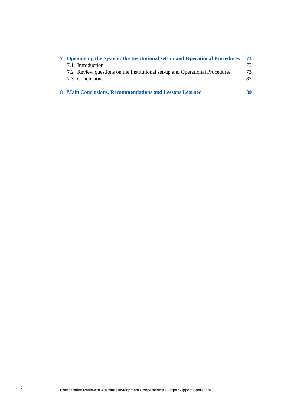| 7 Opening up the System: the Institutional set-up and Operational Procedures | 73 |
|------------------------------------------------------------------------------|----|
| 7.1 Introduction                                                             | 73 |
| 7.2 Review questions on the Institutional set-up and Operational Procedures  | 73 |
| 7.3 Conclusions                                                              | 87 |
| 8 Main Conclusions, Recommendations and Lessons Learned                      | 89 |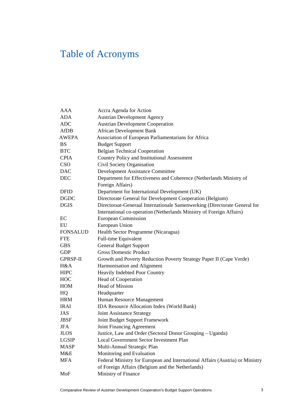# Table of Acronyms

| AAA             | Accra Agenda for Action                                                       |
|-----------------|-------------------------------------------------------------------------------|
| <b>ADA</b>      | <b>Austrian Development Agency</b>                                            |
| <b>ADC</b>      | <b>Austrian Development Cooperation</b>                                       |
| <b>AfDB</b>     | <b>African Development Bank</b>                                               |
| <b>AWEPA</b>    | Association of European Parliamentarians for Africa                           |
| <b>BS</b>       | <b>Budget Support</b>                                                         |
| <b>BTC</b>      | <b>Belgian Technical Cooperation</b>                                          |
| <b>CPIA</b>     | Country Policy and Institutional Assessment                                   |
| <b>CSO</b>      | Civil Society Organisation                                                    |
| <b>DAC</b>      | Development Assistance Committee                                              |
| <b>DEC</b>      | Department for Effectiveness and Coherence (Netherlands Ministry of           |
|                 | Foreign Affairs)                                                              |
| <b>DFID</b>     | Department for International Development (UK)                                 |
| <b>DGDC</b>     | Directorate General for Development Cooperation (Belgium)                     |
| <b>DGIS</b>     | Directoraat-Generaal Internationale Samenwerking (Directorate General for     |
|                 | International co-operation (Netherlands Ministry of Foreign Affairs)          |
| EC              | <b>European Commission</b>                                                    |
| EU              | European Union                                                                |
| <b>FONSALUD</b> | Health Sector Programme (Nicaragua)                                           |
| <b>FTE</b>      | Full-time Equivalent                                                          |
| <b>GBS</b>      | <b>General Budget Support</b>                                                 |
| <b>GDP</b>      | <b>Gross Domestic Product</b>                                                 |
| <b>GPRSP-II</b> | Growth and Poverty Reduction Poverty Strategy Paper II (Cape Verde)           |
| H&A             | Harmonisation and Alignment                                                   |
| <b>HIPC</b>     | Heavily Indebted Poor Country                                                 |
| <b>HOC</b>      | Head of Cooperation                                                           |
| HOM             | <b>Head of Mission</b>                                                        |
| HQ              | Headquarter                                                                   |
| <b>HRM</b>      | Human Resource Management                                                     |
| <b>IRAI</b>     | IDA Resource Allocation Index (World Bank)                                    |
| JAS             | Joint Assistance Strategy                                                     |
| <b>JBSF</b>     | Joint Budget Support Framework                                                |
| JFA             | Joint Financing Agreement                                                     |
| <b>JLOS</b>     | Justice, Law and Order (Sectoral Donor Grouping - Uganda)                     |
| LGSIP           | <b>Local Government Sector Investment Plan</b>                                |
| <b>MASP</b>     | Multi-Annual Strategic Plan                                                   |
| M&E             | Monitoring and Evaluation                                                     |
| <b>MFA</b>      | Federal Ministry for European and International Affairs (Austria) or Ministry |
|                 | of Foreign Affairs (Belgium and the Netherlands)                              |
| MoF             | Ministry of Finance                                                           |
|                 |                                                                               |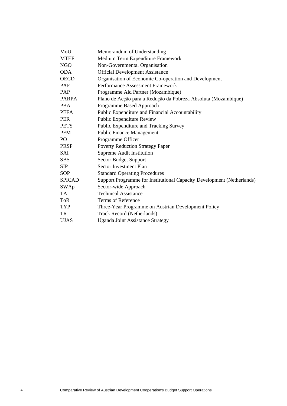| MoU           | Memorandum of Understanding                                            |
|---------------|------------------------------------------------------------------------|
| <b>MTEF</b>   | Medium Term Expenditure Framework                                      |
| <b>NGO</b>    | Non-Governmental Organisation                                          |
| <b>ODA</b>    | <b>Official Development Assistance</b>                                 |
| <b>OECD</b>   | Organisation of Economic Co-operation and Development                  |
| PAF           | Performance Assessment Framework                                       |
| PAP           | Programme Aid Partner (Mozambique)                                     |
| <b>PARPA</b>  | Plano de Acção para a Redução da Pobreza Absoluta (Mozambique)         |
| <b>PBA</b>    | Programme Based Approach                                               |
| <b>PEFA</b>   | Public Expenditure and Financial Accountability                        |
| <b>PER</b>    | Public Expenditure Review                                              |
| <b>PETS</b>   | Public Expenditure and Tracking Survey                                 |
| <b>PFM</b>    | <b>Public Finance Management</b>                                       |
| PO            | Programme Officer                                                      |
| <b>PRSP</b>   | <b>Poverty Reduction Strategy Paper</b>                                |
| SAI           | <b>Supreme Audit Institution</b>                                       |
| <b>SBS</b>    | <b>Sector Budget Support</b>                                           |
| <b>SIP</b>    | <b>Sector Investment Plan</b>                                          |
| <b>SOP</b>    | <b>Standard Operating Procedures</b>                                   |
| <b>SPICAD</b> | Support Programme for Institutional Capacity Development (Netherlands) |
| SWAp          | Sector-wide Approach                                                   |
| <b>TA</b>     | <b>Technical Assistance</b>                                            |
| <b>ToR</b>    | Terms of Reference                                                     |
| <b>TYP</b>    | Three-Year Programme on Austrian Development Policy                    |
| TR            | <b>Track Record (Netherlands)</b>                                      |
| <b>UJAS</b>   | <b>Uganda Joint Assistance Strategy</b>                                |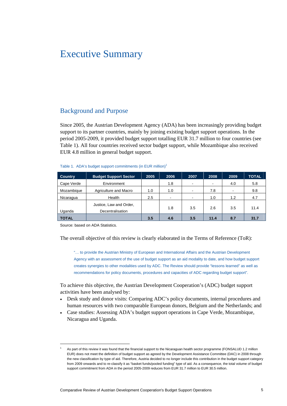# Executive Summary

# Background and Purpose

Since 2005, the Austrian Development Agency (ADA) has been increasingly providing budget support to its partner countries, mainly by joining existing budget support operations. In the period 2005-2009, it provided budget support totalling EUR 31.7 million to four countries (see Table 1). All four countries received sector budget support, while Mozambique also received EUR 4.8 million in general budget support.

| Table 1. ADA's budget support commitments (in EUR million) <sup>1</sup> |  |  |  |
|-------------------------------------------------------------------------|--|--|--|
|-------------------------------------------------------------------------|--|--|--|

| <b>Country</b> | <b>Budget Support Sector</b>                | 2005 | 2006                     | 2007           | 2008                     | 2009           | <b>TOTAL</b> |
|----------------|---------------------------------------------|------|--------------------------|----------------|--------------------------|----------------|--------------|
| Cape Verde     | Environment                                 |      | 1.8                      | $\blacksquare$ | $\overline{\phantom{a}}$ | 4.0            | 5.8          |
| Mozambique     | Agriculture and Macro                       | 1.0  | 1.0                      | ٠              | 7.8                      | $\blacksquare$ | 9.8          |
| Nicaragua      | Health                                      | 2.5  | $\overline{\phantom{a}}$ | ٠              | 1.0                      | 1.2            | 4.7          |
| Uganda         | Justice, Law and Order,<br>Decentralisation |      | 1.8                      | 3.5            | 2.6                      | 3.5            | 11.4         |
| <b>TOTAL</b>   |                                             | 3.5  | 4.6                      | 3.5            | 11.4                     | 8.7            | 31.7         |

Source: based on ADA Statistics.

 $\overline{a}$ 

The overall objective of this review is clearly elaborated in the Terms of Reference (ToR):

"… to provide the Austrian Ministry of European and International Affairs and the Austrian Development Agency with an assessment of the use of budget support as an aid modality to date, and how budget support creates synergies to other modalities used by ADC. The Review should provide "lessons learned" as well as recommendations for policy documents, procedures and capacities of ADC regarding budget support".

To achieve this objective, the Austrian Development Cooperation's (ADC) budget support activities have been analysed by:

- Desk study and donor visits: Comparing ADC's policy documents, internal procedures and human resources with two comparable European donors, Belgium and the Netherlands; and
- Case studies: Assessing ADA's budget support operations in Cape Verde, Mozambique, Nicaragua and Uganda.

<sup>1</sup> As part of this review it was found that the financial support to the Nicaraguan health sector programme (FONSALUD 1.2 million EUR) does not meet the definition of budget support as agreed by the Development Assistance Committee (DAC) in 2008 through the new classification by type of aid. Therefore, Austria decided to no longer include this contribution in the budget support category from 2009 onwards and to re-classify it as "basket funds/pooled funding" type of aid. As a consequence, the total volume of budget support commitment from ADA in the period 2005-2009 reduces from EUR 31.7 million to EUR 30.5 million.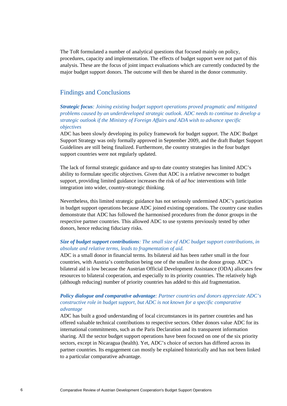The ToR formulated a number of analytical questions that focused mainly on policy, procedures, capacity and implementation. The effects of budget support were not part of this analysis. These are the focus of joint impact evaluations which are currently conducted by the major budget support donors. The outcome will then be shared in the donor community.

# Findings and Conclusions

*Strategic focus: Joining existing budget support operations proved pragmatic and mitigated problems caused by an underdeveloped strategic outlook. ADC needs to continue to develop a strategic outlook if the Ministry of Foreign Affairs and ADA wish to advance specific objectives* 

ADC has been slowly developing its policy framework for budget support. The ADC Budget Support Strategy was only formally approved in September 2009, and the draft Budget Support Guidelines are still being finalized. Furthermore, the country strategies in the four budget support countries were not regularly updated.

The lack of formal strategic guidance and up-to date country strategies has limited ADC's ability to formulate specific objectives. Given that ADC is a relative newcomer to budget support, providing limited guidance increases the risk of *ad hoc* interventions with little integration into wider, country-strategic thinking.

Nevertheless, this limited strategic guidance has not seriously undermined ADC's participation in budget support operations because ADC joined existing operations. The country case studies demonstrate that ADC has followed the harmonised procedures from the donor groups in the respective partner countries. This allowed ADC to use systems previously tested by other donors, hence reducing fiduciary risks.

### *Size of budget support contributions: The small size of ADC budget support contributions, in absolute and relative terms, leads to fragmentation of aid.*

ADC is a small donor in financial terms. Its bilateral aid has been rather small in the four countries, with Austria's contribution being one of the smallest in the donor group. ADC's bilateral aid is low because the Austrian Official Development Assistance (ODA) allocates few resources to bilateral cooperation, and especially to its priority countries. The relatively high (although reducing) number of priority countries has added to this aid fragmentation.

### *Policy dialogue and comparative advantage: Partner countries and donors appreciate ADC's constructive role in budget support, but ADC is not known for a specific comparative advantage*

ADC has built a good understanding of local circumstances in its partner countries and has offered valuable technical contributions to respective sectors. Other donors value ADC for its international commitments, such as the Paris Declaration and its transparent information sharing. All the sector budget support operations have been focused on one of the six priority sectors, except in Nicaragua (health). Yet, ADC's choice of sectors has differed across its partner countries. Its engagement can mostly be explained historically and has not been linked to a particular comparative advantage.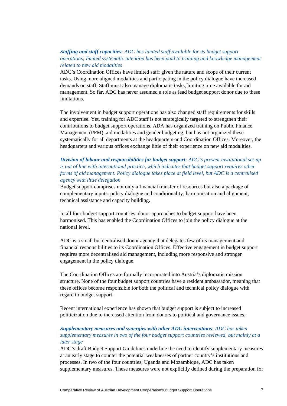### *Staffing and staff capacities: ADC has limited staff available for its budget support operations; limited systematic attention has been paid to training and knowledge management related to new aid modalities*

ADC's Coordination Offices have limited staff given the nature and scope of their current tasks. Using more aligned modalities and participating in the policy dialogue have increased demands on staff. Staff must also manage diplomatic tasks, limiting time available for aid management. So far, ADC has never assumed a role as lead budget support donor due to these limitations.

The involvement in budget support operations has also changed staff requirements for skills and expertise. Yet, training for ADC staff is not strategically targeted to strengthen their contributions to budget support operations. ADA has organized training on Public Finance Management (PFM), aid modalities and gender budgeting, but has not organized these systematically for all departments at the headquarters and Coordination Offices. Moreover, the headquarters and various offices exchange little of their experience on new aid modalities.

# *Division of labour and responsibilities for budget support: ADC's present institutional set-up is out of line with international practice, which indicates that budget support requires other forms of aid management. Policy dialogue takes place at field level, but ADC is a centralised agency with little delegation*

Budget support comprises not only a financial transfer of resources but also a package of complementary inputs: policy dialogue and conditionality; harmonisation and alignment, technical assistance and capacity building.

In all four budget support countries, donor approaches to budget support have been harmonised. This has enabled the Coordination Offices to join the policy dialogue at the national level.

ADC is a small but centralised donor agency that delegates few of its management and financial responsibilities to its Coordination Offices. Effective engagement in budget support requires more decentralised aid management, including more responsive and stronger engagement in the policy dialogue.

The Coordination Offices are formally incorporated into Austria's diplomatic mission structure. None of the four budget support countries have a resident ambassador, meaning that these offices become responsible for both the political and technical policy dialogue with regard to budget support.

Recent international experience has shown that budget support is subject to increased politicization due to increased attention from donors to political and governance issues.

### *Supplementary measures and synergies with other ADC interventions: ADC has taken supplementary measures in two of the four budget support countries reviewed, but mainly at a later stage*

ADC's draft Budget Support Guidelines underline the need to identify supplementary measures at an early stage to counter the potential weaknesses of partner country's institutions and processes. In two of the four countries, Uganda and Mozambique, ADC has taken supplementary measures. These measures were not explicitly defined during the preparation for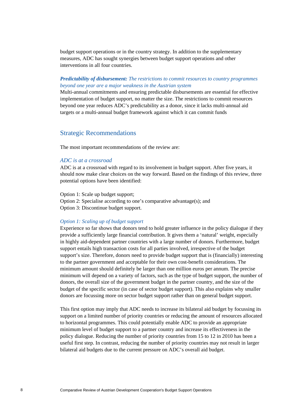budget support operations or in the country strategy. In addition to the supplementary measures, ADC has sought synergies between budget support operations and other interventions in all four countries.

### *Predictability of disbursement: The restrictions to commit resources to country programmes beyond one year are a major weakness in the Austrian system*

Multi-annual commitments and ensuring predictable disbursements are essential for effective implementation of budget support, no matter the size. The restrictions to commit resources beyond one year reduces ADC's predictability as a donor, since it lacks multi-annual aid targets or a multi-annual budget framework against which it can commit funds

# Strategic Recommendations

The most important recommendations of the review are:

### *ADC is at a crossroad*

ADC is at a crossroad with regard to its involvement in budget support. After five years, it should now make clear choices on the way forward. Based on the findings of this review, three potential options have been identified:

Option 1: Scale up budget support; Option 2: Specialise according to one's comparative advantage(s); and Option 3: Discontinue budget support.

### *Option 1: Scaling up of budget support*

Experience so far shows that donors tend to hold greater influence in the policy dialogue if they provide a sufficiently large financial contribution. It gives them a 'natural' weight, especially in highly aid-dependent partner countries with a large number of donors. Furthermore, budget support entails high transaction costs for all parties involved, irrespective of the budget support's size. Therefore, donors need to provide budget support that is (financially) interesting to the partner government and acceptable for their own cost-benefit considerations. The minimum amount should definitely be larger than one million euros per annum. The precise minimum will depend on a variety of factors, such as the type of budget support, the number of donors, the overall size of the government budget in the partner country, and the size of the budget of the specific sector (in case of sector budget support). This also explains why smaller donors are focussing more on sector budget support rather than on general budget support.

This first option may imply that ADC needs to increase its bilateral aid budget by focussing its support on a limited number of priority countries or reducing the amount of resources allocated to horizontal programmes. This could potentially enable ADC to provide an appropriate minimum level of budget support to a partner country and increase its effectiveness in the policy dialogue. Reducing the number of priority countries from 15 to 12 in 2010 has been a useful first step. In contrast, reducing the number of priority countries may not result in larger bilateral aid budgets due to the current pressure on ADC's overall aid budget.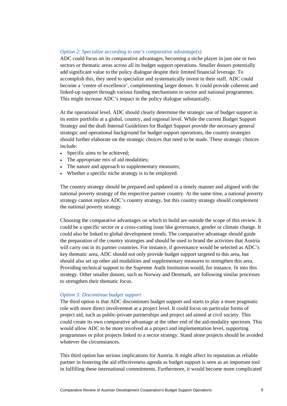### *Option 2: Specialize according to one's comparative advantage(s)*

ADC could focus on its comparative advantages, becoming a niche player in just one or two sectors or thematic areas across all its budget support operations. Smaller donors potentially add significant value to the policy dialogue despite their limited financial leverage. To accomplish this, they need to specialize and systematically invest in their staff. ADC could become a 'centre of excellence', complementing larger donors. It could provide coherent and linked-up support through various funding mechanisms to sector and national programmes. This might increase ADC's impact in the policy dialogue substantially.

At the operational level, ADC should clearly determine the strategic use of budget support in its entire portfolio at a global, country, and regional level. While the current Budget Support Strategy and the draft Internal Guidelines for Budget Support provide the necessary general strategic and operational background for budget support operations, the country strategies should further elaborate on the strategic choices that need to be made. These strategic choices include:

- Specific aims to be achieved;
- The appropriate mix of aid modalities;
- The nature and approach to supplementary measures;
- Whether a specific niche strategy is to be employed.

The country strategy should be prepared and updated in a timely manner and aligned with the national poverty strategy of the respective partner country. At the same time, a national poverty strategy cannot replace ADC's country strategy, but this country strategy should complement the national poverty strategy.

Choosing the comparative advantages on which to build are outside the scope of this review. It could be a specific sector or a cross-cutting issue like governance, gender or climate change. It could also be linked to global development trends. The comparative advantage should guide the preparation of the country strategies and should be used to brand the activities that Austria will carry out in its partner countries. For instance, if governance would be selected as ADC's key thematic area, ADC should not only provide budget support targeted to this area, but should also set up other aid modalities and supplementary measures to strengthen this area. Providing technical support to the Supreme Audit Institution would, for instance, fit into this strategy. Other smaller donors, such as Norway and Denmark, are following similar processes to strengthen their thematic focus.

### *Option 3: Discontinue budget support*

The third option is that ADC discontinues budget support and starts to play a more pragmatic role with more direct involvement at a project level. It could focus on particular forms of project aid, such as public-private partnerships and project aid aimed at civil society. This could create its own comparative advantage at the other end of the aid-modality spectrum. This would allow ADC to be more involved at a project and implementation level, supporting programmes or pilot projects linked to a sector strategy. Stand alone projects should be avoided whatever the circumstances.

This third option has serious implications for Austria. It might affect its reputation as reliable partner in fostering the aid effectiveness agenda as budget support is seen as an important tool in fulfilling these international commitments. Furthermore, it would become more complicated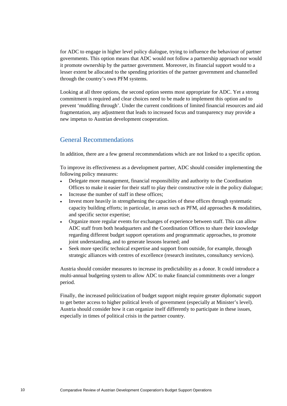for ADC to engage in higher level policy dialogue, trying to influence the behaviour of partner governments. This option means that ADC would not follow a partnership approach nor would it promote ownership by the partner government. Moreover, its financial support would to a lesser extent be allocated to the spending priorities of the partner government and channelled through the country's own PFM systems.

Looking at all three options, the second option seems most appropriate for ADC. Yet a strong commitment is required and clear choices need to be made to implement this option and to prevent 'muddling through'. Under the current conditions of limited financial resources and aid fragmentation, any adjustment that leads to increased focus and transparency may provide a new impetus to Austrian development cooperation.

# General Recommendations

In addition, there are a few general recommendations which are not linked to a specific option.

To improve its effectiveness as a development partner, ADC should consider implementing the following policy measures:

- Delegate more management, financial responsibility and authority to the Coordination Offices to make it easier for their staff to play their constructive role in the policy dialogue;
- Increase the number of staff in these offices;
- Invest more heavily in strengthening the capacities of these offices through systematic capacity building efforts; in particular, in areas such as PFM, aid approaches & modalities, and specific sector expertise;
- Organize more regular events for exchanges of experience between staff. This can allow ADC staff from both headquarters and the Coordination Offices to share their knowledge regarding different budget support operations and programmatic approaches, to promote joint understanding, and to generate lessons learned; and
- Seek more specific technical expertise and support from outside, for example, through strategic alliances with centres of excellence (research institutes, consultancy services).

Austria should consider measures to increase its predictability as a donor. It could introduce a multi-annual budgeting system to allow ADC to make financial commitments over a longer period.

Finally, the increased politicization of budget support might require greater diplomatic support to get better access to higher political levels of government (especially at Minister's level). Austria should consider how it can organize itself differently to participate in these issues, especially in times of political crisis in the partner country.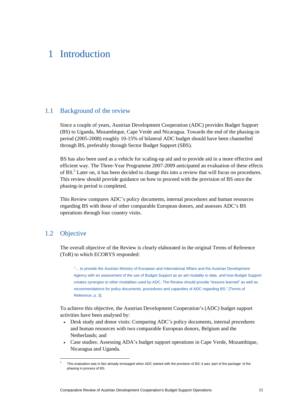# 1 Introduction

# 1.1 Background of the review

Since a couple of years, Austrian Development Cooperation (ADC) provides Budget Support (BS) to Uganda, Mozambique, Cape Verde and Nicaragua. Towards the end of the phasing-in period (2005-2008) roughly 10-15% of bilateral ADC budget should have been channelled through BS, preferably through Sector Budget Support (SBS).

BS has also been used as a vehicle for scaling-up aid and to provide aid in a more effective and efficient way. The Three-Year Programme 2007-2009 anticipated an evaluation of these effects of BS.<sup>2</sup> Later on, it has been decided to change this into a review that will focus on procedures. This review should provide guidance on how to proceed with the provision of BS once the phasing-in period is completed.

This Review compares ADC's policy documents, internal procedures and human resources regarding BS with those of other comparable European donors, and assesses ADC's BS operations through four country visits.

# 1.2 Objective

 $\overline{a}$ 

The overall objective of the Review is clearly elaborated in the original Terms of Reference (ToR) to which ECORYS responded:

"… to provide the Austrian Ministry of European and International Affairs and the Austrian Development Agency with an assessment of the use of Budget Support as an aid modality to date, and how Budget Support creates synergies to other modalities used by ADC. The Review should provide "lessons learned" as well as recommendations for policy documents, procedures and capacities of ADC regarding BS." [Terms of Reference, p. 3].

To achieve this objective, the Austrian Development Cooperation's (ADC) budget support activities have been analysed by:

- Desk study and donor visits: Comparing ADC's policy documents, internal procedures and human resources with two comparable European donors, Belgium and the Netherlands; and
- Case studies: Assessing ADA's budget support operations in Cape Verde, Mozambique, Nicaragua and Uganda.

<sup>2</sup> This evaluation was in fact already envisaged when ADC started with the provision of BS; it was 'part of the package' of the phasing in process of BS.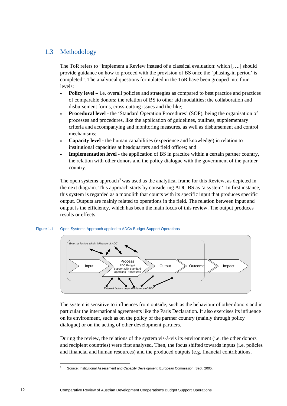# 1.3 Methodology

The ToR refers to "implement a Review instead of a classical evaluation: which [….] should provide guidance on how to proceed with the provision of BS once the 'phasing-in period' is completed". The analytical questions formulated in the ToR have been grouped into four levels:

- **Policy level** i.e. overall policies and strategies as compared to best practice and practices of comparable donors; the relation of BS to other aid modalities; the collaboration and disbursement forms, cross-cutting issues and the like;
- **Procedural level** the 'Standard Operation Procedures' (SOP), being the organisation of processes and procedures, like the application of guidelines, outlines, supplementary criteria and accompanying and monitoring measures, as well as disbursement and control mechanisms;
- **Capacity level** the human capabilities (experience and knowledge) in relation to institutional capacities at headquarters and field offices; and
- **Implementation level** the application of BS in practice within a certain partner country, the relation with other donors and the policy dialogue with the government of the partner country.

The open systems approach<sup>3</sup> was used as the analytical frame for this Review, as depicted in the next diagram. This approach starts by considering ADC BS as 'a system'. In first instance, this system is regarded as a monolith that counts with its specific input that produces specific output. Outputs are mainly related to operations in the field. The relation between input and output is the efficiency, which has been the main focus of this review. The output produces results or effects.

### Figure 1.1 Open Systems Approach applied to ADCs Budget Support Operations



The system is sensitive to influences from outside, such as the behaviour of other donors and in particular the international agreements like the Paris Declaration. It also exercises its influence on its environment, such as on the policy of the partner country (mainly through policy dialogue) or on the acting of other development partners.

During the review, the relations of the system vis-à-vis its environment (i.e. the other donors and recipient countries) were first analysed. Then, the focus shifted towards inputs (i.e. policies and financial and human resources) and the produced outputs (e.g. financial contributions,

<sup>3</sup> Source: Institutional Assessment and Capacity Development. European Commission, Sept. 2005.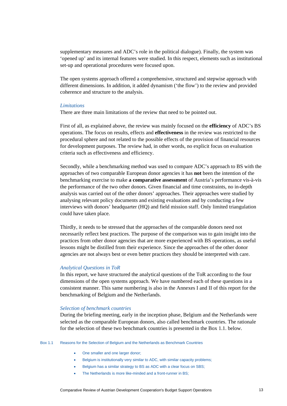supplementary measures and ADC's role in the political dialogue). Finally, the system was 'opened up' and its internal features were studied. In this respect, elements such as institutional set-up and operational procedures were focused upon.

The open systems approach offered a comprehensive, structured and stepwise approach with different dimensions. In addition, it added dynamism ('the flow') to the review and provided coherence and structure to the analysis.

### *Limitations*

There are three main limitations of the review that need to be pointed out.

First of all, as explained above, the review was mainly focused on the **efficiency** of ADC's BS operations. The focus on results, effects and **effectiveness** in the review was restricted to the procedural sphere and not related to the possible effects of the provision of financial resources for development purposes. The review had, in other words, no explicit focus on evaluation criteria such as effectiveness and efficiency.

Secondly, while a benchmarking method was used to compare ADC's approach to BS with the approaches of two comparable European donor agencies it has **not** been the intention of the benchmarking exercise to make **a comparative assessment** of Austria's performance vis-à-vis the performance of the two other donors. Given financial and time constraints, no in-depth analysis was carried out of the other donors' approaches. Their approaches were studied by analysing relevant policy documents and existing evaluations and by conducting a few interviews with donors' headquarter (HQ) and field mission staff. Only limited triangulation could have taken place.

Thirdly, it needs to be stressed that the approaches of the comparable donors need not necessarily reflect best practices. The purpose of the comparison was to gain insight into the practices from other donor agencies that are more experienced with BS operations, as useful lessons might be distilled from their experience. Since the approaches of the other donor agencies are not always best or even better practices they should be interpreted with care.

### *Analytical Questions in ToR*

In this report, we have structured the analytical questions of the ToR according to the four dimensions of the open systems approach. We have numbered each of these questions in a consistent manner. This same numbering is also in the Annexes I and II of this report for the benchmarking of Belgium and the Netherlands.

### *Selection of benchmark countries*

During the briefing meeting, early in the inception phase, Belgium and the Netherlands were selected as the comparable European donors, also called benchmark countries. The rationale for the selection of these two benchmark countries is presented in the Box 1.1. below.

#### Box 1.1 Reasons for the Selection of Belgium and the Netherlands as Benchmark Countries

- One smaller and one larger donor:
- Belgium is institutionally very similar to ADC, with similar capacity problems;
- Belgium has a similar strategy to BS as ADC with a clear focus on SBS;
- The Netherlands is more like-minded and a front-runner in BS;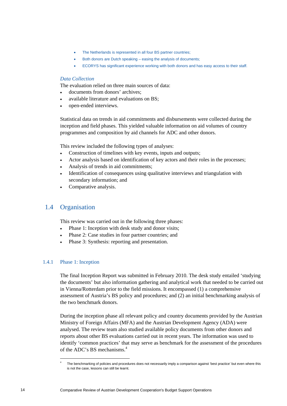- The Netherlands is represented in all four BS partner countries;
- Both donors are Dutch speaking easing the analysis of documents;
- ECORYS has significant experience working with both donors and has easy access to their staff.

### *Data Collection*

The evaluation relied on three main sources of data:

- documents from donors' archives;
- available literature and evaluations on BS;
- open-ended interviews.

Statistical data on trends in aid commitments and disbursements were collected during the inception and field phases. This yielded valuable information on aid volumes of country programmes and composition by aid channels for ADC and other donors.

This review included the following types of analyses:

- Construction of timelines with key events, inputs and outputs;
- Actor analysis based on identification of key actors and their roles in the processes;
- Analysis of trends in aid commitments;
- Identification of consequences using qualitative interviews and triangulation with secondary information; and
- Comparative analysis.

# 1.4 Organisation

This review was carried out in the following three phases:

- Phase 1: Inception with desk study and donor visits;
- Phase 2: Case studies in four partner countries; and
- Phase 3: Synthesis: reporting and presentation.

### 1.4.1 Phase 1: Inception

 $\overline{a}$ 

The final Inception Report was submitted in February 2010. The desk study entailed 'studying the documents' but also information gathering and analytical work that needed to be carried out in Vienna/Rotterdam prior to the field missions. It encompassed (1) a comprehensive assessment of Austria's BS policy and procedures; and (2) an initial benchmarking analysis of the two benchmark donors.

During the inception phase all relevant policy and country documents provided by the Austrian Ministry of Foreign Affairs (MFA) and the Austrian Development Agency (ADA) were analysed. The review team also studied available policy documents from other donors and reports about other BS evaluations carried out in recent years. The information was used to identify 'common practices' that may serve as benchmark for the assessment of the procedures of the ADC's BS mechanisms.<sup>4</sup>

<sup>4</sup> The benchmarking of policies and procedures does not necessarily imply a comparison against 'best practice' but even where this is not the case, lessons can still be learnt.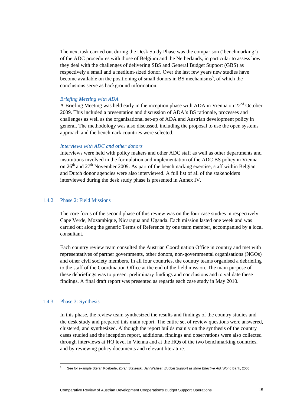The next task carried out during the Desk Study Phase was the comparison ('benchmarking') of the ADC procedures with those of Belgium and the Netherlands, in particular to assess how they deal with the challenges of delivering SBS and General Budget Support (GBS) as respectively a small and a medium-sized donor. Over the last few years new studies have become available on the positioning of small donors in BS mechanisms<sup>5</sup>, of which the conclusions serve as background information.

### *Briefing Meeting with ADA*

A Briefing Meeting was held early in the inception phase with ADA in Vienna on  $22<sup>nd</sup>$  October 2009. This included a presentation and discussion of ADA's BS rationale, processes and challenges as well as the organisational set-up of ADA and Austrian development policy in general. The methodology was also discussed, including the proposal to use the open systems approach and the benchmark countries were selected.

### *Interviews with ADC and other donors*

Interviews were held with policy makers and other ADC staff as well as other departments and institutions involved in the formulation and implementation of the ADC BS policy in Vienna on  $26<sup>th</sup>$  and  $27<sup>th</sup>$  November 2009. As part of the benchmarking exercise, staff within Belgian and Dutch donor agencies were also interviewed. A full list of all of the stakeholders interviewed during the desk study phase is presented in Annex IV.

### 1.4.2 Phase 2: Field Missions

The core focus of the second phase of this review was on the four case studies in respectively Cape Verde, Mozambique, Nicaragua and Uganda. Each mission lasted one week and was carried out along the generic Terms of Reference by one team member, accompanied by a local consultant.

Each country review team consulted the Austrian Coordination Office in country and met with representatives of partner governments, other donors, non-governmental organisations (NGOs) and other civil society members. In all four countries, the country teams organised a debriefing to the staff of the Coordination Office at the end of the field mission. The main purpose of these debriefings was to present preliminary findings and conclusions and to validate these findings. A final draft report was presented as regards each case study in May 2010.

### 1.4.3 Phase 3: Synthesis

In this phase, the review team synthesized the results and findings of the country studies and the desk study and prepared this main report. The entire set of review questions were answered, clustered, and synthesized. Although the report builds mainly on the synthesis of the country cases studied and the inception report, additional findings and observations were also collected through interviews at HQ level in Vienna and at the HQs of the two benchmarking countries, and by reviewing policy documents and relevant literature.

<sup>5</sup> See for example Stefan Koeberle, Zoran Stavreski, Jan Walliser*. Budget Support as More Effective Aid*. World Bank, 2006.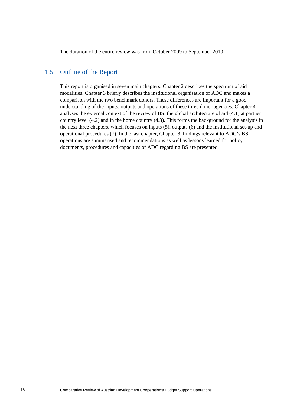The duration of the entire review was from October 2009 to September 2010.

# 1.5 Outline of the Report

This report is organised in seven main chapters. Chapter 2 describes the spectrum of aid modalities. Chapter 3 briefly describes the institutional organisation of ADC and makes a comparison with the two benchmark donors. These differences are important for a good understanding of the inputs, outputs and operations of these three donor agencies. Chapter 4 analyses the external context of the review of BS: the global architecture of aid (4.1) at partner country level (4.2) and in the home country (4.3). This forms the background for the analysis in the next three chapters, which focuses on inputs (5), outputs (6) and the institutional set-up and operational procedures (7). In the last chapter, Chapter 8, findings relevant to ADC's BS operations are summarised and recommendations as well as lessons learned for policy documents, procedures and capacities of ADC regarding BS are presented.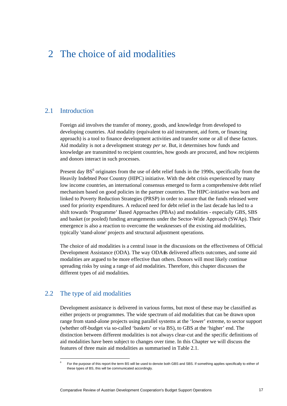# 2 The choice of aid modalities

# 2.1 Introduction

Foreign aid involves the transfer of money, goods, and knowledge from developed to developing countries. Aid modality (equivalent to aid instrument, aid form, or financing approach) is a tool to finance development activities and transfer some or all of these factors. Aid modality is not a development strategy *per se*. But, it determines how funds and knowledge are transmitted to recipient countries, how goods are procured, and how recipients and donors interact in such processes.

Present day  $BS<sup>6</sup>$  originates from the use of debt relief funds in the 1990s, specifically from the Heavily Indebted Poor Country (HIPC) initiative. With the debt crisis experienced by many low income countries, an international consensus emerged to form a comprehensive debt relief mechanism based on good policies in the partner countries. The HIPC-initiative was born and linked to Poverty Reduction Strategies (PRSP) in order to assure that the funds released were used for priority expenditures. A reduced need for debt relief in the last decade has led to a shift towards 'Programme' Based Approaches (PBAs) and modalities - especially GBS, SBS and basket (or pooled) funding arrangements under the Sector-Wide Approach (SWAp). Their emergence is also a reaction to overcome the weaknesses of the existing aid modalities, typically 'stand-alone' projects and structural adjustment operations.

The choice of aid modalities is a central issue in the discussions on the effectiveness of Official Development Assistance (ODA). The way ODA#s delivered affects outcomes, and some aid modalities are argued to be more effective than others. Donors will most likely continue spreading risks by using a range of aid modalities. Therefore, this chapter discusses the different types of aid modalities.

# 2.2 The type of aid modalities

 $\overline{a}$ 

Development assistance is delivered in various forms, but most of these may be classified as either projects or programmes. The wide spectrum of aid modalities that can be drawn upon range from stand-alone projects using parallel systems at the 'lower' extreme, to sector support (whether off-budget via so-called 'baskets' or via BS), to GBS at the 'higher' end. The distinction between different modalities is not always clear-cut and the specific definitions of aid modalities have been subject to changes over time. In this Chapter we will discuss the features of three main aid modalities as summarised in Table 2.1.

<sup>6</sup> For the purpose of this report the term BS will be used to denote both GBS and SBS. If something applies specifically to either of these types of BS, this will be communicated accordingly.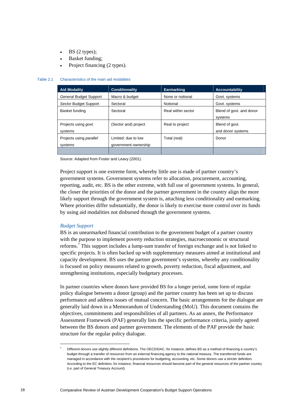- BS (2 types);
- Basket funding;
- Project financing (2 types).

#### Table 2.1 Characteristics of the main aid modalities

| <b>Aid Modality</b>                       | <b>Conditionality</b>                       | <b>Earmarking</b>  | <b>Accountability</b>               |
|-------------------------------------------|---------------------------------------------|--------------------|-------------------------------------|
| General Budget Support                    | Macro & budget                              | None or notional   | Govt. systems                       |
| Sector Budget Support                     | Sectoral                                    | Notional           | Govt. systems                       |
| Basket funding                            | Sectoral                                    | Real within sector | Blend of govt. and donor<br>systems |
| Projects using govt.<br>systems           | (Sector and) project                        | Real to project    | Blend of govt.<br>and donor systems |
| Projects using <i>parallel</i><br>systems | Limited: due to low<br>government ownership | Total (real)       | Donor                               |
|                                           |                                             |                    |                                     |

Source: Adapted from Foster and Leavy (2001).

Project support is one extreme form, whereby little use is made of partner country's government systems. Government systems refer to allocation, procurement, accounting, reporting, audit, etc. BS is the other extreme, with full use of government systems. In general, the closer the priorities of the donor and the partner government in the country align the more likely support through the government system is, attaching less conditionality and earmarking. Where priorities differ substantially, the donor is likely to exercise more control over its funds by using aid modalities not disbursed through the government systems.

### *Budget Support*

 $\overline{a}$ 

BS is an unearmarked financial contribution to the government budget of a partner country with the purpose to implement poverty reduction strategies, macroeconomic or structural reforms.<sup>7</sup> This support includes a lump-sum transfer of foreign exchange and is not linked to specific projects. It is often backed up with supplementary measures aimed at institutional and capacity development. BS uses the partner government's systems, whereby any conditionality is focused on policy measures related to growth, poverty reduction, fiscal adjustment, and strengthening institutions, especially budgetary processes.

In partner countries where donors have provided BS for a longer period, some form of regular policy dialogue between a donor (group) and the partner country has been set up to discuss performance and address issues of mutual concern. The basic arrangements for the dialogue are generally laid down in a Memorandum of Understanding (MoU). This document contains the objectives, commitments and responsibilities of all partners. As an annex, the Performance Assessment Framework (PAF) generally lists the specific performance criteria, jointly agreed between the BS donors and partner government. The elements of the PAF provide the basic structure for the regular policy dialogue.

<sup>7</sup> Different donors use slightly different definitions. The OECD/DAC, for instance, defines BS as a method of financing a country's budget through a transfer of resources from an external financing agency to the national treasury. The transferred funds are managed in accordance with the recipient's procedures for budgeting, accounting, etc. Some donors use a stricter definition. According to the EC definition, for instance, financial resources should become part of the general resources of the partner country (i.e. part of General Treasury Account).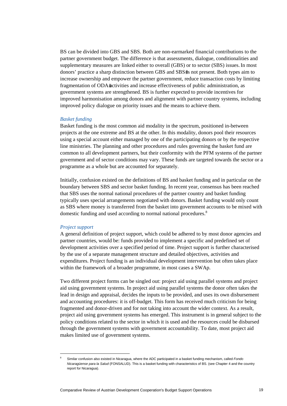BS can be divided into GBS and SBS. Both are non-earmarked financial contributions to the partner government budget. The difference is that assessments, dialogue, conditionalities and supplementary measures are linked either to overall (GBS) or to sector (SBS) issues.In most donors' practice a sharp distinction between GBS and SBS#s not present. Both types aim to increase ownership and empower the partner government, reduce transaction costs by limiting fragmentation of ODA $\#$ ctivities and increase effectiveness of public administration, as government systems are strengthened. BS is further expected to provide incentives for improved harmonisation among donors and alignment with partner country systems, including improved policy dialogue on priority issues and the means to achieve them.

#### *Basket funding*

Basket funding is the most common aid modality in the spectrum, positioned in-between projects at the one extreme and BS at the other. In this modality, donors pool their resources using a special account either managed by one of the participating donors or by the respective line ministries. The planning and other procedures and rules governing the basket fund are common to all development partners, but their conformity with the PFM systems of the partner government and of sector conditions may vary. These funds are targeted towards the sector or a programme as a whole but are accounted for separately.

Initially, confusion existed on the definitions of BS and basket funding and in particular on the boundary between SBS and sector basket funding. In recent year, consensus has been reached that SBS uses the normal national procedures of the partner country and basket funding typically uses special arrangements negotiated with donors. Basket funding would only count as SBS where money is transferred from the basket into government accounts to be mixed with domestic funding and used according to normal national procedures.<sup>8</sup>

#### *Project support*

A general definition of project support, which could be adhered to by most donor agencies and partner countries, would be: funds provided to implement a specific and predefined set of development activities over a specified period of time. Project support is further characterised by the use of a separate management structure and detailed objectives, activities and expenditures. Project funding is an individual development intervention but often takes place within the framework of a broader programme, in most cases a SWAp.

Two different project forms can be singled out: project aid using parallel systems and project aid using government systems. In project aid using parallel systems the donor often takes the lead in design and appraisal, decides the inputs to be provided, and uses its own disbursement and accounting procedures: it is off-budget. This form has received much criticism for being fragmented and donor-driven and for not taking into account the wider context. As a result, project aid using government systems has emerged. This instrument is in general subject to the policy conditions related to the sector in which it is used and the resources could be disbursed through the government systems with government accountability. To date, most project aid makes limited use of government systems.

<sup>8</sup> Similar confusion also existed in Nicaragua, where the ADC participated in a basket funding mechanism, called *Fondo Nicaragüense para la Salud* (FONSALUD). This is a basket funding with characteristics of BS. (see Chapter 4 and the country report for Nicaragua).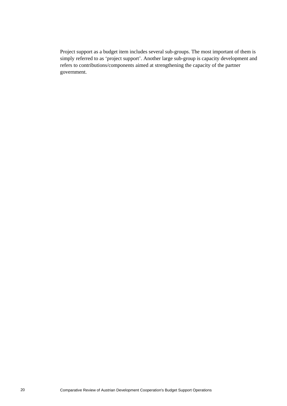Project support as a budget item includes several sub-groups. The most important of them is simply referred to as 'project support'. Another large sub-group is capacity development and refers to contributions/components aimed at strengthening the capacity of the partner government.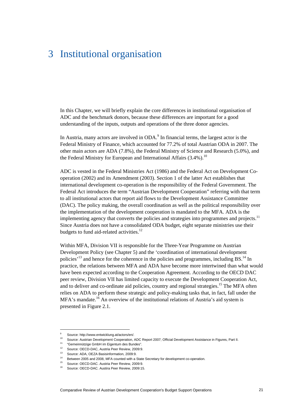# 3 Institutional organisation

In this Chapter, we will briefly explain the core differences in institutional organisation of ADC and the benchmark donors, because these differences are important for a good understanding of the inputs, outputs and operations of the three donor agencies.

In Austria, many actors are involved in  $ODA<sup>9</sup>$  In financial terms, the largest actor is the Federal Ministry of Finance, which accounted for 77.2% of total Austrian ODA in 2007. The other main actors are ADA (7.8%), the Federal Ministry of Science and Research (5.0%), and the Federal Ministry for European and International Affairs  $(3.4\%)$ <sup>10</sup>

ADC is vested in the Federal Ministries Act (1986) and the Federal Act on Development Cooperation (2002) and its Amendment (2003). Section 1 of the latter Act establishes that international development co-operation is the responsibility of the Federal Government. The Federal Act introduces the term "Austrian Development Cooperation" referring with that term to all institutional actors that report aid flows to the Development Assistance Committee (DAC). The policy making, the overall coordination as well as the political responsibility over the implementation of the development cooperation is mandated to the MFA. ADA is the implementing agency that converts the policies and strategies into programmes and projects.<sup>11</sup> Since Austria does not have a consolidated ODA budget, eight separate ministries use their budgets to fund aid-related activities. $^{12}$ 

Within MFA, Division VII is responsible for the Three-Year Programme on Austrian Development Policy (see Chapter 5) and the 'coordination of international development policies<sup> $13$ </sup> and hence for the coherence in the policies and programmes, including BS.<sup>14</sup> In practice, the relations between MFA and ADA have become more intertwined than what would have been expected according to the Cooperation Agreement. According to the OECD DAC peer review, Division VII has limited capacity to execute the Development Cooperation Act, and to deliver and co-ordinate aid policies, country and regional strategies.<sup>15</sup> The MFA often relies on ADA to perform these strategic and policy-making tasks that, in fact, fall under the MFA's mandate.<sup>16</sup> An overview of the institutional relations of Austria's aid system is presented in Figure 2.1.

 $\overline{a}$ 

<sup>9</sup> Source: http://www.entwicklung.at/actors/en/.

<sup>&</sup>lt;sup>10</sup> Source: Austrian Development Cooperation, ADC Report 2007; Official Development Assistance in Figures, Part II.<br><sup>11</sup> "Gemeinnützige GmbH im Eigentum des Bundes".

<sup>12</sup> Source: OECD-DAC, Austria Peer Review, 2009:9.

<sup>13</sup> Source: ADA, OEZA Basisinformation, 2009:9.

<sup>&</sup>lt;sup>14</sup> Between 2005 and 2008, MFA counted with a State Secretary for development co-operation.<br><sup>15</sup> Source: OECD-DAC. Austria Peer Review, 2009:9.<br><sup>16</sup> Source: OECD-DAC. Austria Peer Review, 2000:45

Source: OECD-DAC. Austira Peer Review, 2009:15.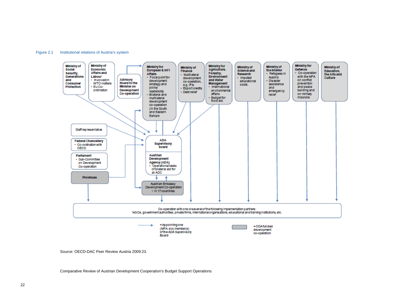#### Figure 2.1 Institutional relations of Austria's system



Source: OECD-DAC Peer Review Austria 2009:23.

Comparative Review of Austrian Development Cooperation's Budget Support Operations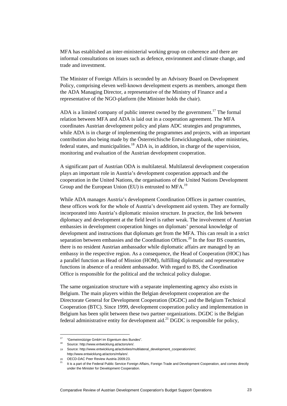MFA has established an inter-ministerial working group on coherence and there are informal consultations on issues such as defence, environment and climate change, and trade and investment.

The Minister of Foreign Affairs is seconded by an Advisory Board on Development Policy, comprising eleven well-known development experts as members, amongst them the ADA Managing Director, a representative of the Ministry of Finance and a representative of the NGO-platform (the Minister holds the chair).

ADA is a limited company of public interest owned by the government.<sup>17</sup> The formal relation between MFA and ADA is laid out in a cooperation agreement. The MFA coordinates Austrian development policy and plans ADC strategies and programmes, while ADA is in charge of implementing the programmes and projects, with an important contribution also being made by the Österreichische Entwicklungsbank, other ministries, federal states, and municipalities.<sup>18</sup> ADA is, in addition, in charge of the supervision, monitoring and evaluation of the Austrian development cooperation.

A significant part of Austrian ODA is multilateral. Multilateral development cooperation plays an important role in Austria's development cooperation approach and the cooperation in the United Nations, the organisations of the United Nations Development Group and the European Union (EU) is entrusted to MFA.<sup>19</sup>

While ADA manages Austria's development Coordination Offices in partner countries, these offices work for the whole of Austria's development aid system. They are formally incorporated into Austria's diplomatic mission structure. In practice, the link between diplomacy and development at the field level is rather weak. The involvement of Austrian embassies in development cooperation hinges on diplomats' personal knowledge of development and instructions that diplomats get from the MFA. This can result in a strict separation between embassies and the Coordination Offices.<sup>20</sup> In the four BS countries, there is no resident Austrian ambassador while diplomatic affairs are managed by an embassy in the respective region. As a consequence, the Head of Cooperation (HOC) has a parallel function as Head of Mission (HOM), fulfilling diplomatic and representative functions in absence of a resident ambassador. With regard to BS, the Coordination Office is responsible for the political and the technical policy dialogue.

The same organization structure with a separate implementing agency also exists in Belgium. The main players within the Belgian development cooperation are the Directorate General for Development Cooperation (DGDC) and the Belgium Technical Cooperation (BTC). Since 1999, development cooperation policy and implementation in Belgium has been split between these two partner organizations. DGDC is the Belgian federal administrative entity for development aid.<sup>21</sup> DGDC is responsible for policy,

<sup>&</sup>lt;sup>17</sup> "Gemeinnützige GmbH im Eigentum des Bundes".<br><sup>18</sup> Deutsch<sup>14</sup>teil<sup>1</sup>issen antwicklung at/attac/an/

<sup>18</sup> Source: http://www.entwicklung.at/actors/en/.

<sup>19</sup> Source: http://www.entwicklung.at/activities/multilateral\_development\_cooperation/en/; http://www.entwicklung.at/actors/mfa/en/.

<sup>20</sup> OECD-DAC Peer Review Austria 2009:23.

<sup>&</sup>lt;sup>21</sup> It is a part of the Federal Public Service Foreign Affairs, Foreign Trade and Development Cooperation, and comes directly under the Minister for Development Cooperation.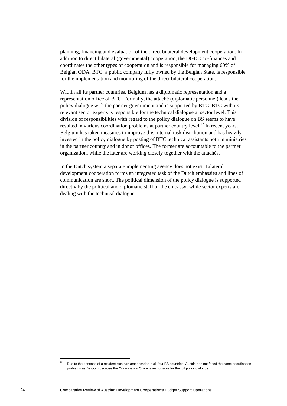planning, financing and evaluation of the direct bilateral development cooperation. In addition to direct bilateral (governmental) cooperation, the DGDC co-finances and coordinates the other types of cooperation and is responsible for managing 60% of Belgian ODA. BTC, a public company fully owned by the Belgian State, is responsible for the implementation and monitoring of the direct bilateral cooperation.

Within all its partner countries, Belgium has a diplomatic representation and a representation office of BTC. Formally, the attaché (diplomatic personnel) leads the policy dialogue with the partner government and is supported by BTC. BTC with its relevant sector experts is responsible for the technical dialogue at sector level. This division of responsibilities with regard to the policy dialogue on BS seems to have resulted in various coordination problems at partner country level.<sup>22</sup> In recent years, Belgium has taken measures to improve this internal task distribution and has heavily invested in the policy dialogue by posting of BTC technical assistants both in ministries in the partner country and in donor offices. The former are accountable to the partner organization, while the later are working closely together with the attachés.

In the Dutch system a separate implementing agency does not exist. Bilateral development cooperation forms an integrated task of the Dutch embassies and lines of communication are short. The political dimension of the policy dialogue is supported directly by the political and diplomatic staff of the embassy, while sector experts are dealing with the technical dialogue.

 $\overline{a}$ 

<sup>22</sup> Due to the absence of a resident Austrian ambassador in all four BS countries, Austria has not faced the same coordination problems as Belgium because the Coordination Office is responsible for the full policy dialogue.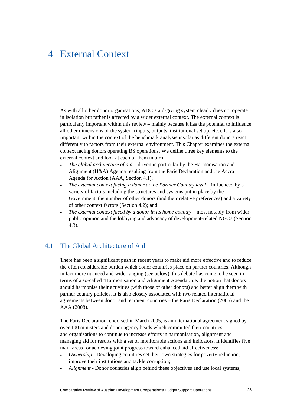# 4 External Context

As with all other donor organisations, ADC's aid-giving system clearly does not operate in isolation but rather is affected by a wider external context. The external context is particularly important within this review – mainly because it has the potential to influence all other dimensions of the system (inputs, outputs, institutional set up, etc.). It is also important within the context of the benchmark analysis insofar as different donors react differently to factors from their external environment. This Chapter examines the external context facing donors operating BS operations. We define three key elements to the external context and look at each of them in turn:

- *The global architecture of aid* driven in particular by the Harmonisation and Alignment (H&A) Agenda resulting from the Paris Declaration and the Accra Agenda for Action (AAA, Section 4.1);
- *The external context facing a donor at the Partner Country level* influenced by a variety of factors including the structures and systems put in place by the Government, the number of other donors (and their relative preferences) and a variety of other context factors (Section 4.2); and
- *The external context faced by a donor in its home country most notably from wider* public opinion and the lobbying and advocacy of development-related NGOs (Section 4.3).

# 4.1 The Global Architecture of Aid

There has been a significant push in recent years to make aid more effective and to reduce the often considerable burden which donor countries place on partner countries. Although in fact more nuanced and wide-ranging (see below), this debate has come to be seen in terms of a so-called 'Harmonisation and Alignment Agenda', i.e. the notion that donors should harmonise their activities (with those of other donors) and better align them with partner country policies. It is also closely associated with two related international agreements between donor and recipient countries – the Paris Declaration (2005) and the AAA (2008).

The Paris Declaration, endorsed in March 2005, is an international agreement signed by over 100 ministers and donor agency heads which committed their countries and organisations to continue to increase efforts in harmonisation, alignment and managing aid for results with a set of monitorable actions and indicators. It identifies five main areas for achieving joint progress toward enhanced aid effectiveness:

- *Ownership*  Developing countries set their own strategies for poverty reduction, improve their institutions and tackle corruption;
- *Alignment* Donor countries align behind these objectives and use local systems;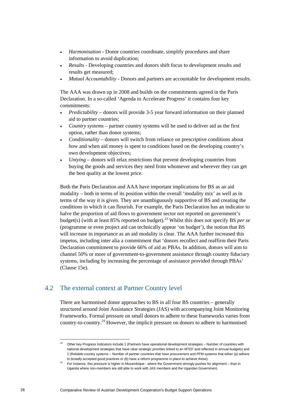- *Harmonisation* **-** Donor countries coordinate, simplify procedures and share information to avoid duplication;
- *Results*  Developing countries and donors shift focus to development results and results get measured;
- *Mutual Accountability* Donors and partners are accountable for development results.

The AAA was drawn up in 2008 and builds on the commitments agreed in the Paris Declaration. In a so-called 'Agenda to Accelerate Progress' it contains four key commitments:

- *Predictability*  donors will provide 3-5 year forward information on their planned aid to partner countries;
- *Country systems*  partner country systems will be used to deliver aid as the first option, rather than donor systems;
- *Conditionality*  donors will switch from reliance on prescriptive conditions about how and when aid money is spent to conditions based on the developing country's own development objectives;
- *Untying* donors will relax restrictions that prevent developing countries from buying the goods and services they need from whomever and wherever they can get the best quality at the lowest price.

Both the Paris Declaration and AAA have important implications for BS as an aid modality – both in terms of its position within the overall 'modality mix' as well as in terms of the way it is given. They are unambiguously supportive of BS and creating the conditions in which it can flourish. For example, the Paris Declaration has an indicator to halve the proportion of aid flows to government sector not reported on government's budget(s) (with at least 85% reported on budget).<sup>23</sup> Whilst this does not specify BS *per se* (programme or even project aid can technically appear 'on budget'), the notion that BS will increase in importance as an aid modality is clear. The AAA further increased this impetus, including inter alia a commitment that 'donors recollect and reaffirm their Paris Declaration commitment to provide 66% of aid as PBAs. In addition, donors will aim to channel 50% or more of government-to-government assistance through country fiduciary systems, including by increasing the percentage of assistance provided through PBAs' (Clause 15e).

# 4.2 The external context at Partner Country level

There are harmonised donor approaches to BS in all four BS countries – generally structured around Joint Assistance Strategies (JAS) with accompanying Joint Monitoring Frameworks. Formal pressure on small donors to adhere to these frameworks varies from country-to-country.<sup>24</sup> However, the implicit pressure on donors to adhere to harmonised

<sup>&</sup>lt;sup>23</sup> Other key Progress Indicators include 1 (Partners have operational development strategies – Number of countries with national development strategies that have clear strategic priorities linked to an MTEF and reflected in annual budgets) and 2 (Reliable country systems – Number of partner countries that have procurement and PFM systems that either (a) adhere

to broadly accepted good practices or (b) have a reform programme in place to achieve these).<br><sup>24</sup> For instance, this pressure is higher in Mozambique - where the Government strongly pushes for alignment – than in Uganda where non-members are still able to work with JAS members and the Ugandan Government.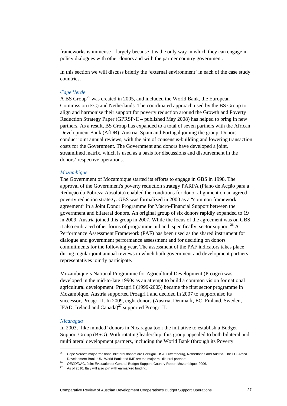frameworks is immense – largely because it is the only way in which they can engage in policy dialogues with other donors and with the partner country government.

In this section we will discuss briefly the 'external environment' in each of the case study countries.

### *Cape Verde*

A BS Group<sup>25</sup> was created in 2005, and included the World Bank, the European Commission (EC) and Netherlands. The coordinated approach used by the BS Group to align and harmonise their support for poverty reduction around the Growth and Poverty Reduction Strategy Paper (GPRSP-II – published May 2008) has helped to bring in new partners. As a result, BS Group has expanded to a total of seven partners with the African Development Bank (AfDB), Austria, Spain and Portugal joining the group. Donors conduct joint annual reviews, with the aim of consensus-building and lowering transaction costs for the Government. The Government and donors have developed a joint, streamlined matrix, which is used as a basis for discussions and disbursement in the donors' respective operations.

### *Mozambique*

The Government of Mozambique started its efforts to engage in GBS in 1998. The approval of the Government's poverty reduction strategy PARPA (Plano de Acção para a Redução da Pobreza Absoluta) enabled the conditions for donor alignment on an agreed poverty reduction strategy. GBS was formalized in 2000 as a "common framework agreement" in a Joint Donor Programme for Macro-Financial Support between the government and bilateral donors. An original group of six donors rapidly expanded to 19 in 2009. Austria joined this group in 2007. While the focus of the agreement was on GBS, it also embraced other forms of programme aid and, specifically, sector support.<sup>26</sup> A Performance Assessment Framework (PAF) has been used as the shared instrument for dialogue and government performance assessment and for deciding on donors' commitments for the following year. The assessment of the PAF indicators takes place during regular joint annual reviews in which both government and development partners' representatives jointly participate.

Mozambique's National Programme for Agricultural Development (Proagri) was developed in the mid-to-late 1990s as an attempt to build a common vision for national agricultural development. Proagri I (1999-2005) became the first sector programme in Mozambique. Austria supported Proagri I and decided in 2007 to support also its successor, Proagri II. In 2009, eight donors (Austria, Denmark, EC, Finland, Sweden, IFAD, Ireland and Canada)<sup>27</sup> supported Proagri II.

#### *Nicaragua*

In 2003, 'like minded' donors in Nicaragua took the initiative to establish a Budget Support Group (BSG). With rotating leadership, this group appealed to both bilateral and multilateral development partners, including the World Bank (through its Poverty

<sup>&</sup>lt;sup>25</sup> Cape Verde's major traditional bilateral donors are Portugal, USA, Luxembourg, Netherlands and Austria. The EC, Africa Development Bank, UN, World Bank and IMF are the major multilateral partners.<br><sup>26</sup> OECD/DAC, Joint Evaluation of General Budget Support, Country Report Mozambique, 2006.<br><sup>27</sup> As of 2010, Italy will also join with earmarked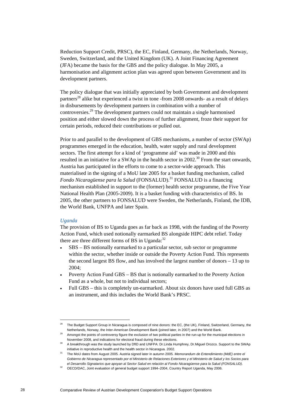Reduction Support Credit, PRSC), the EC, Finland, Germany, the Netherlands, Norway, Sweden, Switzerland, and the United Kingdom (UK). A Joint Financing Agreement (JFA) became the basis for the GBS and the policy dialogue. In May 2005, a harmonisation and alignment action plan was agreed upon between Government and its development partners.

The policy dialogue that was initially appreciated by both Government and development partners<sup>28</sup> alike but experienced a twist in tone -from 2008 onwards- as a result of delays in disbursements by development partners in combination with a number of controversies.<sup>29</sup> The development partners could not maintain a single harmonised position and either slowed down the process of further alignment, froze their support for certain periods, reduced their contributions or pulled out.

Prior to and parallel to the development of GBS mechanisms, a number of sector (SWAp) programmes emerged in the education, health, water supply and rural development sectors. The first attempt for a kind of 'programme aid' was made in 2000 and this resulted in an initiative for a SWAp in the health sector in 2002.<sup>30</sup> From the start onwards, Austria has participated in the efforts to come to a sector-wide approach. This materialised in the signing of a MoU late 2005 for a basket funding mechanism, called *Fondo Nicaragüense para la Salud* (FONSALUD).<sup>31</sup> FONSALUD is a financing mechanism established in support to the (former) health sector programme, the Five Year National Health Plan (2005-2009). It is a basket funding with characteristics of BS. In 2005, the other partners to FONSALUD were Sweden, the Netherlands, Finland, the IDB, the World Bank, UNFPA and later Spain.

### *Uganda*

The provision of BS to Uganda goes as far back as 1998, with the funding of the Poverty Action Fund, which used notionally earmarked BS alongside HIPC debt relief. Today there are three different forms of BS in Uganda: $32$ 

- SBS BS notionally earmarked to a particular sector, sub sector or programme within the sector, whether inside or outside the Poverty Action Fund. This represents the second largest BS flow, and has involved the largest number of donors – 13 up to 2004;
- Poverty Action Fund GBS BS that is notionally earmarked to the Poverty Action Fund as a whole, but not to individual sectors;
- Full GBS this is completely un-earmarked. About six donors have used full GBS as an instrument, and this includes the World Bank's PRSC.

The Budget Support Group in Nicaragua is composed of nine donors: the EC, (the UK), Finland, Switzerland, Germany, the Netherlands, Norway, the Inter-American Development Bank (joined later, in 2007) and the World Bank.<br><sup>29</sup> Amongst the points of controversy figure the exclusion of two political parties in the run-up for the municipal elec

November 2008, and indications for electoral fraud during these elections.<br><sup>30</sup> A breakthrough was the study launched by DfID and UNFPA: Dr.Linda Humphrey, Dr.Miguel Orozco. Support to the SWAp

initiative in reproductive health and the health sector in Nicaragua. 2002. 31 The MoU dates from August 2005. Austria signed later in autumn 2005. *Memorandum de Entendimiento (MdE) entre el Gobierno de Nicaragua representado por el Ministerio de Relaciones Exteriores y el Ministerio de Salud y los Socios para* 

*el Desarrollo Signatarios que apoyan al Sector Salud en relación al Fondo Nicaragüense para la Salud (FONSALUD)*. 32 OECD/DAC, Joint evaluation of general budget support 1994–2004, Country Report Uganda, May 2006.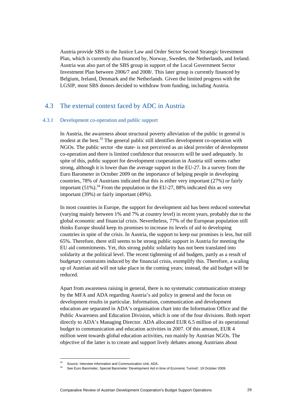Austria provide SBS to the Justice Law and Order Sector Second Strategic Investment Plan, which is currently also financed by, Norway, Sweden, the Netherlands, and Ireland. Austria was also part of the SBS group in support of the Local Government Sector Investment Plan between 2006/7 and 2008/. This later group is currently financed by Belgium, Ireland, Denmark and the Netherlands. Given the limited progress with the LGSIP, most SBS donors decided to withdraw from funding, including Austria.

# 4.3 The external context faced by ADC in Austria

### 4.3.1 Development co-operation and public support

In Austria, the awareness about structural poverty alleviation of the public in general is modest at the best.<sup>33</sup> The general public still identifies development co-operation with NGOs. The public sector -the state- is not perceived as an ideal provider of development co-operation and there is limited confidence that resources will be used adequately. In spite of this, public support for development cooperation in Austria still seems rather strong, although it is lower than the average support in the EU-27. In a survey from the Euro Barometer in October 2009 on the importance of helping people in developing countries, 78% of Austrians indicated that this is either very important (27%) or fairly important  $(51\%)$ <sup>34</sup> From the population in the EU-27, 88% indicated this as very important (39%) or fairly important (49%).

In most countries in Europe, the support for development aid has been reduced somewhat (varying mainly between 1% and 7% at country level) in recent years, probably due to the global economic and financial crisis. Nevertheless, 77% of the European population still thinks Europe should keep its promises to increase its levels of aid to developing countries in spite of the crisis. In Austria, the support to keep our promises is less, but still 65%. Therefore, there still seems to be strong public support in Austria for meeting the EU aid commitments. Yet, this strong public solidarity has not been translated into solidarity at the political level. The recent tightening of aid budgets, partly as a result of budgetary constraints induced by the financial crisis, exemplify this. Therefore, a scaling up of Austrian aid will not take place in the coming years; instead, the aid budget will be reduced.

Apart from awareness raising in general, there is no systematic communication strategy by the MFA and ADA regarding Austria's aid policy in general and the focus on development results in particular. Information, communication and development education are separated in ADA's organisation chart into the Information Office and the Public Awareness and Education Division, which is one of the four divisions. Both report directly to ADA's Managing Director. ADA allocated EUR 6.5 million of its operational budget to communication and education activities in 2007. Of this amount, EUR 4 million went towards global education activities, run mainly by Austrian NGOs. The objective of the latter is to create and support lively debates among Austrians about

 $\overline{a}$ 

<sup>33</sup> Source: Interview Information and Communication Unit, ADA.

<sup>34</sup> See Euro Barometer, Special Barometer 'Development Aid in time of Economic Turmoil', 19 October 2009.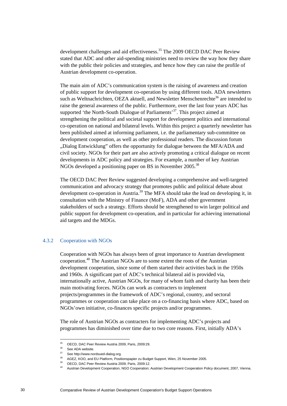development challenges and aid effectiveness.<sup>35</sup> The 2009 OECD DAC Peer Review stated that ADC and other aid-spending ministries need to review the way how they share with the public their policies and strategies, and hence how they can raise the profile of Austrian development co-operation.

The main aim of ADC's communication system is the raising of awareness and creation of public support for development co-operation by using different tools. ADA newsletters such as Weltnachrichten, OEZA aktuell, and Newsletter Menschenrechte<sup>36</sup> are intended to raise the general awareness of the public. Furthermore, over the last four years ADC has supported 'the North-South Dialogue of Parliaments'<sup>37</sup>. This project aimed at strengthening the political and societal support for development politics and international co-operation on national and bilateral levels. Within this project a quarterly newsletter has been published aimed at informing parliament, i.e. the parliamentary sub-committee on development cooperation, as well as other professional readers. The discussion forum "Dialog Entwicklung" offers the opportunity for dialogue between the MFA/ADA and civil society. NGOs for their part are also actively promoting a critical dialogue on recent developments in ADC policy and strategies. For example, a number of key Austrian NGOs developed a positioning paper on BS in November  $2005^{38}$ 

The OECD DAC Peer Review suggested developing a comprehensive and well-targeted communication and advocacy strategy that promotes public and political debate about development co-operation in Austria.<sup>39</sup> The MFA should take the lead on developing it, in consultation with the Ministry of Finance (MoF), ADA and other government stakeholders of such a strategy. Efforts should be strengthened to win larger political and public support for development co-operation, and in particular for achieving international aid targets and the MDGs.

### 4.3.2 Cooperation with NGOs

Cooperation with NGOs has always been of great importance to Austrian development cooperation.<sup>40</sup> The Austrian NGOs are to some extent the roots of the Austrian development cooperation, since some of them started their activities back in the 1950s and 1960s. A significant part of ADC's technical bilateral aid is provided via, internationally active, Austrian NGOs, for many of whom faith and charity has been their main motivating forces. NGOs can work as contracters to implement projects/programmes in the framework of ADC's regional, country, and sectoral programmes or cooperation can take place on a co-financing basis where ADC, based on NGOs'own initiative, co-finances specific projects and/or programmes.

The role of Austrian NGOs as contracters for implementing ADC's projects and programmes has diminished over time due to two core reasons. First, initially ADA's

 $35<sup>5</sup>$ 35 OECD, DAC Peer Review Austria 2009, Paris, 2009:29.

<sup>&</sup>lt;sup>36</sup> See ADA website.

<sup>37</sup> See http://www.nordsued-dialog.org.

<sup>38</sup> AGEZ, KOO, and EU Platform, Positionspapier zu Budget Support, Wien, 25 November 2005.

<sup>39</sup> OECD, DAC Peer Review Austria 2009, Paris, 2009:12.

<sup>40</sup> Austrian Development Cooperation, NGO Cooperation; Austrian Development Cooperation Policy document, 2007, Vienna.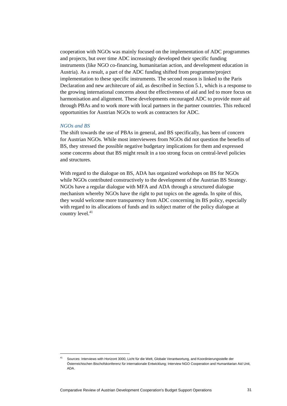cooperation with NGOs was mainly focused on the implementation of ADC programmes and projects, but over time ADC increasingly developed their specific funding instruments (like NGO co-financing, humanitarian action, and development education in Austria). As a result, a part of the ADC funding shifted from programme/project implementation to these specific instruments. The second reason is linked to the Paris Declaration and new architecure of aid, as described in Section 5.1, which is a response to the growing international concerns about the effectiveness of aid and led to more focus on harmonisation and alignment. These developments encouraged ADC to provide more aid through PBAs and to work more with local partners in the partner countries. This reduced opportunities for Austrian NGOs to work as contracters for ADC.

### *NGOs and BS*

The shift towards the use of PBAs in general, and BS specifically, has been of concern for Austrian NGOs. While most interviewees from NGOs did not question the benefits of BS, they stressed the possible negative budgetary implications for them and expressed some concerns about that BS might result in a too strong focus on central-level policies and structures.

With regard to the dialogue on BS, ADA has organized workshops on BS for NGOs while NGOs contributed constructively to the development of the Austrian BS Strategy. NGOs have a regular dialogue with MFA and ADA through a structured dialogue mechanism whereby NGOs have the right to put topics on the agenda. In spite of this, they would welcome more transparency from ADC concerning its BS policy, especially with regard to its allocations of funds and its subject matter of the policy dialogue at country level.<sup>41</sup>

<sup>41</sup> Sources: Interviews with Horizont 3000, Licht für die Welt, Globale Verantwortung, and Koordinierungsstelle der Österreichischen Bischofskonferenz für internationale Entwicklung; Interview NGO Cooperation and Humanitarian Aid Unit, ADA.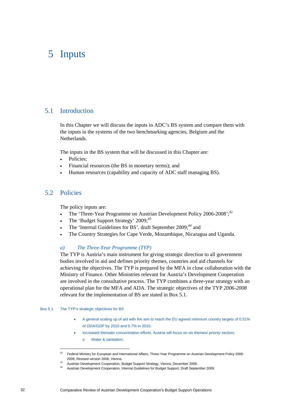# 5 Inputs

# 5.1 Introduction

In this Chapter we will discuss the inputs in ADC's BS system and compare them with the inputs in the systems of the two benchmarking agencies, Belgium and the **Netherlands** 

The inputs in the BS system that will be discussed in this Chapter are:

- Policies:
- Financial resources (the BS in monetary terms); and
- Human resources (capability and capacity of ADC staff managing BS).

# 5.2 Policies

The policy inputs are:

- The 'Three-Year Programme on Austrian Development Policy 2006-2008';<sup>42</sup>
- The 'Budget Support Strategy' 2009;<sup>43</sup>
- The 'Internal Guidelines for BS', draft September 2009;<sup>44</sup> and
- The Country Strategies for Cape Verde, Mozambique, Nicaragua and Uganda.

### *a) The Three-Year Programme (TYP)*

The TYP is Austria's main instrument for giving strategic direction to all government bodies involved in aid and defines priority themes, countries and aid channels for achieving the objectives. The TYP is prepared by the MFA in close collaboration with the Ministry of Finance. Other Ministries relevant for Austria's Development Cooperation are involved in the consultative process. The TYP combines a three-year strategy with an operational plan for the MFA and ADA. The strategic objectives of the TYP *2006-2008* relevant for the implementation of BS are stated in Box 5.1.

#### Box 5.1 The TYP's strategic objectives for BS

- A general scaling up of aid with the aim to reach the EU agreed minimum country targets of 0.51% of ODA/GDP by 2010 and 0.7% in 2015;
- Increased thematic concentration efforts. Austria will focus on six themes/ priority sectors:
	- o Water & sanitation;

<sup>42</sup> Federal Ministry for European and International Affairs, Three-Year Programme on Austrian Development Policy 2006-2008, Revised version 2006, Vienna.<br>
<sup>43</sup> Austrian Development Cooperation, Budget Support Strategy, Vienna, December 2009.<br>
<sup>44</sup> Austrian Development Cooperation, Internal Guidelines for Budget Support, Draft September 20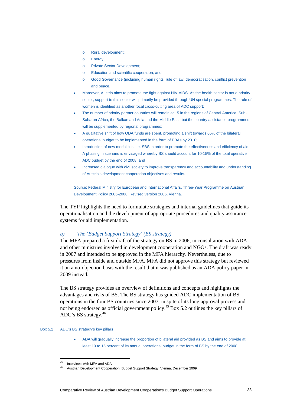- o Rural development;
- o Energy;
- o Private Sector Development;
- o Education and scientific cooperation; and
- o Good Governance (including human rights, rule of law, democratisation, conflict prevention and peace.
- Moreover, Austria aims to promote the fight against HIV-AIDS. As the health sector is not a priority sector, support to this sector will primarily be provided through UN special programmes. The role of women is identified as another focal cross-cutting area of ADC support;
- The number of priority partner countries will remain at 15 in the regions of Central America, Sub-Saharan Africa, the Balkan and Asia and the Middle East, but the country assistance programmes will be supplemented by regional programmes;
- A qualitative shift of how ODA funds are spent, promoting a shift towards 66% of the bilateral operational budget to be implemented in the form of PBAs by 2010;
- Introduction of new modalities, i.e. SBS in order to promote the effectiveness and efficiency of aid. A phasing in scenario is envisaged whereby BS should account for 10-15% of the total operative ADC budget by the end of 2008; and
- Increased dialogue with civil society to improve transparency and accountability and understanding of Austria's development cooperation objectives and results.

Source: Federal Ministry for European and International Affairs, Three-Year Programme on Austrian Development Policy 2006-2008, Revised version 2006, Vienna.

The TYP highlights the need to formulate strategies and internal guidelines that guide its operationalisation and the development of appropriate procedures and quality assurance systems for aid implementation.

### *b) The 'Budget Support Strategy' (BS strategy)*

The MFA prepared a first draft of the strategy on BS in 2006, in consultation with ADA and other ministries involved in development cooperation and NGOs. The draft was ready in 2007 and intended to be approved in the MFA hierarchy. Nevertheless, due to pressures from inside and outside MFA, MFA did not approve this strategy but reviewed it on a no-objection basis with the result that it was published as an ADA policy paper in 2009 instead.

The BS strategy provides an overview of definitions and concepts and highlights the advantages and risks of BS. The BS strategy has guided ADC implementation of BS operations in the four BS countries since 2007, in spite of its long approval process and not being endorsed as official government policy.<sup>45</sup> Box 5.2 outlines the key pillars of ADC's BS strategy.46

### Box 5.2 ADC's BS strategy's key pillars

 $\overline{a}$ 

 ADA will gradually increase the proportion of bilateral aid provided as BS and aims to provide at least 10 to 15 percent of its annual operational budget in the form of BS by the end of 2008,

Interviews with MFA and ADA.

<sup>46</sup> Austrian Development Cooperation, Budget Support Strategy, Vienna, December 2009.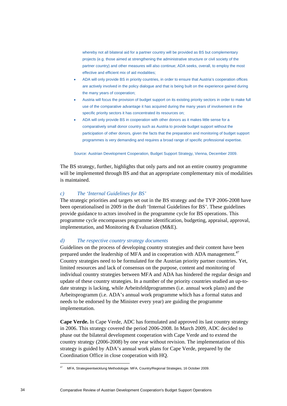whereby not all bilateral aid for a partner country will be provided as BS but complementary projects (e.g. those aimed at strengthening the administrative structure or civil society of the partner country) and other measures will also continue; ADA seeks, overall, to employ the most effective and efficient mix of aid modalities;

- ADA will only provide BS in priority countries, in order to ensure that Austria's cooperation offices are actively involved in the policy dialogue and that is being built on the experience gained during the many years of cooperation;
- Austria will focus the provision of budget support on its existing priority sectors in order to make full use of the comparative advantage it has acquired during the many years of involvement in the specific priority sectors it has concentrated its resources on;
- ADA will only provide BS in cooperation with other donors as it makes little sense for a comparatively small donor country such as Austria to provide budget support without the participation of other donors, given the facts that the preparation and monitoring of budget support programmes is very demanding and requires a broad range of specific professional expertise.

#### Source: Austrian Development Cooperation, Budget Support Strategy, Vienna, December 2009.

The BS strategy, further, highlights that only parts and not an entire country programme will be implemented through BS and that an appropriate complementary mix of modalities is maintained.

### *c) The 'Internal Guidelines for BS'*

The strategic priorities and targets set out in the BS strategy and the TYP 2006-2008 have been operationalised in 2009 in the draft 'Internal Guidelines for BS'. These guidelines provide guidance to actors involved in the programme cycle for BS operations. This programme cycle encompasses programme identification, budgeting, appraisal, approval, implementation, and Monitoring & Evaluation (M&E).

### *d) The respective country strategy documents*

Guidelines on the process of developing country strategies and their content have been prepared under the leadership of MFA and in cooperation with ADA management.<sup>47</sup> Country strategies need to be formulated for the Austrian priority partner countries. Yet, limited resources and lack of consensus on the purpose, content and monitoring of individual country strategies between MFA and ADA has hindered the regular design and update of these country strategies. In a number of the priority countries studied an up-todate strategy is lacking, while Arbeitsfeldprogrammes (i.e. annual work plans) and the Arbeitsprogramm (i.e. ADA's annual work programme which has a formal status and needs to be endorsed by the Minister every year) are guiding the programme implementation.

**Cape Verde.** In Cape Verde, ADC has formulated and approved its last country strategy in 2006. This strategy covered the period 2006-2008. In March 2009, ADC decided to phase out the bilateral development cooperation with Cape Verde and to extend the country strategy (2006-2008) by one year without revision. The implementation of this strategy is guided by ADA's annual work plans for Cape Verde, prepared by the Coordination Office in close cooperation with HQ.

<sup>47</sup> MFA, Strategieentwicklung Methodologie. MFA, Country/Regional Strategies, 16 October 2009.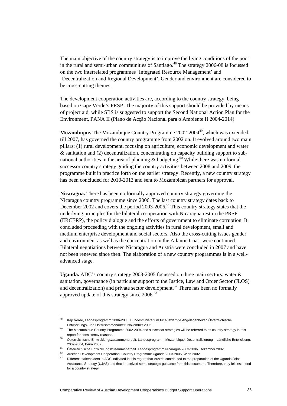The main objective of the country strategy is to improve the living conditions of the poor in the rural and semi-urban communities of Santiago.<sup>48</sup> The strategy  $2006-08$  is focussed on the two interrelated programmes 'Integrated Resource Management' and 'Decentralization and Regional Development'. Gender and environment are considered to be cross-cutting themes.

The development cooperation activities are, according to the country strategy, being based on Cape Verde's PRSP. The majority of this support should be provided by means of project aid, while SBS is suggested to support the Second National Action Plan for the Environment, PANA II (Plano de Acção Nacional para o Ambiente II 2004-2014).

**Mozambique.** The Mozambique Country Programme 2002-2004<sup>49</sup>, which was extended till 2007, has governed the country programme from 2002 on. It evolved around two main pillars: (1) rural development, focusing on agriculture, economic development and water & sanitation and (2) decentralization, concentrating on capacity building support to subnational authorities in the area of planning  $\&$  budgeting.<sup>50</sup> While there was no formal successor country strategy guiding the country activities between 2008 and 2009, the programme built in practice forth on the earlier strategy. Recently, a new country strategy has been concluded for 2010-2013 and sent to Mozambican partners for approval.

**Nicaragua.** There has been no formally approved country strategy governing the Nicaragua country programme since 2006. The last country strategy dates back to December 2002 and covers the period 2003-2006.<sup>51</sup> This country strategy states that the underlying principles for the bilateral co-operation with Nicaragua rest in the PRSP (ERCERP), the policy dialogue and the efforts of government to eliminate corruption. It concluded proceeding with the ongoing activities in rural development, small and medium enterprise development and social sectors. Also the cross-cutting issues gender and environment as well as the concentration in the Atlantic Coast were continued. Bilateral negotiations between Nicaragua and Austria were concluded in 2007 and have not been renewed since then. The elaboration of a new country programmes is in a welladvanced stage.

**Uganda.** ADC's country strategy 2003-2005 focussed on three main sectors: water & sanitation, governance (in particular support to the Justice, Law and Order Sector (JLOS) and decentralization) and private sector development.<sup>52</sup> There has been no formally approved update of this strategy since  $2006$ <sup>53</sup>

<sup>48</sup> Kap Verde, Landesprogramm 2006-2008, Bundesministerium für auswärtige Angelegenheiten Österreichische Entwicklungs- und Ostzusammenarbeit, November 2006.<br>The Mozambique Country Programme 2002-2004 and successor strategies will be referred to as country strategy in this

report for consistency reasons. 50 Österreichische Entwicklungszusammenarbeit, Landesprogramm Mozambique, Dezentralisierung – Ländliche Entwicklung, 2002-2004, Beira 2002. 51 Österreichische Entwicklungszusammenarbeit. Landesprogramm Nicaragua 2003-2006. Dezember 2002.

<sup>52</sup> Austrian Development Cooperation, Country Programme Uganda 2003-2005, Wien 2002.

<sup>53</sup> Different stakeholders in ADC indicated in this regard that Austria contributed to the preparation of the Uganda Joint Assistance Strategy (UJAS) and that it received some strategic guidance from this document. Therefore, they felt less need for a country strategy.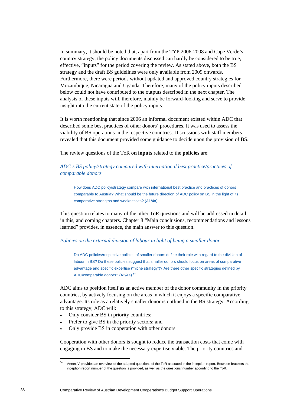In summary, it should be noted that, apart from the TYP 2006-2008 and Cape Verde's country strategy, the policy documents discussed can hardly be considered to be true, effective, "inputs" for the period covering the review. As stated above, both the BS strategy and the draft BS guidelines were only available from 2009 onwards. Furthermore, there were periods without updated and approved country strategies for Mozambique, Nicaragua and Uganda. Therefore, many of the policy inputs described below could not have contributed to the outputs described in the next chapter. The analysis of these inputs will, therefore, mainly be forward-looking and serve to provide insight into the current state of the policy inputs.

It is worth mentioning that since 2006 an informal document existed within ADC that described some best practices of other donors' procedures. It was used to assess the viability of BS operations in the respective countries. Discussions with staff members revealed that this document provided some guidance to decide upon the provision of BS.

The review questions of the ToR **on inputs** related to the **policies** are:

# *ADC's BS policy/strategy compared with international best practice/practices of comparable donors*

How does ADC policy/strategy compare with international best practice and practices of donors comparable to Austria? What should be the future direction of ADC policy on BS in the light of its comparative strengths and weaknesses? (A1/4a)

This question relates to many of the other ToR questions and will be addressed in detail in this, and coming chapters. Chapter 8 "Main conclusions, recommendations and lessons learned" provides, in essence, the main answer to this question.

# *Policies on the external division of labour in light of being a smaller donor*

Do ADC policies/respective policies of smaller donors define their role with regard to the division of labour in BS? Do these policies suggest that smaller donors should focus on areas of comparative advantage and specific expertise ("niche strategy")? Are there other specific strategies defined by ADC/comparable donors? (A2/4a).<sup>54</sup>

ADC aims to position itself as an active member of the donor community in the priority countries, by actively focusing on the areas in which it enjoys a specific comparative advantage. Its role as a relatively smaller donor is outlined in the BS strategy. According to this strategy, ADC will:

- Only consider BS in priority countries;
- Prefer to give BS in the priority sectors; and
- Only provide BS in cooperation with other donors.

Cooperation with other donors is sought to reduce the transaction costs that come with engaging in BS and to make the necessary expertise viable. The priority countries and

Annex V provides an overview of the adapted questions of the ToR as stated in the inception report. Between brackets the inception report number of the question is provided, as well as the questions' number according to the ToR.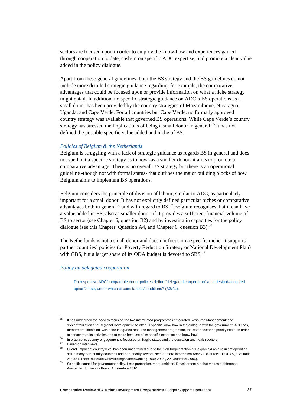sectors are focused upon in order to employ the know-how and experiences gained through cooperation to date, cash-in on specific ADC expertise, and promote a clear value added in the policy dialogue.

Apart from these general guidelines, both the BS strategy and the BS guidelines do not include more detailed strategic guidance regarding, for example, the comparative advantages that could be focused upon or provide information on what a niche strategy might entail. In addition, no specific strategic guidance on ADC's BS operations as a small donor has been provided by the country strategies of Mozambique, Nicaragua, Uganda, and Cape Verde. For all countries but Cape Verde, no formally approved country strategy was available that governed BS operations. While Cape Verde's country strategy has stressed the implications of being a small donor in general,<sup>55</sup> it has not defined the possible specific value added and niche of BS.

## *Policies of Belgium & the Netherlands*

Belgium is struggling with a lack of strategic guidance as regards BS in general and does not spell out a specific strategy as to how -as a smaller donor- it aims to promote a comparative advantage. There is no overall BS strategy but there is an operational guideline -though not with formal status- that outlines the major building blocks of how Belgium aims to implement BS operations.

Belgium considers the principle of division of labour, similar to ADC, as particularly important for a small donor. It has not explicitly defined particular niches or comparative advantages both in general<sup>56</sup> and with regard to  $BS^{57}$ . Belgium recognises that it can have a value added in BS, also as smaller donor, if it provides a sufficient financial volume of BS to sector (see Chapter 6, question B2) and by investing in capacities for the policy dialogue (see this Chapter, Question A4, and Chapter 6, question B3).<sup>58</sup>

The Netherlands is not a small donor and does not focus on a specific niche. It supports partner countries' policies (or Poverty Reduction Strategy or National Development Plan) with GBS, but a larger share of its ODA budget is devoted to  $SBS$ <sup>59</sup>

# *Policy on delegated cooperation*

Do respective ADC/comparable donor policies define "delegated cooperation" as a desired/accepted option? If so, under which circumstances/conditions? (A3/4a).

<sup>&</sup>lt;sup>55</sup> It has underlined the need to focus on the two interrelated programmes 'Integrated Resource Management' and 'Decentralization and Regional Development' to offer its specific know how in the dialogue with the government. ADC has, furthermore, identified, within the integrated resource management programme, the water sector as priority sector in order

to concentrate its activities and to make best use of its specific expertise and know how.<br><sup>56</sup> In practice its country engagement is focussed on fragile states and the education and health sectors.<br><sup>57</sup> Based on interview

<sup>58</sup> Overall impact at country level has been undermined due to the high fragmentation of Belgian aid as a result of operating still in many non-priority countries and non-priority sectors, see for more information Annex I. (Source: ECORYS, 'Evaluatie

van de Directe Bilaterale Ontwikkelingssamenwerking,1999-2005', 22 December 2006). Scientific council for government policy, Less pretension, more ambition. Development aid that makes a difference, Amsterdam University Press, Amsterdam 2010.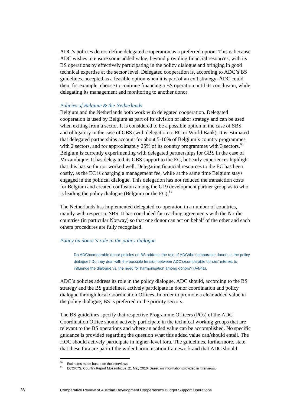ADC's policies do not define delegated cooperation as a preferred option. This is because ADC wishes to ensure some added value, beyond providing financial resources, with its BS operations by effectively participating in the policy dialogue and bringing in good technical expertise at the sector level. Delegated cooperation is, according to ADC's BS guidelines, accepted as a feasible option when it is part of an exit strategy. ADC could then, for example, choose to continue financing a BS operation until its conclusion, while delegating its management and monitoring to another donor.

## *Policies of Belgium & the Netherlands*

Belgium and the Netherlands both work with delegated cooperation. Delegated cooperation is used by Belgium as part of its division of labor strategy and can be used when exiting from a sector. It is considered to be a possible option in the case of SBS and obligatory in the case of GBS (with delegation to EC or World Bank). It is estimated that delegated partnerships account for about 5-10% of Belgium's country programmes with 2 sectors, and for approximately  $25\%$  of its country programmes with 3 sectors.<sup>60</sup> Belgium is currently experimenting with delegated partnerships for GBS in the case of Mozambique. It has delegated its GBS support to the EC, but early experiences highlight that this has so far not worked well. Delegating financial resources to the EC has been costly, as the EC is charging a management fee, while at the same time Belgium stays engaged in the political dialogue. This delegation has not reduced the transaction costs for Belgium and created confusion among the G19 development partner group as to who is leading the policy dialogue (Belgium or the EC). $61$ 

The Netherlands has implemented delegated co-operation in a number of countries, mainly with respect to SBS. It has concluded far reaching agreements with the Nordic countries (in particular Norway) so that one donor can act on behalf of the other and each others procedures are fully recognised.

# *Policy on donor's role in the policy dialogue*

Do ADC/comparable donor policies on BS address the role of ADC/the comparable donors in the policy dialogue? Do they deal with the possible tension between ADC's/comparable donors' interest to influence the dialogue vs. the need for harmonisation among donors? (A4/4a).

ADC's policies address its role in the policy dialogue. ADC should, according to the BS strategy and the BS guidelines, actively participate in donor coordination and policy dialogue through local Coordination Offices. In order to promote a clear added value in the policy dialogue, BS is preferred in the priority sectors.

The BS guidelines specify that respective Programme Officers (POs) of the ADC Coordination Office should actively participate in the technical working groups that are relevant to the BS operations and where an added value can be accomplished. No specific guidance is provided regarding the question what this added value can/should entail. The HOC should actively participate in higher-level fora. The guidelines, furthermore, state that these fora are part of the wider harmonisation framework and that ADC should

<sup>&</sup>lt;sup>60</sup> Estimates made based on the interviews.

<sup>61</sup> ECORYS, Country Report Mozambique, 21 May 2010. Based on information provided in interviews.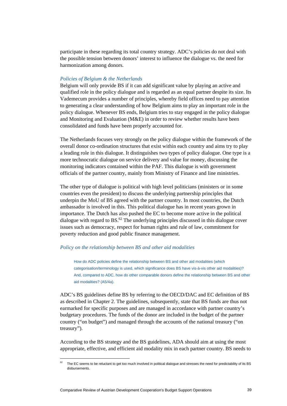participate in these regarding its total country strategy. ADC's policies do not deal with the possible tension between donors' interest to influence the dialogue vs. the need for harmonization among donors.

# *Policies of Belgium & the Netherlands*

Belgium will only provide BS if it can add significant value by playing an active and qualified role in the policy dialogue and is regarded as an equal partner despite its size. Its Vademecum provides a number of principles, whereby field offices need to pay attention to generating a clear understanding of how Belgium aims to play an important role in the policy dialogue. Whenever BS ends, Belgium tries to stay engaged in the policy dialogue and Monitoring and Evaluation (M&E) in order to review whether results have been consolidated and funds have been properly accounted for.

The Netherlands focuses very strongly on the policy dialogue within the framework of the overall donor co-ordination structures that exist within each country and aims try to play a leading role in this dialogue. It distinguishes two types of policy dialogue. One type is a more technocratic dialogue on service delivery and value for money, discussing the monitoring indicators contained within the PAF. This dialogue is with government officials of the partner country, mainly from Ministry of Finance and line ministries.

The other type of dialogue is political with high level politicians (ministers or in some countries even the president) to discuss the underlying partnership principles that underpin the MoU of BS agreed with the partner country. In most countries, the Dutch ambassador is involved in this. This political dialogue has in recent years grown in importance. The Dutch has also pushed the EC to become more active in the political dialogue with regard to  $BS^{62}$ . The underlying principles discussed in this dialogue cover issues such as democracy, respect for human rights and rule of law, commitment for poverty reduction and good public finance management.

#### *Policy on the relationship between BS and other aid modalities*

How do ADC policies define the relationship between BS and other aid modalities (which categorisation/terminology is used, which significance does BS have vis-à-vis other aid modalities)? And, compared to ADC, how do other comparable donors define the relationship between BS and other aid modalities? (A5/4a).

ADC's BS guidelines define BS by referring to the OECD/DAC and EC definition of BS as described in Chapter 2. The guidelines, subsequently, state that BS funds are thus not earmarked for specific purposes and are managed in accordance with partner country's budgetary procedures. The funds of the donor are included in the budget of the partner country ("on budget") and managed through the accounts of the national treasury ("on treasury").

According to the BS strategy and the BS guidelines, ADA should aim at using the most appropriate, effective, and efficient aid modality mix in each partner country. BS needs to

The EC seems to be reluctant to get too much involved in political dialogue and stresses the need for predictability of its BS disbursements.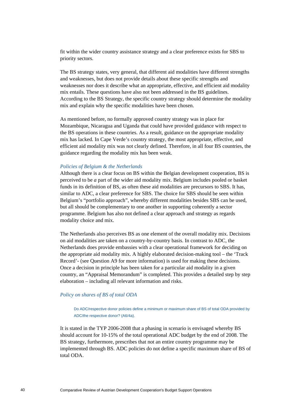fit within the wider country assistance strategy and a clear preference exists for SBS to priority sectors.

The BS strategy states, very general, that different aid modalities have different strengths and weaknesses, but does not provide details about these specific strengths and weaknesses nor does it describe what an appropriate, effective, and efficient aid modality mix entails. These questions have also not been addressed in the BS guidelines. According to the BS Strategy, the specific country strategy should determine the modality mix and explain why the specific modalities have been chosen.

As mentioned before, no formally approved country strategy was in place for Mozambique, Nicaragua and Uganda that could have provided guidance with respect to the BS operations in these countries. As a result, guidance on the appropriate modality mix has lacked. In Cape Verde's country strategy, the most appropriate, effective, and efficient aid modality mix was not clearly defined. Therefore, in all four BS countries, the guidance regarding the modality mix has been weak.

## *Policies of Belgium & the Netherlands*

Although there is a clear focus on BS within the Belgian development cooperation, BS is perceived to be *a* part of the wider aid modality mix. Belgium includes pooled or basket funds in its definition of BS, as often these aid modalities are precursors to SBS. It has, similar to ADC, a clear preference for SBS. The choice for SBS should be seen within Belgium's "portfolio approach", whereby different modalities besides SBS can be used, but all should be complementary to one another in supporting coherently a sector programme. Belgium has also not defined a clear approach and strategy as regards modality choice and mix.

The Netherlands also perceives BS as one element of the overall modality mix. Decisions on aid modalities are taken on a country-by-country basis. In contrast to ADC, the Netherlands does provide embassies with a clear operational framework for deciding on the appropriate aid modality mix. A highly elaborated decision-making tool – the 'Track Record'- (see Question A9 for more information) is used for making these decisions. Once a decision in principle has been taken for a particular aid modality in a given country, an "Appraisal Memorandum" is completed. This provides a detailed step by step elaboration – including all relevant information and risks.

# *Policy on shares of BS of total ODA*

Do ADC/respective donor policies define a minimum or maximum share of BS of total ODA provided by ADC/the respective donor? (A6/4a).

It is stated in the TYP 2006-2008 that a phasing in scenario is envisaged whereby BS should account for 10-15% of the total operational ADC budget by the end of 2008. The BS strategy, furthermore, prescribes that not an entire country programme may be implemented through BS. ADC policies do not define a specific maximum share of BS of total ODA.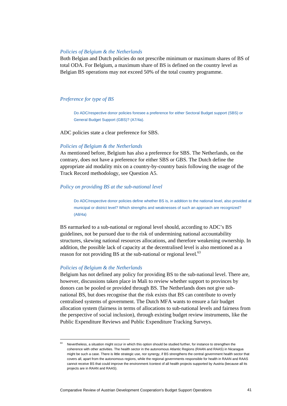#### *Policies of Belgium & the Netherlands*

Both Belgian and Dutch policies do not prescribe minimum or maximum shares of BS of total ODA. For Belgium, a maximum share of BS is defined on the country level as Belgian BS operations may not exceed 50% of the total country programme.

# *Preference for type of BS*

Do ADC/respective donor policies foresee a preference for either Sectoral Budget support (SBS) or General Budget Support (GBS)? (A7/4a).

ADC policies state a clear preference for SBS.

#### *Policies of Belgium & the Netherlands*

As mentioned before, Belgium has also a preference for SBS. The Netherlands, on the contrary, does not have a preference for either SBS or GBS. The Dutch define the appropriate aid modality mix on a country-by-country basis following the usage of the Track Record methodology, see Question A5.

## *Policy on providing BS at the sub-national level*

Do ADC/respective donor policies define whether BS is, in addition to the national level, also provided at municipal or district level? Which strengths and weaknesses of such an approach are recognized? (A8/4a)

BS earmarked to a sub-national or regional level should, according to ADC's BS guidelines, not be pursued due to the risk of undermining national accountability structures, skewing national resources allocations, and therefore weakening ownership. In addition, the possible lack of capacity at the decentralised level is also mentioned as a reason for not providing BS at the sub-national or regional level. $^{63}$ 

# *Policies of Belgium & the Netherlands*

Belgium has not defined any policy for providing BS to the sub-national level. There are, however, discussions taken place in Mali to review whether support to provinces by donors can be pooled or provided through BS. The Netherlands does not give subnational BS, but does recognise that the risk exists that BS can contribute to overly centralised systems of government. The Dutch MFA wants to ensure a fair budget allocation system (fairness in terms of allocations to sub-national levels and fairness from the perspective of social inclusion), through existing budget review instruments, like the Public Expenditure Reviews and Public Expenditure Tracking Surveys.

 $63$  Nevertheless, a situation might occur in which this option should be studied further, for instance to strengthen the coherence with other activities. The health sector in the autonomous Atlantic Regions (RAAN and RAAS) in Nicaragua might be such a case. There is little strategic use, nor synergy, if BS strengthens the central government health sector that covers all, apart from the autonomous regions, while the regional governments responsible for health in RAAN and RAAS cannot receive BS that could improve the environment /context of all health projects supported by Austria (because all its projects are in RAAN and RAAS).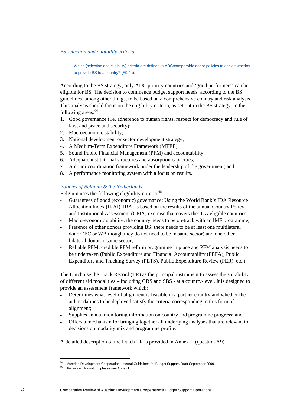*BS selection and eligibility criteria* 

Which (selection and eligibility) criteria are defined in ADC/comparable donor policies to decide whether to provide BS to a country? (A9/4a).

According to the BS strategy, only ADC priority countries and 'good performers' can be eligible for BS. The decision to commence budget support needs, according to the BS guidelines, among other things, to be based on a comprehensive country and risk analysis. This analysis should focus on the eligibility criteria, as set out in the BS strategy, in the following areas:<sup>64</sup>

- 1. Good governance (i.e. adherence to human rights, respect for democracy and rule of law, and peace and security);
- 2. Macroeconomic stability;
- 3. National development or sector development strategy;
- 4. A Medium-Term Expenditure Framework (MTEF);
- 5. Sound Public Financial Management (PFM) and accountability;
- 6. Adequate institutional structures and absorption capacities;
- 7. A donor coordination framework under the leadership of the government; and
- 8. A performance monitoring system with a focus on results.

# *Policies of Belgium & the Netherlands*

Belgium uses the following eligibility criteria:<sup>65</sup>

- Guarantees of good (economic) governance: Using the World Bank's IDA Resource Allocation Index (IRAI). IRAI is based on the results of the annual Country Policy and Institutional Assessment (CPIA) exercise that covers the IDA eligible countries;
- Macro-economic stability: the country needs to be on-track with an IMF programme;
- Presence of other donors providing BS: there needs to be at least one multilateral donor (EC or WB though they do not need to be in same sector) and one other bilateral donor in same sector;
- Reliable PFM: credible PFM reform programme in place and PFM analysis needs to be undertaken (Public Expenditure and Financial Accountability (PEFA), Public Expenditure and Tracking Survey (PETS), Public Expenditure Review (PER), etc.).

The Dutch use the Track Record (TR) as the principal instrument to assess the suitability of different aid modalities – including GBS and SBS - at a country-level. It is designed to provide an assessment framework which:

- Determines what level of alignment is feasible in a partner country and whether the aid modalities to be deployed satisfy the criteria corresponding to this form of alignment;
- Supplies annual monitoring information on country and programme progress; and
- Offers a mechanism for bringing together all underlying analyses that are relevant to decisions on modality mix and programme profile.

A detailed description of the Dutch TR is provided in Annex II (question A9).

<sup>&</sup>lt;sup>64</sup> Austrian Development Cooperation, Internal Guidelines for Budget Support, Draft September 2009.<br><sup>65</sup> For more information, please see Annex I.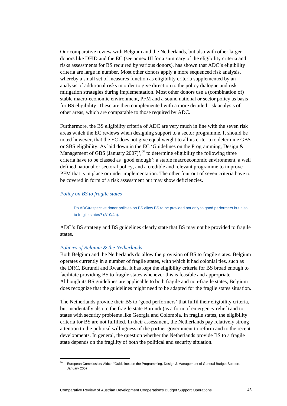Our comparative review with Belgium and the Netherlands, but also with other larger donors like DFID and the EC (see annex III for a summary of the eligibility criteria and risks assessments for BS required by various donors), has shown that ADC's eligibility criteria are large in number. Most other donors apply a more sequenced risk analysis, whereby a small set of measures function as eligibility criteria supplemented by an analysis of additional risks in order to give direction to the policy dialogue and risk mitigation strategies during implementation. Most other donors use a (combination of) stable macro-economic environment, PFM and a sound national or sector policy as basis for BS eligibility. These are then complemented with a more detailed risk analysis of other areas, which are comparable to those required by ADC.

Furthermore, the BS eligibility criteria of ADC are very much in line with the seven risk areas which the EC reviews when designing support to a sector programme. It should be noted however, that the EC does not give equal weight to all its criteria to determine GBS or SBS eligibility. As laid down in the EC 'Guidelines on the Programming, Design  $\&$ Management of GBS (January 2007)',<sup>66</sup> to determine eligibility the following three criteria have to be classed as 'good enough': a stable macroeconomic environment, a well defined national or sectoral policy, and a credible and relevant programme to improve PFM that is in place or under implementation. The other four out of seven criteria have to be covered in form of a risk assessment but may show deficiencies.

# *Policy on BS to fragile states*

Do ADC/respective donor policies on BS allow BS to be provided not only to good performers but also to fragile states? (A10/4a).

ADC's BS strategy and BS guidelines clearly state that BS may not be provided to fragile states.

# *Policies of Belgium & the Netherlands*

 $\overline{a}$ 

Both Belgium and the Netherlands do allow the provision of BS to fragile states. Belgium operates currently in a number of fragile states, with which it had colonial ties, such as the DRC, Burundi and Rwanda. It has kept the eligibility criteria for BS broad enough to facilitate providing BS to fragile states whenever this is feasible and appropriate. Although its BS guidelines are applicable to both fragile and non-fragile states, Belgium does recognize that the guidelines might need to be adapted for the fragile states situation.

The Netherlands provide their BS to 'good performers' that fulfil their eligibility criteria, but incidentally also to the fragile state Burundi (as a form of emergency relief) and to states with security problems like Georgia and Colombia. In fragile states, the eligibility criteria for BS are not fulfilled. In their assessment, the Netherlands pay relatively strong attention to the political willingness of the partner government to reform and to the recent developments. In general, the question whether the Netherlands provide BS to a fragile state depends on the fragility of both the political and security situation.

<sup>66</sup> European Commission/ Aidco, "Guidelines on the Programming, Design & Management of General Budget Support, January 2007.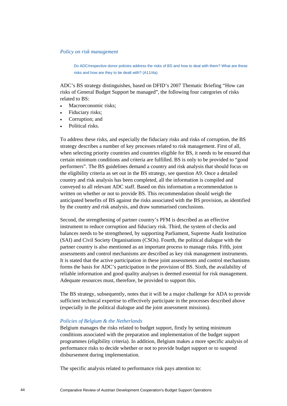## *Policy on risk management*

Do ADC/respective donor policies address the risks of BS and how to deal with them? What are these risks and how are they to be dealt with? (A11/4a).

ADC's BS strategy distinguishes, based on DFID's 2007 Thematic Briefing "How can risks of General Budget Support be managed", the following four categories of risks related to BS:

- Macroeconomic risks;
- Fiduciary risks;
- Corruption; and
- Political risks.

To address these risks, and especially the fiduciary risks and risks of corruption, the BS strategy describes a number of key processes related to risk management. First of all, when selecting priority countries and countries eligible for BS, it needs to be ensured that certain minimum conditions and criteria are fulfilled. BS is only to be provided to "good performers". The BS guidelines demand a country and risk analysis that should focus on the eligibility criteria as set out in the BS strategy, see question A9. Once a detailed country and risk analysis has been completed, all the information is compiled and conveyed to all relevant ADC staff. Based on this information a recommendation is written on whether or not to provide BS. This recommendation should weigh the anticipated benefits of BS against the risks associated with the BS provision, as identified by the country and risk analysis, and draw summarised conclusions.

Second, the strengthening of partner country's PFM is described as an effective instrument to reduce corruption and fiduciary risk. Third, the system of checks and balances needs to be strengthened, by supporting Parliament, Supreme Audit Institution (SAI) and Civil Society Organisations (CSOs). Fourth, the political dialogue with the partner country is also mentioned as an important process to manage risks. Fifth, joint assessments and control mechanisms are described as key risk management instruments. It is stated that the active participation in these joint assessments and control mechanisms forms the basis for ADC's participation in the provision of BS. Sixth, the availability of reliable information and good quality analyses is deemed essential for risk management. Adequate resources must, therefore, be provided to support this.

The BS strategy, subsequently, notes that it will be a major challenge for ADA to provide sufficient technical expertise to effectively participate in the processes described above (especially in the political dialogue and the joint assessment missions).

# *Policies of Belgium & the Netherlands*

Belgium manages the risks related to budget support, firstly by setting minimum conditions associated with the preparation and implementation of the budget support programmes (eligibility criteria). In addition, Belgium makes a more specific analysis of performance risks to decide whether or not to provide budget support or to suspend disbursement during implementation.

The specific analysis related to performance risk pays attention to: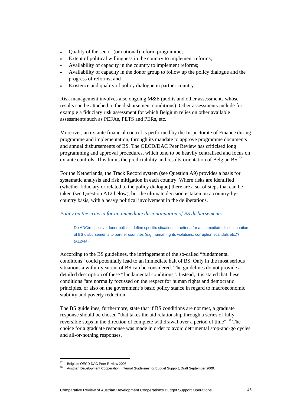- Quality of the sector (or national) reform programme;
- Extent of political willingness in the country to implement reforms;
- Availability of capacity in the country to implement reforms;
- Availability of capacity in the donor group to follow up the policy dialogue and the progress of reforms; and
- Existence and quality of policy dialogue in partner country.

Risk management involves also ongoing M&E (audits and other assessments whose results can be attached to the disbursement conditions). Other assessments include for example a fiduciary risk assessment for which Belgium relies on other available assessments such as PEFAs, PETS and PERs, etc.

Moreover, an ex-ante financial control is performed by the Inspectorate of Finance during programme and implementation, through its mandate to approve programme documents and annual disbursements of BS. The OECD/DAC Peer Review has criticised long programming and approval procedures, which tend to be heavily centralised and focus on ex-ante controls. This limits the predictability and results-orientation of Belgian BS. $67$ 

For the Netherlands, the Track Record system (see Question A9) provides a basis for systematic analysis and risk mitigation in each country. Where risks are identified (whether fiduciary or related to the policy dialogue) there are a set of steps that can be taken (see Question A12 below), but the ultimate decision is taken on a country-bycountry basis, with a heavy political involvement in the deliberations.

# *Policy on the criteria for an immediate discontinuation of BS disbursements*

Do ADC/respective donor policies define specific situations or criteria for an immediate discontinuation of BS disbursements to partner countries (e.g. human rights violations, corruption scandals etc.)? (A12/4a).

According to the BS guidelines, the infringement of the so-called "fundamental conditions" could potentially lead to an immediate halt of BS. Only in the most serious situations a within-year cut of BS can be considered. The guidelines do not provide a detailed description of these "fundamental conditions". Instead, it is stated that these conditions "are normally focussed on the respect for human rights and democratic principles, or also on the government's basic policy stance in regard to macroeconomic stability and poverty reduction".

The BS guidelines, furthermore, state that if BS conditions are not met, a graduate response should be chosen "that takes the aid relationship through a series of fully reversible steps in the direction of complete withdrawal over a period of time".<sup>68</sup> The choice for a graduate response was made in order to avoid detrimental stop-and-go cycles and all-or-nothing responses.

Belgium OECD DAC Peer Review 2005.

<sup>68</sup> Austrian Development Cooperation, Internal Guidelines for Budget Support, Draft September 2009.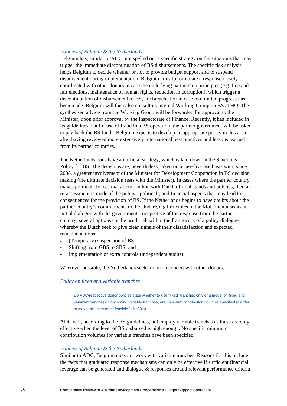#### *Policies of Belgium & the Netherlands*

Belgium has, similar to ADC, not spelled out a specific strategy on the situations that may trigger the immediate discontinuation of BS disbursements. The specific risk analysis helps Belgium to decide whether or not to provide budget support and to suspend disbursement during implementation. Belgium aims to formulate a response closely coordinated with other donors in case the underlying partnership principles (e.g. free and fair elections, maintenance of human rights, reduction in corruption), which trigger a discontinuation of disbursement of BS, are breached or in case too limited progress has been made. Belgium will then also consult its internal Working Group on BS at HQ. The synthesised advice from the Working Group will be forwarded for approval to the Minister, upon prior approval by the Inspectorate of Finance. Recently, it has included in its guidelines that in case of fraud in a BS operation, the partner government will be asked to pay back the BS funds. Belgium expects to develop an appropriate policy in this area after having reviewed more extensively international best practices and lessons learned from its partner countries.

The Netherlands does have an official strategy, which is laid down in the Sanctions Policy for BS. The decisions are, nevertheless, taken on a case-by-case basis with, since 2008, a greater involvement of the Minister for Development Cooperation in BS decision making (the ultimate decision rests with the Minister). In cases where the partner country makes political choices that are not in line with Dutch official stands and policies, then an re-assessment is made of the policy-, political-, and financial aspects that may lead to consequences for the provision of BS. If the Netherlands begins to have doubts about the partner country's commitments to the Underlying Principles in the MoU then it seeks an initial dialogue with the government. Irrespective of the response from the partner country, several options can be used – all within the framework of a policy dialogue whereby the Dutch seek to give clear signals of their dissatisfaction and expected remedial actions:

- (Temporary) suspension of BS;
- Shifting from GBS to SBS; and
- Implementation of extra controls (independent audits).

Wherever possible, the Netherlands seeks to act in concert with other donors.

# *Policy on fixed and variable tranches*

Do ADC/respective donor policies state whether to use "fixed" tranches only or a model of "fixed and variable" tranches? Concerning variable tranches, are minimum contribution volumes specified in order to make this instrument feasible? (A13/4a).

ADC will, according to the BS guidelines, not employ variable tranches as these are only effective when the level of BS disbursed is high enough. No specific minimum contribution volumes for variable tranches have been specified.

#### *Policies of Belgium & the Netherlands*

Similar to ADC, Belgium does not work with variable tranches. Reasons for this include the facts that graduated response mechanisms can only be effective if sufficient financial leverage can be generated and dialogue & responses around relevant performance criteria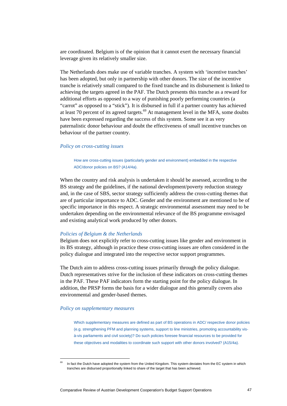are coordinated. Belgium is of the opinion that it cannot exert the necessary financial leverage given its relatively smaller size.

The Netherlands does make use of variable tranches. A system with 'incentive tranches' has been adopted, but only in partnership with other donors. The size of the incentive tranche is relatively small compared to the fixed tranche and its disbursement is linked to achieving the targets agreed in the PAF. The Dutch presents this tranche as a reward for additional efforts as opposed to a way of punishing poorly performing countries (a "carrot" as opposed to a "stick"). It is disbursed in full if a partner country has achieved at least 70 percent of its agreed targets. $69$  At management level in the MFA, some doubts have been expressed regarding the success of this system. Some see it as very paternalistic donor behaviour and doubt the effectiveness of small incentive tranches on behaviour of the partner country.

# *Policy on cross-cutting issues*

How are cross-cutting issues (particularly gender and environment) embedded in the respective ADC/donor policies on BS? (A14/4a).

When the country and risk analysis is undertaken it should be assessed, according to the BS strategy and the guidelines, if the national development/poverty reduction strategy and, in the case of SBS, sector strategy sufficiently address the cross-cutting themes that are of particular importance to ADC. Gender and the environment are mentioned to be of specific importance in this respect. A strategic environmental assessment may need to be undertaken depending on the environmental relevance of the BS programme envisaged and existing analytical work produced by other donors.

#### *Policies of Belgium & the Netherlands*

Belgium does not explicitly refer to cross-cutting issues like gender and environment in its BS strategy, although in practice these cross-cutting issues are often considered in the policy dialogue and integrated into the respective sector support programmes.

The Dutch aim to address cross-cutting issues primarily through the policy dialogue. Dutch representatives strive for the inclusion of these indicators on cross-cutting themes in the PAF. These PAF indicators form the starting point for the policy dialogue. In addition, the PRSP forms the basis for a wider dialogue and this generally covers also environmental and gender-based themes.

#### *Policy on supplementary measures*

 $\overline{a}$ 

Which supplementary measures are defined as part of BS operations in ADC/ respective donor policies (e.g. strengthening PFM and planning systems, support to line ministries, promoting accountability visà-vis parliaments and civil society)? Do such policies foresee financial resources to be provided for these objectives and modalities to coordinate such support with other donors involved? (A15/4a).

In fact the Dutch have adopted the system from the United Kingdom. This system deviates from the EC system in which tranches are disbursed proportionally linked to share of the target that has been achieved.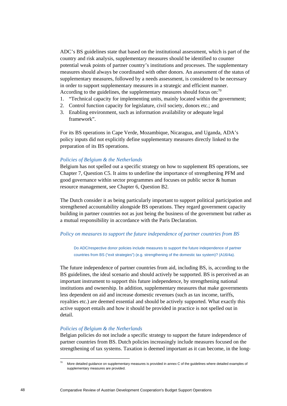ADC's BS guidelines state that based on the institutional assessment, which is part of the country and risk analysis, supplementary measures should be identified to counter potential weak points of partner country's institutions and processes. The supplementary measures should always be coordinated with other donors. An assessment of the status of supplementary measures, followed by a needs assessment, is considered to be necessary in order to support supplementary measures in a strategic and efficient manner. According to the guidelines, the supplementary measures should focus on:  $\frac{70}{2}$ 

- 1. "Technical capacity for implementing units, mainly located within the government;
- 2. Control function capacity for legislature, civil society, donors etc.; and
- 3. Enabling environment, such as information availability or adequate legal framework".

For its BS operations in Cape Verde, Mozambique, Nicaragua, and Uganda, ADA's policy inputs did not explicitly define supplementary measures directly linked to the preparation of its BS operations.

# *Policies of Belgium & the Netherlands*

Belgium has not spelled out a specific strategy on how to supplement BS operations, see Chapter 7, Question C5. It aims to underline the importance of strengthening PFM and good governance within sector programmes and focuses on public sector & human resource management, see Chapter 6, Question B2.

The Dutch consider it as being particularly important to support political participation and strengthened accountability alongside BS operations. They regard government capacity building in partner countries not as just being the business of the government but rather as a mutual responsibility in accordance with the Paris Declaration.

# *Policy on measures to support the future independence of partner countries from BS*

Do ADC/respective donor policies include measures to support the future independence of partner countries from BS ("exit strategies") (e.g. strengthening of the domestic tax system)? (A16/4a).

The future independence of partner countries from aid, including BS, is, according to the BS guidelines, the ideal scenario and should actively be supported. BS is perceived as an important instrument to support this future independence, by strengthening national institutions and ownership. In addition, supplementary measures that make governments less dependent on aid and increase domestic revenues (such as tax income, tariffs, royalties etc.) are deemed essential and should be actively supported. What exactly this active support entails and how it should be provided in practice is not spelled out in detail.

# *Policies of Belgium & the Netherlands*

Belgian policies do not include a specific strategy to support the future independence of partner countries from BS. Dutch policies increasingly include measures focused on the strengthening of tax systems. Taxation is deemed important as it can become, in the long-

<sup>70</sup> More detailed guidance on supplementary measures is provided in annex C of the guidelines where detailed examples of supplementary measures are provided.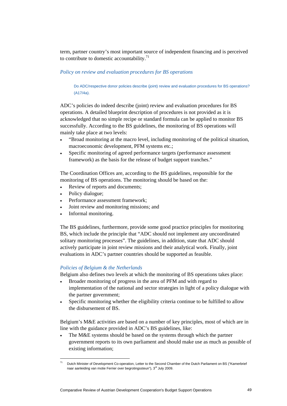term, partner country's most important source of independent financing and is perceived to contribute to domestic accountability. $71$ 

# *Policy on review and evaluation procedures for BS operations*

Do ADC/respective donor policies describe (joint) review and evaluation procedures for BS operations? (A17/4a).

ADC's policies do indeed describe (joint) review and evaluation procedures for BS operations. A detailed blueprint description of procedures is not provided as it is acknowledged that no simple recipe or standard formula can be applied to monitor BS successfully. According to the BS guidelines, the monitoring of BS operations will mainly take place at two levels:

- "Broad monitoring at the macro level, including monitoring of the political situation, macroeconomic development, PFM systems etc.;
- Specific monitoring of agreed performance targets (performance assessment framework) as the basis for the release of budget support tranches."

The Coordination Offices are, according to the BS guidelines, responsible for the monitoring of BS operations. The monitoring should be based on the:

- Review of reports and documents;
- Policy dialogue;

 $\overline{a}$ 

- Performance assessment framework;
- Joint review and monitoring missions; and
- Informal monitoring.

The BS guidelines, furthermore, provide some good practice principles for monitoring BS, which include the principle that "ADC should not implement any uncoordinated solitary monitoring processes". The guidelines, in addition, state that ADC should actively participate in joint review missions and their analytical work. Finally, joint evaluations in ADC's partner countries should be supported as feasible.

# *Policies of Belgium & the Netherlands*

Belgium also defines two levels at which the monitoring of BS operations takes place:

- Broader monitoring of progress in the area of PFM and with regard to implementation of the national and sector strategies in light of a policy dialogue with the partner government;
- Specific monitoring whether the eligibility criteria continue to be fulfilled to allow the disbursement of BS.

Belgium's M&E activities are based on a number of key principles, most of which are in line with the guidance provided in ADC's BS guidelines, like:

• The M&E systems should be based on the systems through which the partner government reports to its own parliament and should make use as much as possible of existing information;

Dutch Minister of Development Co-operation, Letter to the Second Chamber of the Dutch Parliament on BS ("Kamerbrief naar aanleiding van motie Ferrier over begrotingssteun"), 3<sup>rd</sup> July 2009.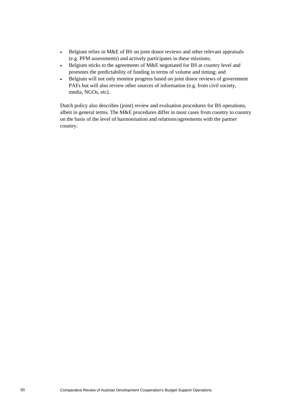- Belgium relies in M&E of BS on joint donor reviews and other relevant appraisals (e.g. PFM assessments) and actively participates in these missions;
- Belgium sticks to the agreements of M&E negotiated for BS at country level and promotes the predictability of funding in terms of volume and timing; and
- Belgium will not only monitor progress based on joint donor reviews of government PAFs but will also review other sources of information (e.g. from civil society, media, NGOs, etc).

Dutch policy also describes (joint) review and evaluation procedures for BS operations, albeit in general terms. The M&E procedures differ in most cases from country to country on the basis of the level of harmonisation and relations/agreements with the partner country.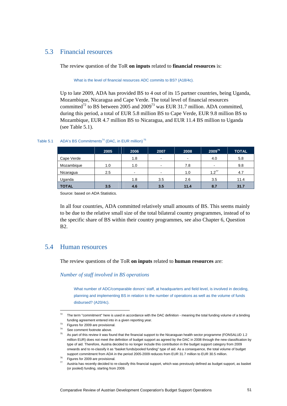# 5.3 Financial resources

The review question of the ToR **on inputs** related to **financial resources** is:

What is the level of financial resources ADC commits to BS? (A18/4c).

Up to late 2009, ADA has provided BS to 4 out of its 15 partner countries, being Uganda, Mozambique, Nicaragua and Cape Verde. The total level of financial resources committed<sup>72</sup> to BS between 2005 and 2009<sup>73</sup> was EUR 31.7 million. ADA committed, during this period, a total of EUR 5.8 million BS to Cape Verde, EUR 9.8 million BS to Mozambique, EUR 4.7 million BS to Nicaragua, and EUR 11.4 BS million to Uganda (see Table 5.1).

## Table 5.1 ADA's BS Commitments<sup>74</sup> (DAC, in EUR million)<sup>75</sup>

|              | 2005 | 2006                     | 2007 | 2008           | 200976     | <b>TOTAL</b> |
|--------------|------|--------------------------|------|----------------|------------|--------------|
| Cape Verde   |      | 1.8                      | $\,$ | $\blacksquare$ | 4.0        | 5.8          |
| Mozambique   | 1.0  | 1.0                      | $\,$ | 7.8            | ۰          | 9.8          |
| Nicaragua    | 2.5  | $\overline{\phantom{a}}$ | $\,$ | 1.0            | $1.2^{77}$ | 4.7          |
| Uganda       |      | 1.8                      | 3.5  | 2.6            | 3.5        | 11.4         |
| <b>TOTAL</b> | 3.5  | 4.6                      | 3.5  | 11.4           | 8.7        | 31.7         |

Source: based on ADA Statistics.

In all four countries, ADA committed relatively small amounts of BS. This seems mainly to be due to the relative small size of the total bilateral country programmes, instead of to the specific share of BS within their country programmes, see also Chapter 6, Question B2.

# 5.4 Human resources

The review questions of the ToR **on inputs** related to **human resources** are:

*Number of staff involved in BS operations* 

What number of ADC/comparable donors' staff, at headquarters and field level, is involved in deciding, planning and implementing BS in relation to the number of operations as well as the volume of funds disbursed? (A20/4c).

 $72$  The term "commitment" here is used in accordance with the DAC definition - meaning the total funding volume of a binding funding agreement entered into in a given reporting year. 73 Figures for 2009 are provisional.

 $74$  See comment footnote above.

 $75$  As part of this review it was found that the financial support to the Nicaraguan health sector programme (FONSALUD 1.2 million EUR) does not meet the definition of budget support as agreed by the DAC in 2008 through the new classification by type of aid. Therefore, Austria decided to no longer include this contribution in the budget support category from 2009 onwards and to re-classify it as "basket funds/pooled funding" type of aid. As a consequence, the total volume of budget support commitment from ADA in the period 2005-2009 reduces from EUR 31.7 million to EUR 30.5 million.<br><sup>76</sup> Figures for 2009 are provisional.

Austria has recently decided to re-classify this financial support, which was previously defined as budget support, as basket (or pooled) funding, starting from 2009.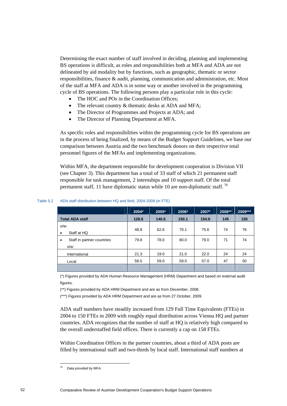Determining the exact number of staff involved in deciding, planning and implementing BS operations is difficult, as roles and responsibilities both at MFA and ADA are not delineated by aid modality but by functions, such as geographic, thematic or sector responsibilities, finance & audit, planning, communication and administration, etc. Most of the staff at MFA and ADA is in some way or another involved in the programming cycle of BS operations. The following persons play a particular role in this cycle:

- The HOC and POs in the Coordination Offices;
- The relevant country & thematic desks at ADA and MFA;
- The Director of Programmes and Projects at ADA; and
- The Director of Planning Department at MFA.

As specific roles and responsibilities within the programming cycle for BS operations are in the process of being finalized, by means of the Budget Support Guidelines, we base our comparison between Austria and the two benchmark donors on their respective total personnel figures of the MFAs and implementing organizations.

Within MFA, the department responsible for development cooperation is Division VII (see Chapter 3). This department has a total of 33 staff of which 21 permanent staff responsible for task management, 2 internships and 10 support staff. Of the total permanent staff, 11 have diplomatic status while 10 are non-diplomatic staff.<sup>78</sup>

|                                                    | 2004* | 2005* | 2006* | 2007* | 2008** | 2009*** |
|----------------------------------------------------|-------|-------|-------|-------|--------|---------|
| <b>Total ADA staff</b>                             | 128.6 | 140.6 | 150.1 | 154.6 | 145    | 150     |
| $O/W$ .<br>Staff at HQ<br>$\bullet$                | 48.8  | 62.6  | 70.1  | 75.6  | 74     | 76      |
| Staff in partner countries<br>$\bullet$<br>$O/W$ . | 79.8  | 78.0  | 80.0  | 79.0  | 71     | 74      |
| International                                      | 21.3  | 19.0  | 21.0  | 22.0  | 24     | 24      |
| Local                                              | 58.5  | 59.0  | 59.0  | 57.0  | 47     | 50      |

#### Table 5.2 ADA staff distribution between HQ and field, 2004-2009 (in FTE)

(\*) Figures provided by ADA Human Resource Management (HRM) Department and based on external audit figures.

(\*\*) Figures provided by ADA HRM Department and are as from December, 2008.

(\*\*\*) Figures provided by ADA HRM Department and are as from 27 October, 2009.

ADA staff numbers have steadily increased from 129 Full Time Equivalents (FTEs) in 2004 to 150 FTEs in 2009 with roughly equal distribution across Vienna HQ and partner countries. ADA recognizes that the number of staff at HQ is relatively high compared to the overall understaffed field offices. There is currently a cap on 158 FTEs.

Within Coordination Offices in the partner countries, about a third of ADA posts are filled by international staff and two-thirds by local staff. International staff numbers at

<sup>78</sup> Data provided by MFA.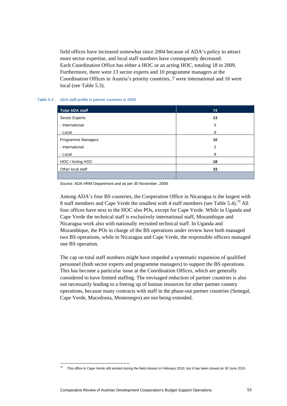field offices have increased somewhat since 2004 because of ADA's policy to attract more sector expertise, and local staff numbers have consequently decreased. Each Coordination Office has either a HOC or an acting HOC, totaling 18 in 2009. Furthermore, there were 13 sector experts and 10 programme managers at the Coordination Offices in Austria's priority countries, 7 were international and 16 were local (see Table 5.3).

# Table 5.3 ADA staff profile in partner countries in 2009

| <b>Total ADA staff</b> | 74 |
|------------------------|----|
| Sector Experts         | 13 |
| - International        | 5  |
| - Local                | 8  |
| Programme Managers     | 10 |
| - International        | 2  |
| - Local                | 8  |
| HOC / Acting HOC       | 18 |
| Other local staff      | 33 |
|                        |    |

Source: ADA HRM Department and as per 30 November, 2009.

Among ADA's four BS countries, the Cooperation Office in Nicaragua is the largest with 8 staff members and Cape Verde the smallest with 4 staff members (see Table 5.4).<sup>79</sup> All four offices have next to the HOC also POs, except for Cape Verde. While in Uganda and Cape Verde the technical staff is exclusively international staff, Mozambique and Nicaragua work also with nationally recruited technical staff. In Uganda and Mozambique, the POs in charge of the BS operations under review have both managed two BS operations, while in Nicaragua and Cape Verde, the responsible officers managed one BS operation.

The cap on total staff numbers might have impeded a systematic expansion of qualified personnel (both sector experts and programme managers) to support the BS operations. This has become a particular issue at the Coordination Offices, which are generally considered to have limited staffing. The envisaged reduction of partner countries is also not necessarily leading to a freeing up of human resources for other partner country operations, because many contracts with staff in the phase-out partner countries (Senegal, Cape Verde, Macedonia, Montenegro) are not being extended.

 $79$  This office in Cape Verde still existed during the field mission in February 2010, but it has been closed on 30 June 2010.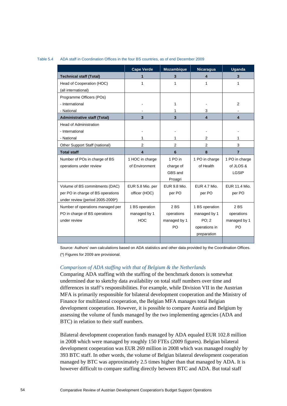#### Table 5.4 ADA staff in Coordination Offices in the four BS countries, as of end December 2009

|                                     | <b>Cape Verde</b> | <b>Mozambique</b> | Nicaragua           | <b>Uganda</b>  |
|-------------------------------------|-------------------|-------------------|---------------------|----------------|
| <b>Technical staff (Total)</b>      |                   | 3                 | 4                   | 3              |
| Head of Cooperation (HOC)           | 1                 | 1                 | 1                   | 1              |
| (all international)                 |                   |                   |                     |                |
| Programme Officers (POs)            |                   |                   |                     |                |
| - International                     |                   | 1                 |                     | 2              |
| - National                          |                   | 1                 | 3                   |                |
| <b>Administrative staff (Total)</b> | 3                 | 3                 | 4                   | 4              |
| <b>Head of Administration</b>       |                   |                   |                     |                |
| - International                     |                   |                   |                     |                |
| - National                          | 1                 | 1                 | 2                   | 1              |
| Other Support Staff (national)      | $\overline{2}$    | $\overline{2}$    | 2                   | 3              |
| <b>Total staff</b>                  | 4                 | $6\phantom{1}6$   | 8                   | $\overline{7}$ |
| Number of POs in charge of BS       | 1 HOC in charge   | 1 PO in           | 1 PO in charge      | 1 PO in charge |
| operations under review             | of Environment    | charge of         | of Health           | of JLOS &      |
|                                     |                   | GBS and           |                     | LGSIP          |
|                                     |                   | Proagri           |                     |                |
| Volume of BS commitments (DAC)      | EUR 5.8 Mio. per  | EUR 9.8 Mio.      | <b>EUR 4.7 Mio.</b> | EUR 11.4 Mio.  |
| per PO in charge of BS operations   | officer (HOC)     | per PO            | per PO              | per PO         |
| under review (period 2005-2009*)    |                   |                   |                     |                |
| Number of operations managed per    | 1 BS operation    | 2BS               | 1 BS operation      | 2BS            |
| PO in charge of BS operations       | managed by 1      | operations        | managed by 1        | operations     |
| under review                        | <b>HOC</b>        | managed by 1      | PO: 2               | managed by 1   |
|                                     |                   | PO                | operations in       | PO             |
|                                     |                   |                   | preparation         |                |
|                                     |                   |                   |                     |                |

Source: Authors' own calculations based on ADA statistics and other data provided by the Coordination Offices. (\*) Figures for 2009 are provisional.

# *Comparison of ADA staffing with that of Belgium & the Netherlands*

Comparing ADA staffing with the staffing of the benchmark donors is somewhat undermined due to sketchy data availability on total staff numbers over time and differences in staff's responsibilities. For example, while Division VII in the Austrian MFA is primarily responsible for bilateral development cooperation and the Ministry of Finance for multilateral cooperation, the Belgian MFA manages total Belgian development cooperation. However, it is possible to compare Austria and Belgium by assessing the volume of funds managed by the two implementing agencies (ADA and BTC) in relation to their staff numbers.

Bilateral development cooperation funds managed by ADA equaled EUR 102.8 million in 2008 which were managed by roughly 150 FTEs (2009 figures). Belgian bilateral development cooperation was EUR 269 million in 2008 which was managed roughly by 393 BTC staff. In other words, the volume of Belgian bilateral development cooperation managed by BTC was approximately 2.5 times higher than that managed by ADA. It is however difficult to compare staffing directly between BTC and ADA. But total staff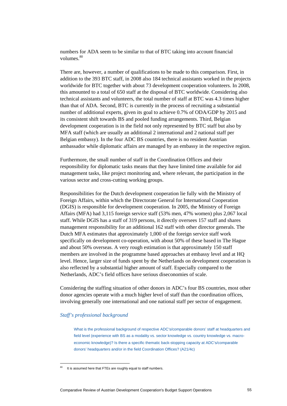numbers for ADA seem to be similar to that of BTC taking into account financial volumes.<sup>80</sup>

There are, however, a number of qualifications to be made to this comparison. First, in addition to the 393 BTC staff, in 2008 also 184 technical assistants worked in the projects worldwide for BTC together with about 73 development cooperation volunteers. In 2008, this amounted to a total of 650 staff at the disposal of BTC worldwide. Considering also technical assistants and volunteers, the total number of staff at BTC was 4.3 times higher than that of ADA. Second, BTC is currently in the process of recruiting a substantial number of additional experts, given its goal to achieve 0.7% of ODA/GDP by 2015 and its consistent shift towards BS and pooled funding arrangements. Third, Belgian development cooperation is in the field not only represented by BTC staff but also by MFA staff (which are usually an additional 2 international and 2 national staff per Belgian embassy). In the four ADC BS countries, there is no resident Austrian ambassador while diplomatic affairs are managed by an embassy in the respective region.

Furthermore, the small number of staff in the Coordination Offices and their responsibility for diplomatic tasks means that they have limited time available for aid management tasks, like project monitoring and, where relevant, the participation in the various sector and cross-cutting working groups.

Responsibilities for the Dutch development cooperation lie fully with the Ministry of Foreign Affairs, within which the Directorate General for International Cooperation (DGIS) is responsible for development cooperation. In 2005, the Ministry of Foreign Affairs (MFA) had 3,115 foreign service staff (53% men, 47% women) plus 2,067 local staff. While DGIS has a staff of 319 persons, it directly oversees 157 staff and shares management responsibility for an additional 162 staff with other director generals. The Dutch MFA estimates that approximately 1,000 of the foreign service staff work specifically on development co-operation, with about 50% of these based in The Hague and about 50% overseas. A very rough estimation is that approximately 150 staff members are involved in the programme based approaches at embassy level and at HQ level. Hence, larger size of funds spent by the Netherlands on development cooperation is also reflected by a substantial higher amount of staff. Especially compared to the Netherlands, ADC's field offices have serious diseconomies of scale.

Considering the staffing situation of other donors in ADC's four BS countries, most other donor agencies operate with a much higher level of staff than the coordination offices, involving generally one international and one national staff per sector of engagement.

#### *Staff's professional background*

What is the professional background of respective ADC's/comparable donors' staff at headquarters and field level (experience with BS as a modality vs. sector knowledge vs. country knowledge vs. macroeconomic knowledge)? Is there a specific thematic back-stopping capacity at ADC's/comparable donors' headquarters and/or in the field Coordination Offices? (A21/4c)

It is assumed here that FTEs are roughly equal to staff numbers.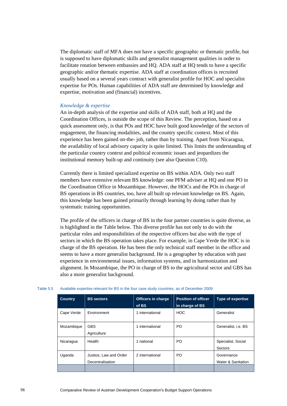The diplomatic staff of MFA does not have a specific geographic or thematic profile, but is supposed to have diplomatic skills and generalist management qualities in order to facilitate rotation between embassies and HQ. ADA staff at HQ tends to have a specific geographic and/or thematic expertise. ADA staff at coordination offices is recruited usually based on a several years contract with generalist profile for HOC and specialist expertise for POs. Human capabilities of ADA staff are determined by knowledge and expertise, motivation and (financial) incentives.

# *Knowledge & expertise*

An in-depth analysis of the expertise and skills of ADA staff, both at HQ and the Coordination Offices, is outside the scope of this Review. The perception, based on a quick assessment only, is that POs and HOC have built good knowledge of the sectors of engagement, the financing modalities, and the country specific context. Most of this experience has been gained on-the- job, rather than by training. Apart from Nicaragua, the availability of local advisory capacity is quite limited. This limits the understanding of the particular country context and political economic issues and jeopardizes the institutional memory built-up and continuity (see also Question C10).

Currently there is limited specialized expertise on BS within ADA. Only two staff members have extensive relevant BS knowledge: one PFM adviser at HQ and one PO in the Coordination Office in Mozambique. However, the HOCs and the POs in charge of BS operations in BS countries, too, have all built up relevant knowledge on BS. Again, this knowledge has been gained primarily through learning by doing rather than by systematic training opportunities.

The profile of the officers in charge of BS in the four partner countries is quite diverse, as is highlighted in the Table below. This diverse profile has not only to do with the particular roles and responsibilities of the respective officers but also with the type of sectors in which the BS operation takes place. For example, in Cape Verde the HOC is in charge of the BS operation. He has been the only technical staff member in the office and seems to have a more generalist background. He is a geographer by education with past experience in environmental issues, information systems, and in harmonization and alignment. In Mozambique, the PO in charge of BS to the agricultural sector and GBS has also a more generalist background.

| <b>Country</b> | <b>BS</b> sectors                          | <b>Officers in charge</b><br>of BS | <b>Position of officer</b><br>in charge of BS | <b>Type of expertise</b>         |
|----------------|--------------------------------------------|------------------------------------|-----------------------------------------------|----------------------------------|
| Cape Verde     | <b>Environment</b>                         | 1 international                    | <b>HOC</b>                                    | Generalist                       |
| Mozambique     | <b>GBS</b><br>Agriculture                  | 1 international                    | PO.                                           | Generalist, i.e. BS              |
| Nicaragua      | Health                                     | 1 national                         | PO.                                           | Specialist, Social<br>Sectors    |
| Uganda         | Justice, Law and Order<br>Decentralisation | 2 international                    | PO.                                           | Governance<br>Water & Sanitation |
|                |                                            |                                    |                                               |                                  |

#### Table 5.5 Available expertise relevant for BS in the four case study countries, as of December 2009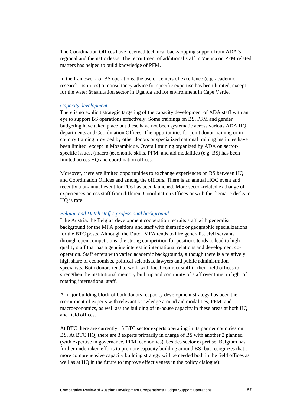The Coordination Offices have received technical backstopping support from ADA's regional and thematic desks. The recruitment of additional staff in Vienna on PFM related matters has helped to build knowledge of PFM.

In the framework of BS operations, the use of centers of excellence (e.g. academic research institutes) or consultancy advice for specific expertise has been limited, except for the water & sanitation sector in Uganda and for environment in Cape Verde.

## *Capacity development*

There is no explicit strategic targeting of the capacity development of ADA staff with an eye to support BS operations effectively. Some trainings on BS, PFM and gender budgeting have taken place but these have not been systematic across various ADA HQ departments and Coordination Offices. The opportunities for joint donor training or incountry training provided by other donors or specialized national training institutes have been limited, except in Mozambique. Overall training organized by ADA on sectorspecific issues, (macro-)economic skills, PFM, and aid modalities (e.g. BS) has been limited across HQ and coordination offices.

Moreover, there are limited opportunities to exchange experiences on BS between HQ and Coordination Offices and among the officers. There is an annual HOC event and recently a bi-annual event for POs has been launched. More sector-related exchange of experiences across staff from different Coordination Offices or with the thematic desks in HQ is rare.

#### *Belgian and Dutch staff's professional background*

Like Austria, the Belgian development cooperation recruits staff with generalist background for the MFA positions and staff with thematic or geographic specializations for the BTC posts. Although the Dutch MFA tends to hire generalist civil servants through open competitions, the strong competition for positions tends to lead to high quality staff that has a genuine interest in international relations and development cooperation. Staff enters with varied academic backgrounds, although there is a relatively high share of economists, political scientists, lawyers and public administration specialists. Both donors tend to work with local contract staff in their field offices to strengthen the institutional memory built up and continuity of staff over time, in light of rotating international staff.

A major building block of both donors' capacity development strategy has been the recruitment of experts with relevant knowledge around aid modalities, PFM, and macroeconomics, as well ass the building of in-house capacity in these areas at both HQ and field offices.

At BTC there are currently 15 BTC sector experts operating in its partner countries on BS. At BTC HQ, there are 3 experts primarily in charge of BS with another 2 planned (with expertise in governance, PFM, economics), besides sector expertise. Belgium has further undertaken efforts to promote capacity building around BS (but recognizes that a more comprehensive capacity building strategy will be needed both in the field offices as well as at HQ in the future to improve effectiveness in the policy dialogue):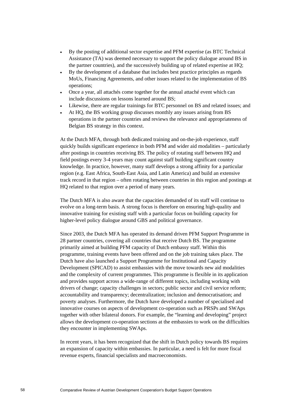- By the posting of additional sector expertise and PFM expertise (as BTC Technical Assistance (TA) was deemed necessary to support the policy dialogue around BS in the partner countries), and the successively building up of related expertise at HQ;
- By the development of a database that includes best practice principles as regards MoUs, Financing Agreements, and other issues related to the implementation of BS operations;
- Once a year, all attachés come together for the annual attaché event which can include discussions on lessons learned around BS;
- Likewise, there are regular trainings for BTC personnel on BS and related issues; and
- At HQ, the BS working group discusses monthly any issues arising from BS operations in the partner countries and reviews the relevance and appropriateness of Belgian BS strategy in this context.

At the Dutch MFA, through both dedicated training and on-the-job experience, staff quickly builds significant experience in both PFM and wider aid modalities – particularly after postings in countries receiving BS. The policy of rotating staff between HQ and field postings every 3-4 years may count against staff building significant country knowledge. In practice, however, many staff develops a strong affinity for a particular region (e.g. East Africa, South-East Asia, and Latin America) and build an extensive track record in that region – often rotating between countries in this region and postings at HQ related to that region over a period of many years.

The Dutch MFA is also aware that the capacities demanded of its staff will continue to evolve on a long-term basis. A strong focus is therefore on ensuring high-quality and innovative training for existing staff with a particular focus on building capacity for higher-level policy dialogue around GBS and political governance.

Since 2003, the Dutch MFA has operated its demand driven PFM Support Programme in 28 partner countries, covering all countries that receive Dutch BS. The programme primarily aimed at building PFM capacity of Dutch embassy staff. Within this programme, training events have been offered and on the job training takes place. The Dutch have also launched a Support Programme for Institutional and Capacity Development (SPICAD) to assist embassies with the move towards new aid modalities and the complexity of current programmes. This programme is flexible in its application and provides support across a wide-range of different topics, including working with drivers of change; capacity challenges in sectors; public sector and civil service reform; accountability and transparency; decentralization; inclusion and democratisation; and poverty analyses. Furthermore, the Dutch have developed a number of specialised and innovative courses on aspects of development co-operation such as PRSPs and SWAps together with other bilateral donors. For example, the "learning and developing" project allows the development co-operation sections at the embassies to work on the difficulties they encounter in implementing SWAps.

In recent years, it has been recognized that the shift in Dutch policy towards BS requires an expansion of capacity within embassies. In particular, a need is felt for more fiscal revenue experts, financial specialists and macroeconomists.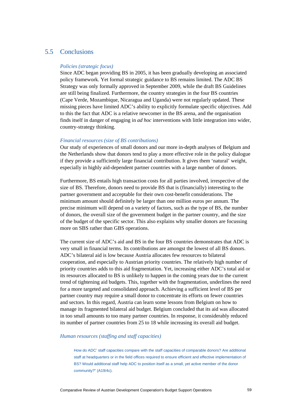# 5.5 Conclusions

# *Policies (strategic focus)*

Since ADC began providing BS in 2005, it has been gradually developing an associated policy framework. Yet formal strategic guidance to BS remains limited. The ADC BS Strategy was only formally approved in September 2009, while the draft BS Guidelines are still being finalized. Furthermore, the country strategies in the four BS countries (Cape Verde, Mozambique, Nicaragua and Uganda) were not regularly updated. These missing pieces have limited ADC's ability to explicitly formulate specific objectives. Add to this the fact that ADC is a relative newcomer in the BS arena, and the organisation finds itself in danger of engaging in *ad hoc* interventions with little integration into wider, country-strategy thinking.

# *Financial resources (size of BS contributions)*

Our study of experiences of small donors and our more in-depth analyses of Belgium and the Netherlands show that donors tend to play a more effective role in the policy dialogue if they provide a sufficiently large financial contribution. It gives them 'natural' weight, especially in highly aid-dependent partner countries with a large number of donors.

Furthermore, BS entails high transaction costs for all parties involved, irrespective of the size of BS. Therefore, donors need to provide BS that is (financially) interesting to the partner government and acceptable for their own cost-benefit considerations. The minimum amount should definitely be larger than one million euros per annum. The precise minimum will depend on a variety of factors, such as the type of BS, the number of donors, the overall size of the government budget in the partner country, and the size of the budget of the specific sector. This also explains why smaller donors are focussing more on SBS rather than GBS operations.

The current size of ADC's aid and BS in the four BS countries demonstrates that ADC is very small in financial terms. Its contributions are amongst the lowest of all BS donors. ADC's bilateral aid is low because Austria allocates few resources to bilateral cooperation, and especially to Austrian priority countries. The relatively high number of priority countries adds to this aid fragmentation. Yet, increasing either ADC's total aid or its resources allocated to BS is unlikely to happen in the coming years due to the current trend of tightening aid budgets. This, together with the fragmentation, underlines the need for a more targeted and consolidated approach. Achieving a sufficient level of BS per partner country may require a small donor to concentrate its efforts on fewer countries and sectors. In this regard, Austria can learn some lessons from Belgium on how to manage its fragmented bilateral aid budget. Belgium concluded that its aid was allocated in too small amounts to too many partner countries. In response, it considerably reduced its number of partner countries from 25 to 18 while increasing its overall aid budget.

#### *Human resources (staffing and staff capacities)*

How do ADC' staff capacities compare with the staff capacities of comparable donors? Are additional staff at headquarters or in the field offices required to ensure efficient and effective implementation of BS? Would additional staff help ADC to position itself as a small, yet active member of the donor community?" (A19/4c).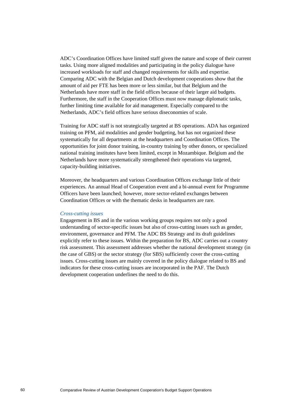ADC's Coordination Offices have limited staff given the nature and scope of their current tasks. Using more aligned modalities and participating in the policy dialogue have increased workloads for staff and changed requirements for skills and expertise. Comparing ADC with the Belgian and Dutch development cooperations show that the amount of aid per FTE has been more or less similar, but that Belgium and the Netherlands have more staff in the field offices because of their larger aid budgets. Furthermore, the staff in the Cooperation Offices must now manage diplomatic tasks, further limiting time available for aid management. Especially compared to the Netherlands, ADC's field offices have serious diseconomies of scale.

Training for ADC staff is not strategically targeted at BS operations. ADA has organized training on PFM, aid modalities and gender budgeting, but has not organized these systematically for all departments at the headquarters and Coordination Offices. The opportunities for joint donor training, in-country training by other donors, or specialized national training institutes have been limited, except in Mozambique. Belgium and the Netherlands have more systematically strengthened their operations via targeted, capacity-building initiatives.

Moreover, the headquarters and various Coordination Offices exchange little of their experiences. An annual Head of Cooperation event and a bi-annual event for Programme Officers have been launched; however, more sector-related exchanges between Coordination Offices or with the thematic desks in headquarters are rare.

# *Cross-cutting issues*

Engagement in BS and in the various working groups requires not only a good understanding of sector-specific issues but also of cross-cutting issues such as gender, environment, governance and PFM. The ADC BS Strategy and its draft guidelines explicitly refer to these issues. Within the preparation for BS, ADC carries out a country risk assessment. This assessment addresses whether the national development strategy (in the case of GBS) or the sector strategy (for SBS) sufficiently cover the cross-cutting issues. Cross-cutting issues are mainly covered in the policy dialogue related to BS and indicators for these cross-cutting issues are incorporated in the PAF. The Dutch development cooperation underlines the need to do this.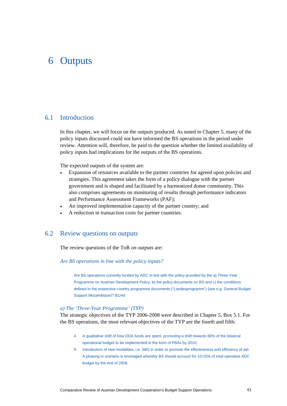# 6 Outputs

# 6.1 Introduction

In this chapter, we will focus on the outputs produced. As noted in Chapter 5, many of the policy inputs discussed could not have informed the BS operations in the period under review. Attention will, therefore, be paid to the question whether the limited availability of policy inputs had implications for the outputs of the BS operations.

The expected *outputs* of the system are:

- Expansion of resources available to the partner countries for agreed upon policies and strategies. This agreement takes the form of a policy dialogue with the partner government and is shaped and facilitated by a harmonized donor community. This also comprises agreements on monitoring of results through performance indicators and Performance Assessment Frameworks (PAF);
- An improved implementation capacity of the partner country; and
- A reduction in transaction costs for partner countries.

# 6.2 Review questions on outputs

The review questions of the ToR *on outputs* are:

# *Are BS operations in line with the policy inputs?*

Are BS operations currently funded by ADC in line with the policy provided by the a) Three-Year Programme on Austrian Development Policy, b) the policy documents on BS and c) the conditions defined in the respective country programme documents ("Landesprogramm") (see e.g. General Budget Support Mozambique)? B1/4d

## *a) The 'Three-Year Programme' (TYP)*

The strategic objectives of the TYP 2006-2008 were described in Chapter 5, Box 5.1. For the BS operations, the most relevant objectives of the TYP are the fourth and fifth:

- 4. A qualitative shift of how ODA funds are spent, promoting a shift towards 66% of the bilateral operational budget to be implemented in the form of PBAs by 2010;
- 5. Introduction of new modalities, i.e. SBS in order to promote the effectiveness and efficiency of aid. A phasing in scenario is envisaged whereby BS should account for 10-15% of total operative ADC budget by the end of 2008.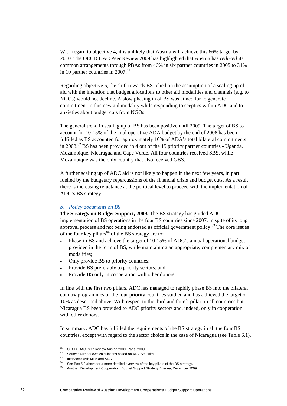With regard to objective 4, it is unlikely that Austria will achieve this 66% target by 2010. The OECD DAC Peer Review 2009 has highlighted that Austria has *reduced* its common arrangements through PBAs from 46% in six partner countries in 2005 to 31% in 10 partner countries in  $2007$ .<sup>81</sup>

Regarding objective 5, the shift towards BS relied on the assumption of a scaling up of aid with the intention that budget allocations to other aid modalities and channels (e.g. to NGOs) would not decline. A slow phasing in of BS was aimed for to generate commitment to this new aid modality while responding to sceptics within ADC and to anxieties about budget cuts from NGOs.

The general trend in scaling up of BS has been positive until 2009. The target of BS to account for 10-15% of the total operative ADA budget by the end of 2008 has been fulfilled as BS accounted for approximately 10% of ADA's total bilateral commitments in 2008.<sup>82</sup> BS has been provided in 4 out of the 15 priority partner countries - Uganda, Mozambique, Nicaragua and Cape Verde. All four countries received SBS, while Mozambique was the only country that also received GBS.

A further scaling up of ADC aid is not likely to happen in the next few years, in part fuelled by the budgetary repercussions of the financial crisis and budget cuts. As a result there is increasing reluctance at the political level to proceed with the implementation of ADC's BS strategy.

# *b) Policy documents on BS*

**The Strategy on Budget Support, 2009.** The BS strategy has guided ADC implementation of BS operations in the four BS countries since 2007, in spite of its long approval process and not being endorsed as official government policy.<sup>83</sup> The core issues of the four key pillars<sup>84</sup> of the BS strategy are to:  $85$ 

- Phase-in BS and achieve the target of 10-15% of ADC's annual operational budget provided in the form of BS, while maintaining an appropriate, complementary mix of modalities;
- Only provide BS to priority countries;
- Provide BS preferably to priority sectors; and
- Provide BS only in cooperation with other donors.

In line with the first two pillars, ADC has managed to rapidly phase BS into the bilateral country programmes of the four priority countries studied and has achieved the target of 10% as described above. With respect to the third and fourth pillar, in all countries but Nicaragua BS been provided to ADC priority sectors and, indeed, only in cooperation with other donors.

In summary, ADC has fulfilled the requirements of the BS strategy in all the four BS countries, except with regard to the sector choice in the case of Nicaragua (see Table 6.1).

<sup>81</sup> OECD, DAC Peer Review Austria 2009, Paris, 2009.

<sup>82</sup> Source: Authors own calculations based on ADA Statistics.

<sup>83</sup> Interviews with MFA and ADA.

<sup>&</sup>lt;sup>84</sup> See Box 5.2 above for a more detailed overview of the key pillars of the BS strategy.

Austrian Development Cooperation, Budget Support Strategy, Vienna, December 2009.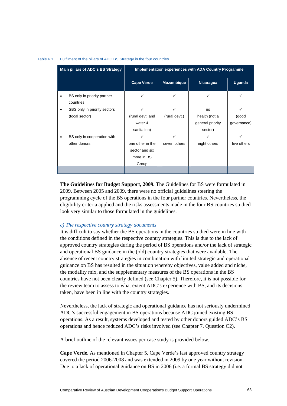| Main pillars of ADC's BS Strategy           | Implementation experiences with ADA Country Programme          |                   |                                              |                      |  |
|---------------------------------------------|----------------------------------------------------------------|-------------------|----------------------------------------------|----------------------|--|
|                                             | <b>Cape Verde</b>                                              | <b>Mozambique</b> | <b>Nicaragua</b>                             | Uganda               |  |
| BS only in priority partner<br>countries    | ✓                                                              | ✓                 | $\checkmark$                                 | ✓                    |  |
| SBS only in priority sectors<br>٠           | ✓                                                              | ✓                 | no                                           | ✓                    |  |
| (focal sector)                              | (rural devt. and<br>water &<br>sanitation)                     | (rural devt.)     | health (not a<br>general priority<br>sector) | (good<br>governance) |  |
| BS only in cooperation with<br>other donors | ✓<br>one other in the<br>sector and six<br>more in BS<br>Group | ✓<br>seven others | ✓<br>eight others                            | ✓<br>five others     |  |
|                                             |                                                                |                   |                                              |                      |  |

#### Table 6.1 Fulfilment of the pillars of ADC BS Strategy in the four countries

**The Guidelines for Budget Support, 2009.** The Guidelines for BS were formulated in 2009. Between 2005 and 2009, there were no official guidelines steering the programming cycle of the BS operations in the four partner countries. Nevertheless, the eligibility criteria applied and the risks assessments made in the four BS countries studied look very similar to those formulated in the guidelines.

# *c) The respective country strategy documents*

It is difficult to say whether the BS operations in the countries studied were in line with the conditions defined in the respective country strategies. This is due to the lack of approved country strategies during the period of BS operations and/or the lack of strategic and operational BS guidance in the (old) country strategies that were available. The absence of recent country strategies in combination with limited strategic and operational guidance on BS has resulted in the situation whereby objectives, value added and niche, the modality mix, and the supplementary measures of the BS operations in the BS countries have not been clearly defined (see Chapter 5). Therefore, it is not possible for the review team to assess to what extent ADC's experience with BS, and its decisions taken, have been in line with the country strategies.

Nevertheless, the lack of strategic and operational guidance has not seriously undermined ADC's successful engagement in BS operations because ADC joined existing BS operations. As a result, systems developed and tested by other donors guided ADC's BS operations and hence reduced ADC's risks involved (see Chapter 7, Question C2).

A brief outline of the relevant issues per case study is provided below.

**Cape Verde.** As mentioned in Chapter 5, Cape Verde's last approved country strategy covered the period 2006-2008 and was extended in 2009 by one year without revision. Due to a lack of operational guidance on BS in 2006 (i.e. a formal BS strategy did not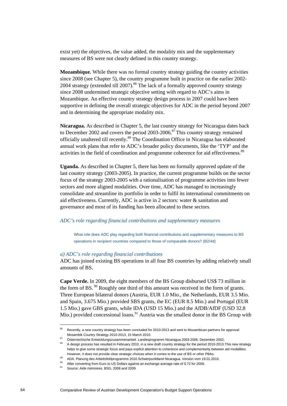exist yet) the objectives, the value added, the modality mix and the supplementary measures of BS were not clearly defined in this country strategy.

**Mozambique.** While there was no formal country strategy guiding the country activities since 2008 (see Chapter 5), the country programme built in practice on the earlier 2002- 2004 strategy (extended till 2007).<sup>86</sup> The lack of a formally approved country strategy since 2008 undermined strategic objective setting with regard to ADC's aims in Mozambique. An effective country strategy design process in 2007 could have been supportive in defining the overall strategic objectives for ADC in the period beyond 2007 and in determining the appropriate modality mix.

**Nicaragua.** As described in Chapter 5, the last country strategy for Nicaragua dates back to December 2002 and covers the period 2003-2006.<sup>87</sup> This country strategy remained officially unaltered till recently.88 The Coordination Office in Nicaragua has elaborated annual work plans that refer to ADC's broader policy documents, like the 'TYP' and the activities in the field of coordination and programme coherence for aid effectiveness.<sup>89</sup>

**Uganda.** As described in Chapter 5, there has been no formally approved update of the last country strategy (2003-2005). In practice, the current programme builds on the sector focus of the strategy 2003-2005 with a rationalisation of programme activities into fewer sectors and more aligned modalities. Over time, ADC has managed to increasingly consolidate and streamline its portfolio in order to fulfil its international commitments on aid effectiveness. Currently, ADC is active in 2 sectors: water & sanitation and governance and most of its funding has been allocated to these sectors.

# *ADC's role regarding financial contributions and supplementary measures*

What role does ADC play regarding both financial contributions and supplementary measures to BS operations in recipient countries compared to those of comparable donors? (B2/4d)

#### *a) ADC's role regarding financial contributions*

ADC has joined existing BS operations in all four BS countries by adding relatively small amounts of BS.

**Cape Verde.** In 2009, the eight members of the BS Group disbursed US\$ 73 million in the form of BS.  $90$  Roughly one third of this amount was received in the form of grants. Three European bilateral donors (Austria, EUR 1.0 Mio., the Netherlands, EUR 3.5 Mio. and Spain, 3.675 Mio.) provided SBS grants, the EC (EUR 8.5 Mio.) and Portugal (EUR 1.5 Mio.) gave GBS grants, while IDA (USD 15 Mio.) and the AfDB/AfDF (USD 32.8 Mio.) provided concessional loans.<sup>91</sup> Austria was the smallest donor in the BS Group with

<sup>&</sup>lt;sup>86</sup> Recently, a new country strategy has been concluded for 2010-2013 and sent to Mozambican partners for approval: Mosambik Country Strategy 2010-2013, 15 March 2010.<br>Österreichische Entwicklungszusammenarbeit. Landesprogramm Nicaragua 2003-2006. Dezember 2002.

<sup>88</sup> A design process has resulted in February 2010, in a new draft country strategy for the period 2010-2013.This new strategy helps to give some strategic focus and pays explicit attention to coherence and complementarity between aid modalities.

However, it does not provide clear strategic choices when it comes to the use of BS or other PBAs.<br>ADA. Planung des Arbeitsfeldprogramms 2010. Schwerpunktland Nicaragua. Version vom 19.01.2010.<br>After converting from Euro t

Source: Aide mémoires, BSG, 2008 and 2009.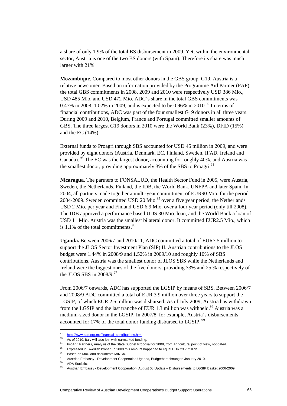a share of only 1.9% of the total BS disbursement in 2009. Yet, within the environmental sector, Austria is one of the two BS donors (with Spain). Therefore its share was much larger with 21%.

**Mozambique**. Compared to most other donors in the GBS group, G19, Austria is a relative newcomer. Based on information provided by the Programme Aid Partner (PAP), the total GBS commitments in 2008, 2009 and 2010 were respectively USD 386 Mio., USD 485 Mio. and USD 472 Mio. ADC's share in the total GBS commitments was 0.47% in 2008, 1.02% in 2009, and is expected to be 0.96% in 2010.<sup>92</sup> In terms of financial contributions, ADC was part of the four smallest G19 donors in all three years. During 2009 and 2010, Belgium, France and Portugal committed smaller amounts of GBS. The three largest G19 donors in 2010 were the World Bank (23%), DFID (15%) and the EC (14%).

External funds to Proagri through SBS accounted for USD 45 million in 2009, and were provided by eight donors (Austria, Denmark, EC, Finland, Sweden, IFAD, Ireland and Canada). 93 The EC was the largest donor, accounting for roughly 40%, and Austria was the smallest donor, providing approximately  $3\%$  of the SBS to Proagri.<sup>94</sup>

**Nicaragua**. The partners to FONSALUD, the Health Sector Fund in 2005, were Austria, Sweden, the Netherlands, Finland, the IDB, the World Bank, UNFPA and later Spain. In 2004, all partners made together a multi-year commitment of EUR90 Mio. for the period 2004-2009. Sweden committed USD 20 Mio.<sup>95</sup> over a five year period, the Netherlands USD 2 Mio. per year and Finland USD 6.9 Mio. over a four year period (only till 2008). The IDB approved a performance based UDS 30 Mio. loan, and the World Bank a loan of USD 11 Mio. Austria was the smallest bilateral donor. It committed EUR2.5 Mio., which is  $1.1\%$  of the total commitments.<sup>96</sup>

**Uganda.** Between 2006/7 and 2010/11, ADC committed a total of EUR7.5 million to support the JLOS Sector Investment Plan (SIP) II. Austrian contributions to the JLOS budget were 1.44% in 2008/9 and 1.52% in 2009/10 and roughly 10% of SBS contributions. Austria was the smallest donor of JLOS SBS while the Netherlands and Ireland were the biggest ones of the five donors, providing 33% and 25 % respectively of the JLOS SBS in  $2008/9.^{97}$ 

From 2006/7 onwards, ADC has supported the LGSIP by means of SBS. Between 2006/7 and 2008/9 ADC committed a total of EUR 3.9 million over three years to support the LGSIP, of which EUR 2.6 million was disbursed. As of July 2009, Austria has withdrawn from the LGSIP and the last tranche of EUR 1.3 million was withheld.<sup>98</sup> Austria was a medium-sized donor in the LGSIP. In 2007/8, for example, Austria's disbursements accounted for 17% of the total donor funding disbursed to LGSIP.<sup>99</sup>

<sup>92</sup> http://www.pap.org.mz/financial\_contributions.htm.<br>
93 As of 2010, Italy will also join with earmarked funding.

<sup>&</sup>lt;sup>94</sup> ProAgri Partners, Analysis of the State Budget Proposal for 2008, from Agricultural point of view, not dated.<br><sup>95</sup> Expressed in Swedish kroner. In 2009 this amount happened to equal EUR 23.7 million.

<sup>96</sup> Based on MoU and documents MINSA.

<sup>&</sup>lt;sup>97</sup> Austrian Embassy - Development Cooperation Uganda, Budgetberechnungen January 2010.<br><sup>98</sup> ADA Statistics.

<sup>99</sup> Austrian Embassy - Development Cooperation, August 08 Update – Disbursements to LGSIP Basket 2006-2009.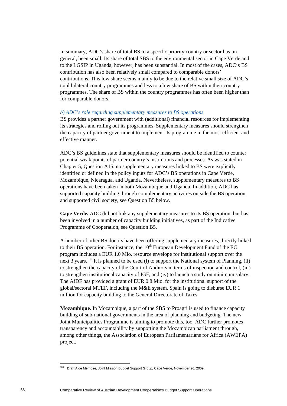In summary, ADC's share of total BS to a specific priority country or sector has, in general, been small. Its share of total SBS to the environmental sector in Cape Verde and to the LGSIP in Uganda, however, has been substantial. In most of the cases, ADC's BS contribution has also been relatively small compared to comparable donors' contributions. This low share seems mainly to be due to the relative small size of ADC's total bilateral country programmes and less to a low share of BS within their country programmes. The share of BS within the country programmes has often been higher than for comparable donors.

# *b) ADC's role regarding supplementary measures to BS operations*

BS provides a partner government with (additional) financial resources for implementing its strategies and rolling out its programmes. Supplementary measures should strengthen the capacity of partner government to implement its programme in the most efficient and effective manner.

ADC's BS guidelines state that supplementary measures should be identified to counter potential weak points of partner country's institutions and processes. As was stated in Chapter 5, Question A15, no supplementary measures linked to BS were explicitly identified or defined in the policy inputs for ADC's BS operations in Cape Verde, Mozambique, Nicaragua, and Uganda. Nevertheless, supplementary measures to BS operations have been taken in both Mozambique and Uganda. In addition, ADC has supported capacity building through complementary activities outside the BS operation and supported civil society, see Question B5 below.

**Cape Verde.** ADC did not link any supplementary measures to its BS operation, but has been involved in a number of capacity building initiatives, as part of the Indicative Programme of Cooperation, see Question B5.

A number of other BS donors have been offering supplementary measures, directly linked to their BS operation. For instance, the  $10<sup>th</sup>$  European Development Fund of the EC program includes a EUR 1.0 Mio. resource envelope for institutional support over the next 3 years.<sup>100</sup> It is planned to be used (i) to support the National system of Planning, (ii) to strengthen the capacity of the Court of Auditors in terms of inspection and control, (iii) to strengthen institutional capacity of IGF, and (iv) to launch a study on minimum salary. The AfDF has provided a grant of EUR 0.8 Mio. for the institutional support of the global/sectoral MTEF, including the M&E system. Spain is going to disburse EUR 1 million for capacity building to the General Directorate of Taxes.

**Mozambique**. In Mozambique, a part of the SBS to Proagri is used to finance capacity building of sub-national governments in the area of planning and budgeting. The new Joint Municipalities Programme is aiming to promote this, too. ADC further promotes transparency and accountability by supporting the Mozambican parliament through, among other things, the Association of European Parliamentarians for Africa (AWEPA) project.

Draft Aide Memoire, Joint Mission Budget Support Group, Cape Verde, November 26, 2009.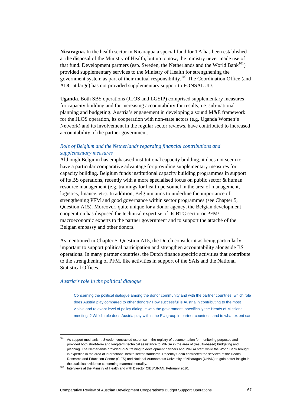**Nicaragua.** In the health sector in Nicaragua a special fund for TA has been established at the disposal of the Ministry of Health, but up to now, the ministry never made use of that fund. Development partners (esp. Sweden, the Netherlands and the World Bank $101$ ) provided supplementary services to the Ministry of Health for strengthening the government system as part of their mutual responsibility.<sup>102</sup> The Coordination Office (and ADC at large) has not provided supplementary support to FONSALUD.

**Uganda**. Both SBS operations (JLOS and LGSIP) comprised supplementary measures for capacity building and for increasing accountability for results, i.e. sub-national planning and budgeting. Austria's engagement in developing a sound M&E framework for the JLOS operation, its cooperation with non-state actors (e.g. Uganda Women's Network) and its involvement in the regular sector reviews, have contributed to increased accountability of the partner government.

# *Role of Belgium and the Netherlands regarding financial contributions and supplementary measures*

Although Belgium has emphasised institutional capacity building, it does not seem to have a particular comparative advantage for providing supplementary measures for capacity building. Belgium funds institutional capacity building programmes in support of its BS operations, recently with a more specialised focus on public sector & human resource management (e.g. trainings for health personnel in the area of management, logistics, finance, etc). In addition, Belgium aims to underline the importance of strengthening PFM and good governance within sector programmes (see Chapter 5, Question A15). Moreover, quite unique for a donor agency, the Belgian development cooperation has disposed the technical expertise of its BTC sector or PFM/ macroeconomic experts to the partner government and to support the attaché of the Belgian embassy and other donors.

As mentioned in Chapter 5, Question A15, the Dutch consider it as being particularly important to support political participation and strengthen accountability alongside BS operations. In many partner countries, the Dutch finance specific activities that contribute to the strengthening of PFM, like activities in support of the SAIs and the National Statistical Offices.

# *Austria's role in the political dialogue*

Concerning the political dialogue among the donor community and with the partner countries, which role does Austria play compared to other donors? How successful is Austria in contributing to the most visible and relevant level of policy dialogue with the government, specifically the Heads of Missions meetings? Which role does Austria play within the EU group in partner countries, and to what extent can

As support mechanism, Sweden contracted expertise in the registry of documentation for monitoring purposes and provided both short-term and long-term technical assistance to MINSA in the area of (results-based) budgeting and planning. The Netherlands provided PFM training to development partners and MINSA staff, while the World Bank brought in expertise in the area of international health sector standards. Recently Spain contracted the services of the Health Research and Education Centre (CIES) and National Autonomous University of Nicaragua (UNAN) to gain better insight in

the statistical evidence concerning maternal mortality.<br><sup>102</sup> Interviews at the Ministry of Health and with Director CIES/UNAN, February 2010.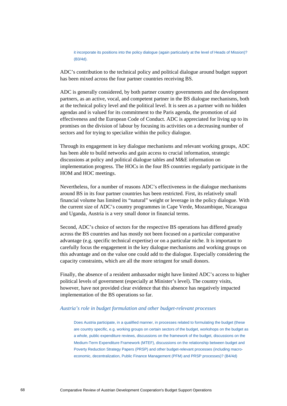it incorporate its positions into the policy dialogue (again particularly at the level of Heads of Mission)? (B3/4d).

ADC's contribution to the technical policy and political dialogue around budget support has been mixed across the four partner countries receiving BS.

ADC is generally considered, by both partner country governments and the development partners, as an active, vocal, and competent partner in the BS dialogue mechanisms, both at the technical policy level and the political level. It is seen as a partner with no hidden agendas and is valued for its commitment to the Paris agenda, the promotion of aid effectiveness and the European Code of Conduct. ADC is appreciated for living up to its promises on the division of labour by focusing its activities on a decreasing number of sectors and for trying to specialize within the policy dialogue.

Through its engagement in key dialogue mechanisms and relevant working groups, ADC has been able to build networks and gain access to crucial information, strategic discussions at policy and political dialogue tables and M&E information on implementation progress. The HOCs in the four BS countries regularly participate in the HOM and HOC meetings.

Nevertheless, for a number of reasons ADC's effectiveness in the dialogue mechanisms around BS in its four partner countries has been restricted. First, its relatively small financial volume has limited its "natural" weight or leverage in the policy dialogue. With the current size of ADC's country programmes in Cape Verde, Mozambique, Nicaragua and Uganda, Austria is a very small donor in financial terms.

Second, ADC's choice of sectors for the respective BS operations has differed greatly across the BS countries and has mostly not been focused on a particular comparative advantage (e.g. specific technical expertise) or on a particular niche. It is important to carefully focus the engagement in the key dialogue mechanisms and working groups on this advantage and on the value one could add to the dialogue. Especially considering the capacity constraints, which are all the more stringent for small donors.

Finally, the absence of a resident ambassador might have limited ADC's access to higher political levels of government (especially at Minister's level). The country visits, however, have not provided clear evidence that this absence has negatively impacted implementation of the BS operations so far.

# *Austria's role in budget formulation and other budget-relevant processes*

Does Austria participate, in a qualified manner, in processes related to formulating the budget (these are country specific, e.g. working groups on certain sectors of the budget, workshops on the budget as a whole, public expenditure reviews, discussions on the framework of the budget, discussions on the Medium-Term Expenditure Framework (MTEF), discussions on the relationship between budget and Poverty Reduction Strategy Papers (PRSP) and other budget-relevant processes (including macroeconomic, decentralization, Public Finance Management (PFM) and PRSP processes)? (B4/4d)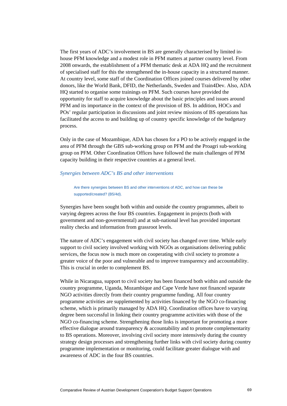The first years of ADC's involvement in BS are generally characterised by limited inhouse PFM knowledge and a modest role in PFM matters at partner country level. From 2008 onwards, the establishment of a PFM thematic desk at ADA HQ and the recruitment of specialised staff for this the strengthened the in-house capacity in a structured manner. At country level, some staff of the Coordination Offices joined courses delivered by other donors, like the World Bank, DFID, the Netherlands, Sweden and Train4Dev. Also, ADA HQ started to organise some trainings on PFM. Such courses have provided the opportunity for staff to acquire knowledge about the basic principles and issues around PFM and its importance in the context of the provision of BS. In addition, HOCs and POs' regular participation in discussions and joint review missions of BS operations has facilitated the access to and building up of country specific knowledge of the budgetary process.

Only in the case of Mozambique, ADA has chosen for a PO to be actively engaged in the area of PFM through the GBS sub-working group on PFM and the Proagri sub-working group on PFM. Other Coordination Offices have followed the main challenges of PFM capacity building in their respective countries at a general level.

# *Synergies between ADC's BS and other interventions*

Are there synergies between BS and other interventions of ADC, and how can these be supported/created? (B5/4d).

Synergies have been sought both within and outside the country programmes, albeit to varying degrees across the four BS countries. Engagement in projects (both with government and non-governmental) and at sub-national level has provided important reality checks and information from grassroot levels.

The nature of ADC's engagement with civil society has changed over time. While early support to civil society involved working with NGOs as organisations delivering public services, the focus now is much more on cooperating with civil society to promote a greater voice of the poor and vulnerable and to improve transparency and accountability. This is crucial in order to complement BS.

While in Nicaragua, support to civil society has been financed both within and outside the country programme, Uganda, Mozambique and Cape Verde have not financed separate NGO activities directly from their country programme funding. All four country programme activities are supplemented by activities financed by the NGO co-financing scheme, which is primarily managed by ADA HQ. Coordination offices have to varying degree been successful in linking their country programme activities with those of the NGO co-financing scheme. Strengthening those links is important for promoting a more effective dialogue around transparency  $\&$  accountability and to promote complementarity to BS operations. Moreover, involving civil society more intensively during the country strategy design processes and strengthening further links with civil society during country programme implementation or monitoring, could facilitate greater dialogue with and awareness of ADC in the four BS countries.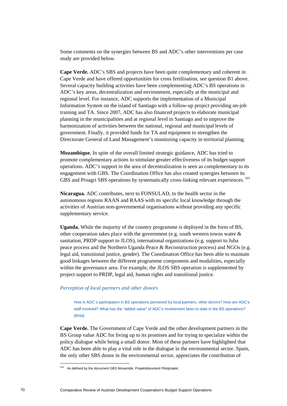Some comments on the synergies between BS and ADC's other interventions per case study are provided below.

**Cape Verde.** ADC's SBS and projects have been quite complementary and coherent in Cape Verde and have offered opportunities for cross fertilisation, see question B1 above. Several capacity building activities have been complementing ADC's BS operations in ADC's key areas, decentralization and environment, especially at the municipal and regional level. For instance, ADC supports the implementation of a Municipal Information System on the island of Santiago with a follow-up project providing on-job training and TA. Since 2007, ADC has also financed projects to elaborate municipal planning in the municipalities and at regional level in Santiago and to improve the harmonization of activities between the national, regional and municipal levels of government. Finally, it provided funds for TA and equipment to strengthen the Directorate General of Land Management's monitoring capacity in territorial planning.

**Mozambique.** In spite of the overall limited strategic guidance, ADC has tried to promote complementary actions to stimulate greater effectiveness of its budget support operations. ADC's support in the area of decentralization is seen as complementary to its engagement with GBS. The Coordination Office has also created synergies between its GBS and Proagri SBS operations by systematically cross-linking relevant experiences.<sup>103</sup>

**Nicaragua.** ADC contributes, next to FONSULAD, to the health sector in the autonomous regions RAAN and RAAS with its specific local knowledge through the activities of Austrian non-governmental organisations without providing any specific supplementary service.

**Uganda.** While the majority of the country programme is deployed in the form of BS, other cooperation takes place with the government (e.g. south western towns water  $\&$ sanitation, PRDP support to JLOS), international organizations (e.g. support to Juba peace process and the Northern Uganda Peace & Reconstruction process) and NGOs (e.g. legal aid, transitional justice, gender). The Coordination Office has been able to maintain good linkages between the different programme components and modalities, especially within the governance area. For example, the JLOS SBS operation is supplemented by project support to PRDP, legal aid, human rights and transitional justice.

# *Perception of local partners and other donors*

How is ADC`s participation in BS operations perceived by local partners, other donors? How are ADC's staff involved? What has the "added value" of ADC's involvement been to date in the BS operations? (B/4d).

**Cape Verde.** The Government of Cape Verde and the other development partners in the BS Group value ADC for living up to its promises and for trying to specialize within the policy dialogue while being a small donor. Most of these partners have highlighted that ADC has been able to play a vital role in the dialogue in the environmental sector. Spain, the only other SBS donor in the environmental sector, appreciates the contribution of

As defined by the document GBS Mosambik, Projektdokument Pilotprojekt.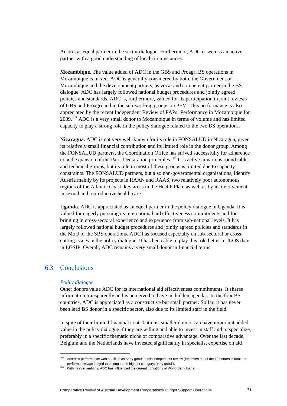Austria as equal partner in the sector dialogue. Furthermore, ADC is seen as an active partner with a good understanding of local circumstances.

**Mozambique.** The value added of ADC in the GBS and Proagri BS operations in Mozambique is mixed. ADC is generally considered by both, the Government of Mozambique and the development partners, as vocal and competent partner in the BS dialogue. ADC has largely followed national budget procedures and jointly agreed policies and standards. ADC is, furthermore, valued for its participation in joint reviews of GBS and Proagri and in the sub-working groups on PFM. This performance is also appreciated by the recent Independent Review of PAPs' Performance in Mozambique for  $2009$ <sup>104</sup> ADC is a very small donor to Mozambique in terms of volume and has limited capacity to play a strong role in the policy dialogue related to the two BS operations.

**Nicaragua**. ADC is not very well-known for its role in FONSALUD in Nicaragua, given its relatively small financial contribution and its limited role in the donor group. Among the FONSALUD partners, the Coordination Office has strived successfully for adherence to and expansion of the Paris Declaration principles.<sup>105</sup> It is active in various round tables and technical groups, but its role in most of these groups is limited due to capacity constraints. The FONSALUD partners, but also non-governmental organisations, identify Austria mainly by its projects in RAAN and RAAS, two relatively poor autonomous regions of the Atlantic Coast, key areas in the Health Plan, as well as by its involvement in sexual and reproductive health care.

**Uganda**. ADC is appreciated as an equal partner in the policy dialogue in Uganda. It is valued for eagerly pursuing its international aid effectiveness commitments and for bringing in cross-sectoral experience and experience from sub-national levels. It has largely followed national budget procedures and jointly agreed policies and standards in the MoU of the SBS operations. ADC has focused especially on sub-sectoral or crosscutting issues in the policy dialogue. It has been able to play this role better in JLOS than in LGSIP. Overall, ADC remains a very small donor in financial terms.

# 6.3 Conclusions

#### *Policy dialogue*

Other donors value ADC for its international aid effectiveness commitments. It shares information transparently and is perceived to have no hidden agendas. In the four BS countries, ADC is appreciated as a constructive but small partner. So far, it has never been lead BS donor in a specific sector, also due to its limited staff in the field.

In spite of their limited financial contributions, smaller donors can have important added value in the policy dialogue if they are willing and able to invest in staff and to specialize, preferably in a specific thematic niche or comparative advantage. Over the last decade, Belgium and the Netherlands have invested significantly in specialist expertise on aid

Austria's performance was qualified as "very good" in this independent review (for seven out of the 19 donors in total, the performance was judged to belong to the highest category: "very good").<br><sup>105</sup> With its interventions, ADC has influenced the current conditions of World Bank loans.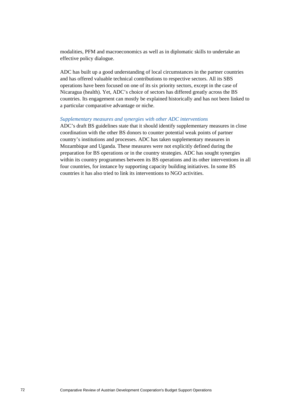modalities, PFM and macroeconomics as well as in diplomatic skills to undertake an effective policy dialogue.

ADC has built up a good understanding of local circumstances in the partner countries and has offered valuable technical contributions to respective sectors. All its SBS operations have been focused on one of its six priority sectors, except in the case of Nicaragua (health). Yet, ADC's choice of sectors has differed greatly across the BS countries. Its engagement can mostly be explained historically and has not been linked to a particular comparative advantage or niche.

#### *Supplementary measures and synergies with other ADC interventions*

ADC's draft BS guidelines state that it should identify supplementary measures in close coordination with the other BS donors to counter potential weak points of partner country's institutions and processes. ADC has taken supplementary measures in Mozambique and Uganda. These measures were not explicitly defined during the preparation for BS operations or in the country strategies. ADC has sought synergies within its country programmes between its BS operations and its other interventions in all four countries, for instance by supporting capacity building initiatives. In some BS countries it has also tried to link its interventions to NGO activities.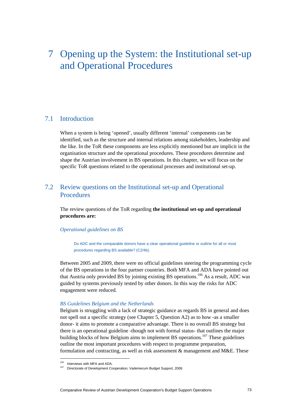# 7 Opening up the System: the Institutional set-up and Operational Procedures

# 7.1 Introduction

When a system is being 'opened', usually different 'internal' components can be identified, such as the structure and internal relations among stakeholders, leadership and the like. In the ToR these components are less explicitly mentioned but are implicit in the organisation structure and the operational procedures. These procedures determine and shape the Austrian involvement in BS operations. In this chapter, we will focus on the specific ToR questions related to the operational processes and institutional set-up.

# 7.2 Review questions on the Institutional set-up and Operational **Procedures**

The review questions of the ToR regarding **the institutional set-up and operational procedures are:** 

# *Operational guidelines on BS*

Do ADC and the comparable donors have a clear operational guideline or outline for all or most procedures regarding BS available? (C2/4b).

Between 2005 and 2009, there were no official guidelines steering the programming cycle of the BS operations in the four partner countries. Both MFA and ADA have pointed out that Austria only provided BS by joining existing BS operations.<sup>106</sup> As a result, ADC was guided by systems previously tested by other donors. In this way the risks for ADC engagement were reduced.

# *BS Guidelines Belgium and the Netherlands*

Belgium is struggling with a lack of strategic guidance as regards BS in general and does not spell out a specific strategy (see Chapter 5, Question A2) as to how -as a smaller donor- it aims to promote a comparative advantage. There is no overall BS strategy but there is an operational guideline -though not with formal status- that outlines the major building blocks of how Belgium aims to implement BS operations.<sup>107</sup> These guidelines outline the most important procedures with respect to programme preparation, formulation and contracting, as well as risk assessment  $\&$  management and M&E. These

 $\overline{a}$ 

Interviews with MFA and ADA.<br>Directorate of Development Cooperation, Vademecum Budget Support, 2008.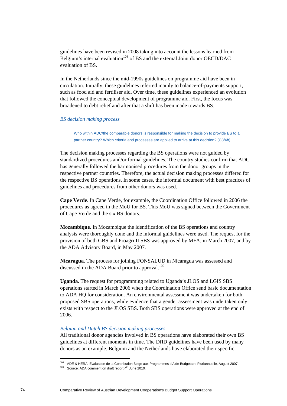guidelines have been revised in 2008 taking into account the lessons learned from Belgium's internal evaluation<sup>108</sup> of BS and the external Joint donor OECD/DAC evaluation of BS.

In the Netherlands since the mid-1990s guidelines on programme aid have been in circulation. Initially, these guidelines referred mainly to balance-of-payments support, such as food aid and fertiliser aid. Over time, these guidelines experienced an evolution that followed the conceptual development of programme aid. First, the focus was broadened to debt relief and after that a shift has been made towards BS.

#### *BS decision making process*

Who within ADC/the comparable donors is responsible for making the decision to provide BS to a partner country? Which criteria and processes are applied to arrive at this decision? (C3/4b).

The decision making processes regarding the BS operations were not guided by standardized procedures and/or formal guidelines. The country studies confirm that ADC has generally followed the harmonised procedures from the donor groups in the respective partner countries. Therefore, the actual decision making processes differed for the respective BS operations. In some cases, the informal document with best practices of guidelines and procedures from other donors was used.

**Cape Verde**. In Cape Verde, for example, the Coordination Office followed in 2006 the procedures as agreed in the MoU for BS. This MoU was signed between the Government of Cape Verde and the six BS donors.

**Mozambique**. In Mozambique the identification of the BS operations and country analysis were thoroughly done and the informal guidelines were used. The request for the provision of both GBS and Proagri II SBS was approved by MFA, in March 2007, and by the ADA Advisory Board, in May 2007.

**Nicaragua**. The process for joining FONSALUD in Nicaragua was assessed and discussed in the ADA Board prior to approval.<sup>109</sup>

**Uganda**. The request for programming related to Uganda's JLOS and LGIS SBS operations started in March 2006 when the Coordination Office send basic documentation to ADA HQ for consideration. An environmental assessment was undertaken for both proposed SBS operations, while evidence that a gender assessment was undertaken only exists with respect to the JLOS SBS. Both SBS operations were approved at the end of 2006.

#### *Belgian and Dutch BS decision making processes*

All traditional donor agencies involved in BS operations have elaborated their own BS guidelines at different moments in time. The DfID guidelines have been used by many donors as an example. Belgium and the Netherlands have elaborated their specific

 $\overline{a}$ 

<sup>&</sup>lt;sup>108</sup> ADE & HERA, Evaluation de la Contribution Belge aux Programmes d'Aide Budgétaire Pluriannuelle, August 2007.<br><sup>109</sup> Source: ADA comment on draft report 4<sup>th</sup> June 2010.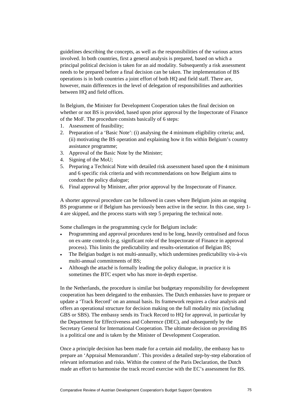guidelines describing the concepts, as well as the responsibilities of the various actors involved. In both countries, first a general analysis is prepared, based on which a principal political decision is taken for an aid modality. Subsequently a risk assessment needs to be prepared before a final decision can be taken. The implementation of BS operations is in both countries a joint effort of both HQ and field staff. There are, however, main differences in the level of delegation of responsibilities and authorities between HQ and field offices.

In Belgium, the Minister for Development Cooperation takes the final decision on whether or not BS is provided, based upon prior approval by the Inspectorate of Finance of the MoF. The procedure consists basically of 6 steps:

- 1. Assessment of feasibility;
- 2. Preparation of a 'Basic Note': (i) analysing the 4 minimum eligibility criteria; and, (ii) motivating the BS operation and explaining how it fits within Belgium's country assistance programme;
- 3. Approval of the Basic Note by the Minister;
- 4. Signing of the MoU;
- 5. Preparing a Technical Note with detailed risk assessment based upon the 4 minimum and 6 specific risk criteria and with recommendations on how Belgium aims to conduct the policy dialogue;
- 6. Final approval by Minister, after prior approval by the Inspectorate of Finance.

A shorter approval procedure can be followed in cases where Belgium joins an ongoing BS programme or if Belgium has previously been active in the sector. In this case, step 1- 4 are skipped, and the process starts with step 5 preparing the technical note.

Some challenges in the programming cycle for Belgium include:

- Programming and approval procedures tend to be long, heavily centralised and focus on ex-ante controls (e.g. significant role of the Inspectorate of Finance in approval process). This limits the predictability and results-orientation of Belgian BS;
- The Belgian budget is not multi-annually, which undermines predictability vis-à-vis multi-annual commitments of BS;
- Although the attaché is formally leading the policy dialogue, in practice it is sometimes the BTC expert who has more in-depth expertise.

In the Netherlands, the procedure is similar but budgetary responsibility for development cooperation has been delegated to the embassies. The Dutch embassies have to prepare or update a 'Track Record' on an annual basis. Its framework requires a clear analysis and offers an operational structure for decision making on the full modality mix (including GBS or SBS). The embassy sends its Track Record to HQ for approval, in particular by the Department for Effectiveness and Coherence (DEC), and subsequently by the Secretary General for International Cooperation. The ultimate decision on providing BS is a political one and is taken by the Minister of Development Cooperation.

Once a principle decision has been made for a certain aid modality, the embassy has to prepare an 'Appraisal Memorandum'. This provides a detailed step-by-step elaboration of relevant information and risks. Within the context of the Paris Declaration, the Dutch made an effort to harmonise the track record exercise with the EC's assessment for BS.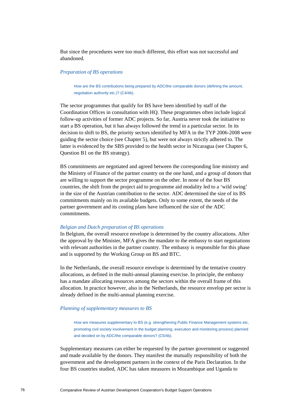But since the procedures were too much different, this effort was not successful and abandoned.

# *Preparation of BS operations*

How are the BS contributions being prepared by ADC/the comparable donors (defining the amount, negotiation authority etc.)? (C4/4b).

The sector programmes that qualify for BS have been identified by staff of the Coordination Offices in consultation with HQ. These programmes often include logical follow-up activities of former ADC projects. So far, Austria never took the initiative to start a BS operation, but it has always followed the trend in a particular sector. In its decision to shift to BS, the priority sectors identified by MFA in the TYP 2006-2008 were guiding the sector choice (see Chapter 5), but were not always strictly adhered to. The latter is evidenced by the SBS provided to the health sector in Nicaragua (see Chapter 6, Question B1 on the BS strategy).

BS commitments are negotiated and agreed between the corresponding line ministry and the Ministry of Finance of the partner country on the one hand, and a group of donors that are willing to support the sector programme on the other. In none of the four BS countries, the shift from the project aid to programme aid modality led to a 'wild swing' in the size of the Austrian contribution to the sector. ADC determined the size of its BS commitments mainly on its available budgets. Only to some extent, the needs of the partner government and its costing plans have influenced the size of the ADC commitments.

#### *Belgian and Dutch preparation of BS operations*

In Belgium, the overall resource envelope is determined by the country allocations. After the approval by the Minister, MFA gives the mandate to the embassy to start negotiations with relevant authorities in the partner country. The embassy is responsible for this phase and is supported by the Working Group on BS and BTC.

In the Netherlands, the overall resource envelope is determined by the tentative country allocations, as defined in the multi-annual planning exercise. In principle, the embassy has a mandate allocating resources among the sectors within the overall frame of this allocation. In practice however, also in the Netherlands, the resource envelop per sector is already defined in the multi-annual planning exercise.

#### *Planning of supplementary measures to BS*

How are measures supplementary to BS (e.g. strengthening Public Finance Management systems etc, promoting civil society involvement in the budget planning, execution and monitoring process) planned and decided on by ADC/the comparable donors? (C5/4b).

Supplementary measures can either be requested by the partner government or suggested and made available by the donors. They manifest the mutually responsibility of both the government and the development partners in the context of the Paris Declaration. In the four BS countries studied, ADC has taken measures in Mozambique and Uganda to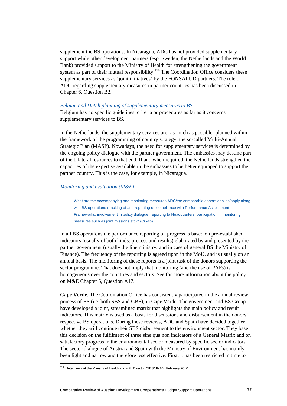supplement the BS operations. In Nicaragua, ADC has not provided supplementary support while other development partners (esp. Sweden, the Netherlands and the World Bank) provided support to the Ministry of Health for strengthening the government system as part of their mutual responsibility.<sup>110</sup> The Coordination Office considers these supplementary services as 'joint initiatives' by the FONSALUD partners. The role of ADC regarding supplementary measures in partner countries has been discussed in Chapter 6, Question B2.

#### *Belgian and Dutch planning of supplementary measures to BS*

Belgium has no specific guidelines, criteria or procedures as far as it concerns supplementary services to BS.

In the Netherlands, the supplementary services are -as much as possible- planned within the framework of the programming of country strategy, the so-called Multi-Annual Strategic Plan (MASP). Nowadays, the need for supplementary services is determined by the ongoing policy dialogue with the partner government. The embassies may destine part of the bilateral resources to that end. If and when required, the Netherlands strengthen the capacities of the expertise available in the embassies to be better equipped to support the partner country. This is the case, for example, in Nicaragua.

#### *Monitoring and evaluation (M&E)*

What are the accompanying and monitoring measures ADC/the comparable donors applies/apply along with BS operations (tracking of and reporting on compliance with Performance Assessment Frameworks, involvement in policy dialogue, reporting to Headquarters, participation in monitoring measures such as joint missions etc)? (C6/4b).

In all BS operations the performance reporting on progress is based on pre-established indicators (usually of both kinds: process and results) elaborated by and presented by the partner government (usually the line ministry, and in case of general BS the Ministry of Finance). The frequency of the reporting is agreed upon in the MoU, and is usually on an annual basis. The monitoring of these reports is a joint task of the donors supporting the sector programme. That does not imply that monitoring (and the use of PAFs) is homogeneous over the countries and sectors. See for more information about the policy on M&E Chapter 5, Question A17.

**Cape Verde**. The Coordination Office has consistently participated in the annual review process of BS (i.e. both SBS and GBS), in Cape Verde. The government and BS Group have developed a joint, streamlined matrix that highlights the main policy and result indicators. This matrix is used as a basis for discussions and disbursement in the donors' respective BS operations. During these reviews, ADC and Spain have decided together whether they will continue their SBS disbursement to the environment sector. They base this decision on the fulfilment of three sine qua non indicators of a General Matrix and on satisfactory progress in the environmental sector measured by specific sector indicators. The sector dialogue of Austria and Spain with the Ministry of Environment has mainly been light and narrow and therefore less effective. First, it has been restricted in time to

<sup>110</sup> Interviews at the Ministry of Health and with Director CIES/UNAN, February 2010.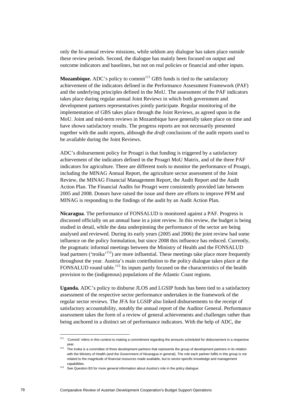only the bi-annual review missions, while seldom any dialogue has taken place outside these review periods. Second, the dialogue has mainly been focused on output and outcome indicators and baselines, but not on real policies or financial and other inputs.

**Mozambique.** ADC's policy to commit<sup>111</sup> GBS funds is tied to the satisfactory achievement of the indicators defined in the Performance Assessment Framework (PAF) and the underlying principles defined in the MoU. The assessment of the PAF indicators takes place during regular annual Joint Reviews in which both government and development partners representatives jointly participate. Regular monitoring of the implementation of GBS takes place through the Joint Reviews, as agreed upon in the MoU. Joint and mid-term reviews in Mozambique have generally taken place on time and have shown satisfactory results. The progress reports are not necessarily presented together with the audit reports, although the *draft* conclusions of the audit reports used to be available during the Joint Reviews.

ADC's disbursement policy for Proagri is that funding is triggered by a satisfactory achievement of the indicators defined in the Proagri MoU Matrix, and of the three PAF indicators for agriculture. There are different tools to monitor the performance of Proagri, including the MINAG Annual Report, the agriculture sector assessment of the Joint Review, the MINAG Financial Management Report, the Audit Report and the Audit Action Plan. The Financial Audits for Proagri were consistently provided late between 2005 and 2008. Donors have raised the issue and there are efforts to improve PFM and MINAG is responding to the findings of the audit by an Audit Action Plan.

**Nicaragua**. The performance of FONSALUD is monitored against a PAF. Progress is discussed officially on an annual base in a joint review. In this review, the budget is being studied in detail, while the data underpinning the performance of the sector are being analysed and reviewed. During its early years (2005 and 2006) the joint review had some influence on the policy formulation, but since 2008 this influence has reduced. Currently, the pragmatic informal meetings between the Ministry of Health and the FONSALUD lead partners ('troika'<sup>112</sup>) are more influential. These meetings take place more frequently throughout the year. Austria's main contribution to the policy dialogue takes place at the FONSALUD round table.<sup>113</sup> Its inputs partly focused on the characteristics of the health provision to the (indigenous) populations of the Atlantic Coast regions.

**Uganda.** ADC's policy to disburse JLOS and LGSIP funds has been tied to a satisfactory assessment of the respective sector performance undertaken in the framework of the regular sector reviews. The JFA for LGSIP also linked disbursements to the receipt of satisfactory accountability, notably the annual report of the Auditor General. Performance assessment takes the form of a review of general achievements and challenges rather than being anchored in a distinct set of performance indicators. With the help of ADC, the

 $111$  'Commit' refers in this context to making a commitment regarding the amounts scheduled for disbursement in a respective

year.<br><sup>112</sup> The troika is a committee of three development partners that represents the group of development partners in its relation with the Ministry of Health (and the Government of Nicaragua in general). The role each partner fulfils in this group is not related to the magnitude of financial resources made available, but to sector-specific knowledge and management

capabilities.<br><sup>113</sup> See Question B3 for more general information about Austria's role in the policy dialogue.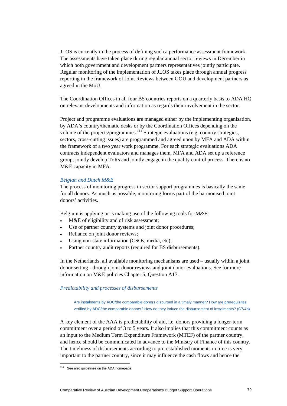JLOS is currently in the process of defining such a performance assessment framework. The assessments have taken place during regular annual sector reviews in December in which both government and development partners representatives jointly participate. Regular monitoring of the implementation of JLOS takes place through annual progress reporting in the framework of Joint Reviews between GOU and development partners as agreed in the MoU.

The Coordination Offices in all four BS countries reports on a quarterly basis to ADA HQ on relevant developments and information as regards their involvement in the sector.

Project and programme evaluations are managed either by the implementing organisation, by ADA's country/thematic desks or by the Coordination Offices depending on the volume of the projects/programmes.<sup>114</sup> Strategic evaluations (e.g. country strategies, sectors, cross-cutting issues) are programmed and agreed upon by MFA and ADA within the framework of a two year work programme. For each strategic evaluations ADA contracts independent evaluators and manages them. MFA and ADA set up a reference group, jointly develop ToRs and jointly engage in the quality control process. There is no M&E capacity in MFA.

## *Belgian and Dutch M&E*

The process of monitoring progress in sector support programmes is basically the same for all donors. As much as possible, monitoring forms part of the harmonised joint donors' activities.

Belgium is applying or is making use of the following tools for M&E:

- M&E of eligibility and of risk assessment;
- Use of partner country systems and joint donor procedures;
- Reliance on joint donor reviews;
- Using non-state information (CSOs, media, etc);
- Partner country audit reports (required for BS disbursements).

In the Netherlands, all available monitoring mechanisms are used – usually within a joint donor setting - through joint donor reviews and joint donor evaluations. See for more information on M&E policies Chapter 5, Question A17.

#### *Predictability and processes of disbursements*

Are instalments by ADC/the comparable donors disbursed in a timely manner? How are prerequisites verified by ADC/the comparable donors? How do they induce the disbursement of instalments? (C7/4b).

A key element of the AAA is predictability of aid, i.e. donors providing a longer-term commitment over a period of 3 to 5 years. It also implies that this commitment counts as an input to the Medium Term Expenditure Framework (MTEF) of the partner country, and hence should be communicated in advance to the Ministry of Finance of this country. The timeliness of disbursements according to pre-established moments in time is very important to the partner country, since it may influence the cash flows and hence the

<sup>&</sup>lt;sup>114</sup> See also guidelines on the ADA homepage.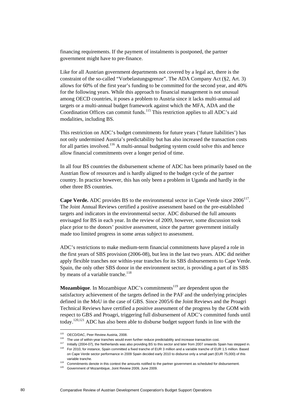financing requirements. If the payment of instalments is postponed, the partner government might have to pre-finance.

Like for all Austrian government departments not covered by a legal act, there is the constraint of the so-called "Vorbelastungsgrenze". The ADA Company Act (§2, Art. 3) allows for 60% of the first year's funding to be committed for the second year, and 40% for the following years. While this approach to financial management is not unusual among OECD countries, it poses a problem to Austria since it lacks multi-annual aid targets or a multi-annual budget framework against which the MFA, ADA and the Coordination Offices can commit funds.<sup>115</sup> This restriction applies to all ADC's aid modalities, including BS.

This restriction on ADC's budget commitments for future years ('future liabilities') has not only undermined Austria's predictability but has also increased the transaction costs for all parties involved.<sup>116</sup> A multi-annual budgeting system could solve this and hence allow financial commitments over a longer period of time.

In all four BS countries the disbursement scheme of ADC has been primarily based on the Austrian flow of resources and is hardly aligned to the budget cycle of the partner country. In practice however, this has only been a problem in Uganda and hardly in the other three BS countries.

**Cape Verde.** ADC provides BS to the environmental sector in Cape Verde since 2006<sup>117</sup>. The Joint Annual Reviews certified a positive assessment based on the pre-established targets and indicators in the environmental sector. ADC disbursed the full amounts envisaged for BS in each year. In the review of 2009, however, some discussion took place prior to the donors' positive assessment, since the partner government initially made too limited progress in some areas subject to assessment.

ADC's restrictions to make medium-term financial commitments have played a role in the first years of SBS provision (2006-08), but less in the last two years. ADC did neither apply flexible tranches nor within-year tranches for its SBS disbursements to Cape Verde. Spain, the only other SBS donor in the environment sector, is providing a part of its SBS by means of a variable tranche. $^{118}$ 

**Mozambique**. In Mozambique ADC's commitments<sup>119</sup> are dependent upon the satisfactory achievement of the targets defined in the PAF and the underlying principles defined in the MoU in the case of GBS. Since 2005/6 the Joint Reviews and the Proagri Technical Reviews have certified a positive assessment of the progress by the GOM with respect to GBS and Proagri, triggering full disbursement of ADC's committed funds until today.120,121 ADC has also been able to disburse budget support funds in line with the

 $\overline{a}$ 

<sup>&</sup>lt;sup>115</sup> OECD/DAC, Peer Review Austria, 2008.<br><sup>116</sup> The use of within-year tranches would even further reduce predictability and increase transaction cost.<br><sup>117</sup> Initially (2004-07), the Netherlands was also providing BS to t on Cape Verde sector performance in 2009 Spain decided early 2010 to disburse only a small part (EUR 75,000) of this

variable tranche.<br><sup>119</sup> Commitments denote in this context the amounts notified to the partner government as scheduled for disbursement.<br><sup>120</sup> Government of Mozambique, Joint Review 2009, June 2009.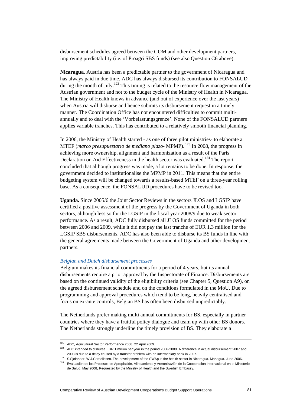disbursement schedules agreed between the GOM and other development partners, improving predictability (i.e. of Proagri SBS funds) (see also Question C6 above).

**Nicaragua**. Austria has been a predictable partner to the government of Nicaragua and has always paid in due time. ADC has always disbursed its contribution to FONSALUD during the month of July.<sup>122</sup> This timing is related to the resource flow management of the Austrian government and not to the budget cycle of the Ministry of Health in Nicaragua. The Ministry of Health knows in advance (and out of experience over the last years) when Austria will disburse and hence submits its disbursement request in a timely manner. The Coordination Office has not encountered difficulties to commit multiannually and to deal with the 'Vorbelastungsgrenze'. None of the FONSALUD partners applies variable tranches. This has contributed to a relatively smooth financial planning.

In 2006, the Ministry of Health started - as one of three pilot ministries- to elaborate a MTEF (*marco presupuestario de mediano plazo*- MPMP). 123 In 2008, the progress in achieving more ownership, alignment and harmonization as a result of the Paris Declaration on Aid Effectiveness in the health sector was evaluated.<sup>124</sup> The report concluded that although progress was made, a lot remains to be done. In response, the government decided to institutionalise the MPMP in 2011. This means that the entire budgeting system will be changed towards a results-based MTEF on a three-year rolling base. As a consequence, the FONSALUD procedures have to be revised too.

**Uganda.** Since 2005/6 the Joint Sector Reviews in the sectors JLOS and LGSIP have certified a positive assessment of the progress by the Government of Uganda in both sectors, although less so for the LGSIP in the fiscal year 2008/9 due to weak sector performance. As a result, ADC fully disbursed all JLOS funds committed for the period between 2006 and 2009, while it did not pay the last tranche of EUR 1.3 million for the LGSIP SBS disbursements. ADC has also been able to disburse its BS funds in line with the general agreements made between the Government of Uganda and other development partners.

#### *Belgian and Dutch disbursement processes*

Belgium makes its financial commitments for a period of 4 years, but its annual disbursements require a prior approval by the Inspectorate of Finance. Disbursements are based on the continued validity of the eligibility criteria (see Chapter 5, Question A9), on the agreed disbursement schedule and on the conditions formulated in the MoU. Due to programming and approval procedures which tend to be long, heavily centralised and focus on ex-ante controls, Belgian BS has often been disbursed unpredictably.

The Netherlands prefer making multi annual commitments for BS, especially in partner countries where they have a fruitful policy dialogue and team up with other BS donors. The Netherlands strongly underline the timely provision of BS. They elaborate a

<sup>&</sup>lt;sup>121</sup> ADC, Agricultural Sector Performance 2008, 22 April 2009.<br><sup>122</sup> ADC intended to disburse EUR 1 million per year in the period 2006-2009. A difference in actual disbursement 2007 and

<sup>2008</sup> is due to a delay caused by a transfer problem with an intermediary bank in 2007.<br><sup>123</sup> S.Sjolander, W.J.Cornelissen. The development of the SWAp in the health sector in Nicaragua. Managua. June 2006.<br><sup>124</sup> Evaluación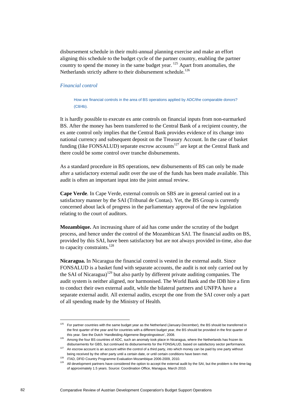disbursement schedule in their multi-annual planning exercise and make an effort aligning this schedule to the budget cycle of the partner country, enabling the partner country to spend the money in the same budget year.  $125$  Apart from anomalies, the Netherlands strictly adhere to their disbursement schedule.<sup>126</sup>

## *Financial control*

How are financial controls in the area of BS operations applied by ADC/the comparable donors? (C8/4b).

It is hardly possible to execute ex ante controls on financial inputs from non-earmarked BS. After the money has been transferred to the Central Bank of a recipient country, the ex ante control only implies that the Central Bank provides evidence of its change into national currency and subsequent deposit on the Treasury Account. In the case of basket funding (like FONSALUD) separate escrow accounts<sup>127</sup> are kept at the Central Bank and there could be some control over tranche disbursements.

As a standard procedure in BS operations, new disbursements of BS can only be made after a satisfactory external audit over the use of the funds has been made available. This audit is often an important input into the joint annual review.

**Cape Verde**. In Cape Verde, external controls on SBS are in general carried out in a satisfactory manner by the SAI (Tribunal de Contas). Yet, the BS Group is currently concerned about lack of progress in the parliamentary approval of the new legislation relating to the court of auditors.

**Mozambique.** An increasing share of aid has come under the scrutiny of the budget process, and hence under the control of the Mozambican SAI. The financial audits on BS, provided by this SAI, have been satisfactory but are not always provided in-time, also due to capacity constraints.<sup>128</sup>

**Nicaragua.** In Nicaragua the financial control is vested in the external audit. Since FONSALUD is a basket fund with separate accounts, the audit is not only carried out by the SAI of Nicaragua)<sup>129</sup> but also partly by different private auditing companies. The audit system is neither aligned, nor harmonised. The World Bank and the IDB hire a firm to conduct their own external audit, while the bilateral partners and UNFPA have a separate external audit. All external audits, except the one from the SAI cover only a part of all spending made by the Ministry of Health.

<sup>&</sup>lt;sup>125</sup> For partner countries with the same budget year as the Netherland (January-December), the BS should be transferred in the first quarter of the year and for countries with a different budget year, the BS should be provided in the first quarter of

this year. See the Dutch 'Handleiding Algemene Begrotingssteun', 2008.<br><sup>126</sup> Among the four BS countries of ADC, such an anomaly took place in Nicaragua, where the Netherlands has frozen its

disbursements for GBS, but continued its disbursements for the FONSALUD, based on satisfactory sector performance.<br><sup>127</sup> An escrow account is an account within the control of a third party, into which money can be paid by

being received by the other party until a certain date, or until certain conditions have been met.<br><sup>128</sup> ITAD, DFID Country Programme Evaluation Mozambique 2006-2009, 2010.<br><sup>129</sup> All development partners have considered th of approximately 1.5 years. Source: Coordination Office, Managua, March 2010.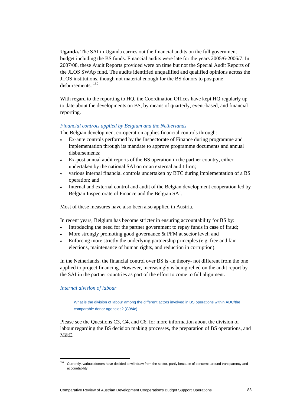**Uganda.** The SAI in Uganda carries out the financial audits on the full government budget including the BS funds. Financial audits were late for the years 2005/6-2006/7. In 2007/08, these Audit Reports provided were on time but not the Special Audit Reports of the JLOS SWAp fund. The audits identified unqualified and qualified opinions across the JLOS institutions, though not material enough for the BS donors to postpone disbursements<sup>130</sup>

With regard to the reporting to HO, the Coordination Offices have kept HO regularly up to date about the developments on BS, by means of quarterly, event-based, and financial reporting.

# *Financial controls applied by Belgium and the Netherlands*

The Belgian development co-operation applies financial controls through:

- Ex-ante controls performed by the Inspectorate of Finance during programme and implementation through its mandate to approve programme documents and annual disbursements;
- Ex-post annual audit reports of the BS operation in the partner country, either undertaken by the national SAI on or an external audit firm;
- various internal financial controls undertaken by BTC during implementation of a BS operation; and
- Internal and external control and audit of the Belgian development cooperation led by Belgian Inspectorate of Finance and the Belgian SAI.

Most of these measures have also been also applied in Austria.

In recent years, Belgium has become stricter in ensuring accountability for BS by:

- Introducing the need for the partner government to repay funds in case of fraud;
- More strongly promoting good governance & PFM at sector level; and
- Enforcing more strictly the underlying partnership principles (e.g. free and fair elections, maintenance of human rights, and reduction in corruption).

In the Netherlands, the financial control over BS is -in theory- not different from the one applied to project financing. However, increasingly is being relied on the audit report by the SAI in the partner countries as part of the effort to come to full alignment.

# *Internal division of labour*

 $\overline{a}$ 

What is the division of labour among the different actors involved in BS operations within ADC/the comparable donor agencies? (C9/4c).

Please see the Questions C3, C4, and C6, for more information about the division of labour regarding the BS decision making processes, the preparation of BS operations, and M&E.

<sup>&</sup>lt;sup>130</sup> Currently, various donors have decided to withdraw from the sector, partly because of concerns around transparency and accountability.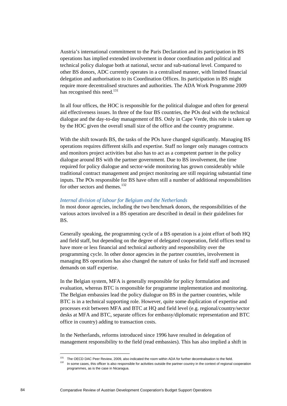Austria's international commitment to the Paris Declaration and its participation in BS operations has implied extended involvement in donor coordination and political and technical policy dialogue both at national, sector and sub-national level. Compared to other BS donors, ADC currently operates in a centralised manner, with limited financial delegation and authorisation to its Coordination Offices. Its participation in BS might require more decentralised structures and authorities. The ADA Work Programme 2009 has recognised this need.<sup>131</sup>

In all four offices, the HOC is responsible for the political dialogue and often for general aid effectiveness issues. In three of the four BS countries, the POs deal with the technical dialogue and the day-to-day management of BS. Only in Cape Verde, this role is taken up by the HOC given the overall small size of the office and the country programme.

With the shift towards BS, the tasks of the POs have changed significantly. Managing BS operations requires different skills and expertise. Staff no longer only manages contracts and monitors project activities but also has to act as a competent partner in the policy dialogue around BS with the partner government. Due to BS involvement, the time required for policy dialogue and sector-wide monitoring has grown considerably while traditional contract management and project monitoring are still requiring substantial time inputs. The POs responsible for BS have often still a number of additional responsibilities for other sectors and themes.<sup>132</sup>

#### *Internal division of labour for Belgium and the Netherlands*

In most donor agencies, including the two benchmark donors, the responsibilities of the various actors involved in a BS operation are described in detail in their guidelines for BS.

Generally speaking, the programming cycle of a BS operation is a joint effort of both HQ and field staff, but depending on the degree of delegated cooperation, field offices tend to have more or less financial and technical authority and responsibility over the programming cycle. In other donor agencies in the partner countries, involvement in managing BS operations has also changed the nature of tasks for field staff and increased demands on staff expertise.

In the Belgian system, MFA is generally responsible for policy formulation and evaluation, whereas BTC is responsible for programme implementation and monitoring. The Belgian embassies lead the policy dialogue on BS in the partner countries, while BTC is in a technical supporting role. However, quite some duplication of expertise and processes exit between MFA and BTC at HQ and field level (e.g. regional/country/sector desks at MFA and BTC, separate offices for embassy/diplomatic representation and BTC office in country) adding to transaction costs.

In the Netherlands, reforms introduced since 1996 have resulted in delegation of management responsibility to the field (read embassies). This has also implied a shift in

 $^{131}$  The OECD DAC Peer Review, 2009, also indicated the room within ADA for further decentralisation to the field.<br> $^{132}$  In some cases, this officer is also responsible for activities outside the partner country in t programmes, as is the case in Nicaragua.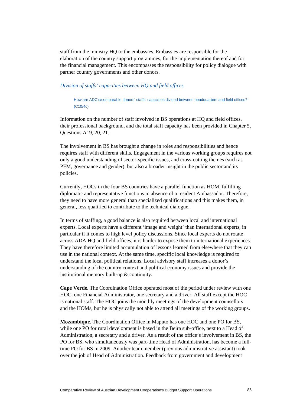staff from the ministry HQ to the embassies. Embassies are responsible for the elaboration of the country support programmes, for the implementation thereof and for the financial management. This encompasses the responsibility for policy dialogue with partner country governments and other donors.

#### *Division of staffs' capacities between HQ and field offices*

How are ADC's/comparable donors' staffs' capacities divided between headquarters and field offices? (C10/4c)

Information on the number of staff involved in BS operations at HQ and field offices, their professional background, and the total staff capacity has been provided in Chapter 5, Questions A19, 20, 21.

The involvement in BS has brought a change in roles and responsibilities and hence requires staff with different skills. Engagement in the various working groups requires not only a good understanding of sector-specific issues, and cross-cutting themes (such as PFM, governance and gender), but also a broader insight in the public sector and its policies.

Currently, HOCs in the four BS countries have a parallel function as HOM, fulfilling diplomatic and representative functions in absence of a resident Ambassador. Therefore, they need to have more general than specialized qualifications and this makes them, in general, less qualified to contribute to the technical dialogue.

In terms of staffing, a good balance is also required between local and international experts. Local experts have a different 'image and weight' than international experts, in particular if it comes to high level policy discussions. Since local experts do not rotate across ADA HQ and field offices, it is harder to expose them to international experiences. They have therefore limited accumulation of lessons learned from elsewhere that they can use in the national context. At the same time, specific local knowledge is required to understand the local political relations. Local advisory staff increases a donor's understanding of the country context and political economy issues and provide the institutional memory built-up & continuity.

**Cape Verde**. The Coordination Office operated most of the period under review with one HOC, one Financial Administrator, one secretary and a driver. All staff except the HOC is national staff. The HOC joins the monthly meetings of the development counsellors and the HOMs, but he is physically not able to attend all meetings of the working groups.

**Mozambique.** The Coordination Office in Maputo has one HOC and one PO for BS, while one PO for rural development is based in the Beira sub-office, next to a Head of Administration, a secretary and a driver. As a result of the office's involvement in BS, the PO for BS, who simultaneously was part-time Head of Administration, has become a fulltime PO for BS in 2009. Another team member (previous administrative assistant) took over the job of Head of Administration. Feedback from government and development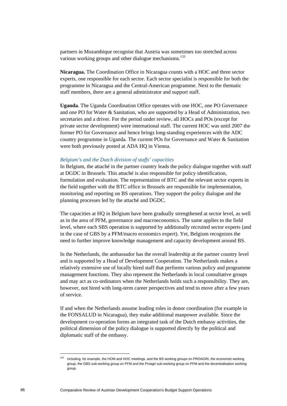partners in Mozambique recognise that Austria was sometimes too stretched across various working groups and other dialogue mechanisms.<sup>133</sup>

**Nicaragua.** The Coordination Office in Nicaragua counts with a HOC and three sector experts, one responsible for each sector. Each sector specialist is responsible for both the programme in Nicaragua and the Central-American programme. Next to the thematic staff members, there are a general administrator and support staff.

**Uganda**. The Uganda Coordination Office operates with one HOC, one PO Governance and one PO for Water & Sanitation, who are supported by a Head of Administration, two secretaries and a driver. For the period under review, all HOCs and POs (except for private sector development) were international staff. The current HOC was until 2007 the former PO for Governance and hence brings long-standing experiences with the ADC country programme in Uganda. The current POs for Governance and Water & Sanitation were both previously posted at ADA HQ in Vienna.

#### *Belgium's and the Dutch division of staffs' capacities*

In Belgium, the attaché in the partner country leads the policy dialogue together with staff at DGDC in Brussels. This attaché is also responsible for policy identification, formulation and evaluation. The representation of BTC and the relevant sector experts in the field together with the BTC office in Brussels are responsible for implementation, monitoring and reporting on BS operations. They support the policy dialogue and the planning processes led by the attaché and DGDC.

The capacities at HQ in Belgium have been gradually strengthened at sector level, as well as in the area of PFM, governance and macroeconomics. The same applies to the field level, where each SBS operation is supported by additionally recruited sector experts (and in the case of GBS by a PFM/macro economics expert). Yet, Belgium recognizes the need to further improve knowledge management and capacity development around BS.

In the Netherlands, the ambassador has the overall leadership at the partner country level and is supported by a Head of Development Cooperation. The Netherlands makes a relatively extensive use of locally hired staff that performs various policy and programme management functions. They also represent the Netherlands in local consultative groups and may act as co-ordinators when the Netherlands holds such a responsibility. They are, however, not hired with long-term career perspectives and tend to move after a few years of service.

If and when the Netherlands assume leading roles in donor coordination (for example in the FONSALUD in Nicaragua), they make additional manpower available. Since the development co-operation forms an integrated task of the Dutch embassy activities, the political dimension of the policy dialogue is supported directly by the political and diplomatic staff of the embassy.

Including, for example, the HOM and HOC meetings, and the BS working groups on PROAGRI, the economist working group, the GBS sub-working group on PFM and the Proagri sub-working group on PFM and the decentralisation working group.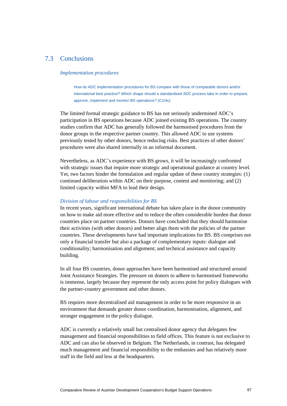# 7.3 Conclusions

# *Implementation procedures*

How do ADC implementation procedures for BS compare with those of comparable donors and/or international best practice? Which shape should a standardised ADC process take in order to prepare, approve, implement and monitor BS operations? (C1/4c).

The limited formal strategic guidance to BS has not seriously undermined ADC's participation in BS operations because ADC joined existing BS operations. The country studies confirm that ADC has generally followed the harmonised procedures from the donor groups in the respective partner country. This allowed ADC to use systems previously tested by other donors, hence reducing risks. Best practices of other donors' procedures were also shared internally in an informal document.

Nevertheless, as ADC's experience with BS grows, it will be increasingly confronted with strategic issues that require more strategic and operational guidance at country level. Yet, two factors hinder the formulation and regular update of these country strategies: (1) continued deliberation within ADC on their purpose, content and monitoring; and (2) limited capacity within MFA to lead their design.

# *Division of labour and responsibilities for BS*

In recent years, significant international debate has taken place in the donor community on how to make aid more effective and to reduce the often considerable burden that donor countries place on partner countries. Donors have concluded that they should harmonise their activities (with other donors) and better align them with the policies of the partner countries. These developments have had important implications for BS. BS comprises not only a financial transfer but also a package of complementary inputs: dialogue and conditionality; harmonisation and alignment; and technical assistance and capacity building.

In all four BS countries, donor approaches have been harmonised and structured around Joint Assistance Strategies. The pressure on donors to adhere to harmonised frameworks is immense, largely because they represent the only access point for policy dialogues with the partner-country government and other donors.

BS requires more decentralised aid management in order to be more responsive in an environment that demands greater donor coordination, harmonisation, alignment, and stronger engagement in the policy dialogue.

ADC is currently a relatively small but centralised donor agency that delegates few management and financial responsibilities to field offices. This feature is not exclusive to ADC and can also be observed in Belgium. The Netherlands, in contrast, has delegated much management and financial responsibility to the embassies and has relatively more staff in the field and less at the headquarters.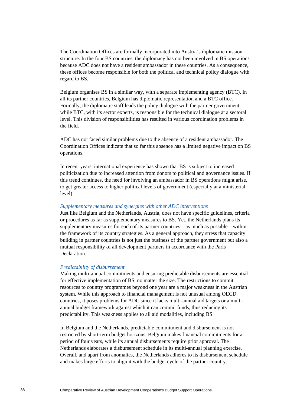The Coordination Offices are formally incorporated into Austria's diplomatic mission structure. In the four BS countries, the diplomacy has not been involved in BS operations because ADC does not have a resident ambassador in these countries. As a consequence, these offices become responsible for both the political and technical policy dialogue with regard to BS.

Belgium organises BS in a similar way, with a separate implementing agency (BTC). In all its partner countries, Belgium has diplomatic representation and a BTC office. Formally, the diplomatic staff leads the policy dialogue with the partner government, while BTC, with its sector experts, is responsible for the technical dialogue at a sectoral level. This division of responsibilities has resulted in various coordination problems in the field.

ADC has not faced similar problems due to the absence of a resident ambassador. The Coordination Offices indicate that so far this absence has a limited negative impact on BS operations.

In recent years, international experience has shown that BS is subject to increased politicization due to increased attention from donors to political and governance issues. If this trend continues, the need for involving an ambassador in BS operations might arise, to get greater access to higher political levels of government (especially at a ministerial level).

#### *Supplementary measures and synergies with other ADC interventions*

Just like Belgium and the Netherlands, Austria, does not have specific guidelines, criteria or procedures as far as supplementary measures to BS. Yet, the Netherlands plans its supplementary measures for each of its partner countries—as much as possible—within the framework of its country strategies. As a general approach, they stress that capacity building in partner countries is not just the business of the partner government but also a mutual responsibility of all development partners in accordance with the Paris Declaration.

# *Predictability of disbursement*

Making multi-annual commitments and ensuring predictable disbursements are essential for effective implementation of BS, no matter the size. The restrictions to commit resources to country programmes beyond one year are a major weakness in the Austrian system. While this approach to financial management is not unusual among OECD countries, it poses problems for ADC since it lacks multi-annual aid targets or a multiannual budget framework against which it can commit funds, thus reducing its predictability. This weakness applies to all aid modalities, including BS.

In Belgium and the Netherlands, predictable commitment and disbursement is not restricted by short-term budget horizons. Belgium makes financial commitments for a period of four years, while its annual disbursements require prior approval. The Netherlands elaborates a disbursement schedule in its multi-annual planning exercise. Overall, and apart from anomalies, the Netherlands adheres to its disbursement schedule and makes large efforts to align it with the budget cycle of the partner country.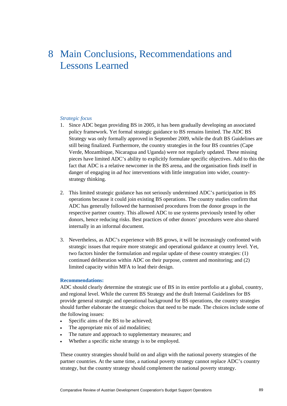# 8 Main Conclusions, Recommendations and Lessons Learned

# *Strategic focus*

- 1. Since ADC began providing BS in 2005, it has been gradually developing an associated policy framework. Yet formal strategic guidance to BS remains limited. The ADC BS Strategy was only formally approved in September 2009, while the draft BS Guidelines are still being finalized. Furthermore, the country strategies in the four BS countries (Cape Verde, Mozambique, Nicaragua and Uganda) were not regularly updated. These missing pieces have limited ADC's ability to explicitly formulate specific objectives. Add to this the fact that ADC is a relative newcomer in the BS arena, and the organisation finds itself in danger of engaging in *ad hoc* interventions with little integration into wider, countrystrategy thinking.
- 2. This limited strategic guidance has not seriously undermined ADC's participation in BS operations because it could join existing BS operations. The country studies confirm that ADC has generally followed the harmonised procedures from the donor groups in the respective partner country. This allowed ADC to use systems previously tested by other donors, hence reducing risks. Best practices of other donors' procedures were also shared internally in an informal document.
- 3. Nevertheless, as ADC's experience with BS grows, it will be increasingly confronted with strategic issues that require more strategic and operational guidance at country level. Yet, two factors hinder the formulation and regular update of these country strategies: (1) continued deliberation within ADC on their purpose, content and monitoring; and (2) limited capacity within MFA to lead their design.

#### **Recommendations:**

ADC should clearly determine the strategic use of BS in its entire portfolio at a global, country, and regional level. While the current BS Strategy and the draft Internal Guidelines for BS provide general strategic and operational background for BS operations, the country strategies should further elaborate the strategic choices that need to be made. The choices include some of the following issues:

- Specific aims of the BS to be achieved;
- The appropriate mix of aid modalities;
- The nature and approach to supplementary measures; and
- Whether a specific niche strategy is to be employed.

These country strategies should build on and align with the national poverty strategies of the partner countries. At the same time, a national poverty strategy cannot replace ADC's country strategy, but the country strategy should complement the national poverty strategy.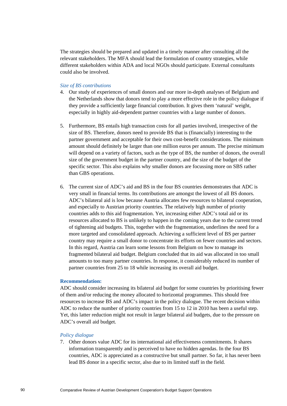The strategies should be prepared and updated in a timely manner after consulting all the relevant stakeholders. The MFA should lead the formulation of country strategies, while different stakeholders within ADA and local NGOs should participate. External consultants could also be involved.

#### *Size of BS contributions*

- 4. Our study of experiences of small donors and our more in-depth analyses of Belgium and the Netherlands show that donors tend to play a more effective role in the policy dialogue if they provide a sufficiently large financial contribution. It gives them 'natural' weight, especially in highly aid-dependent partner countries with a large number of donors.
- 5. Furthermore, BS entails high transaction costs for all parties involved, irrespective of the size of BS. Therefore, donors need to provide BS that is (financially) interesting to the partner government and acceptable for their own cost-benefit considerations. The minimum amount should definitely be larger than one million euros per annum. The precise minimum will depend on a variety of factors, such as the type of BS, the number of donors, the overall size of the government budget in the partner country, and the size of the budget of the specific sector. This also explains why smaller donors are focussing more on SBS rather than GBS operations.
- 6. The current size of ADC's aid and BS in the four BS countries demonstrates that ADC is very small in financial terms. Its contributions are amongst the lowest of all BS donors. ADC's bilateral aid is low because Austria allocates few resources to bilateral cooperation, and especially to Austrian priority countries. The relatively high number of priority countries adds to this aid fragmentation. Yet, increasing either ADC's total aid or its resources allocated to BS is unlikely to happen in the coming years due to the current trend of tightening aid budgets. This, together with the fragmentation, underlines the need for a more targeted and consolidated approach. Achieving a sufficient level of BS per partner country may require a small donor to concentrate its efforts on fewer countries and sectors. In this regard, Austria can learn some lessons from Belgium on how to manage its fragmented bilateral aid budget. Belgium concluded that its aid was allocated in too small amounts to too many partner countries. In response, it considerably reduced its number of partner countries from 25 to 18 while increasing its overall aid budget.

#### **Recommendation:**

ADC should consider increasing its bilateral aid budget for some countries by prioritising fewer of them and/or reducing the money allocated to horizontal programmes. This should free resources to increase BS and ADC's impact in the policy dialogue. The recent decision within ADC to reduce the number of priority countries from 15 to 12 in 2010 has been a useful step. Yet, this latter reduction might not result in larger bilateral aid budgets, due to the pressure on ADC's overall aid budget.

#### *Policy dialogue*

7. Other donors value ADC for its international aid effectiveness commitments. It shares information transparently and is perceived to have no hidden agendas. In the four BS countries, ADC is appreciated as a constructive but small partner. So far, it has never been lead BS donor in a specific sector, also due to its limited staff in the field.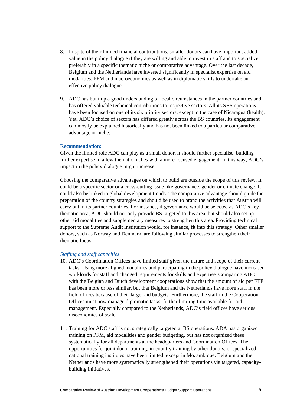- 8. In spite of their limited financial contributions, smaller donors can have important added value in the policy dialogue if they are willing and able to invest in staff and to specialize, preferably in a specific thematic niche or comparative advantage. Over the last decade, Belgium and the Netherlands have invested significantly in specialist expertise on aid modalities, PFM and macroeconomics as well as in diplomatic skills to undertake an effective policy dialogue.
- 9. ADC has built up a good understanding of local circumstances in the partner countries and has offered valuable technical contributions to respective sectors. All its SBS operations have been focused on one of its six priority sectors, except in the case of Nicaragua (health). Yet, ADC's choice of sectors has differed greatly across the BS countries. Its engagement can mostly be explained historically and has not been linked to a particular comparative advantage or niche.

# **Recommendation:**

Given the limited role ADC can play as a small donor, it should further specialise, building further expertise in a few thematic niches with a more focused engagement. In this way, ADC's impact in the policy dialogue might increase.

Choosing the comparative advantages on which to build are outside the scope of this review. It could be a specific sector or a cross-cutting issue like governance, gender or climate change. It could also be linked to global development trends. The comparative advantage should guide the preparation of the country strategies and should be used to brand the activities that Austria will carry out in its partner countries. For instance, if governance would be selected as ADC's key thematic area, ADC should not only provide BS targeted to this area, but should also set up other aid modalities and supplementary measures to strengthen this area. Providing technical support to the Supreme Audit Institution would, for instance, fit into this strategy. Other smaller donors, such as Norway and Denmark, are following similar processes to strengthen their thematic focus.

#### *Staffing and staff capacities*

- 10. ADC's Coordination Offices have limited staff given the nature and scope of their current tasks. Using more aligned modalities and participating in the policy dialogue have increased workloads for staff and changed requirements for skills and expertise. Comparing ADC with the Belgian and Dutch development cooperations show that the amount of aid per FTE has been more or less similar, but that Belgium and the Netherlands have more staff in the field offices because of their larger aid budgets. Furthermore, the staff in the Cooperation Offices must now manage diplomatic tasks, further limiting time available for aid management. Especially compared to the Netherlands, ADC's field offices have serious diseconomies of scale.
- 11. Training for ADC staff is not strategically targeted at BS operations. ADA has organized training on PFM, aid modalities and gender budgeting, but has not organized these systematically for all departments at the headquarters and Coordination Offices. The opportunities for joint donor training, in-country training by other donors, or specialized national training institutes have been limited, except in Mozambique. Belgium and the Netherlands have more systematically strengthened their operations via targeted, capacitybuilding initiatives.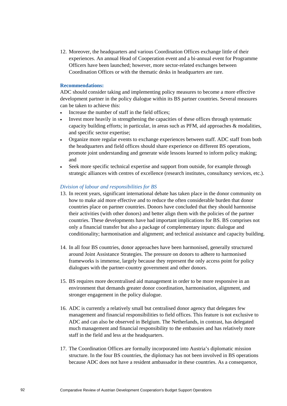12. Moreover, the headquarters and various Coordination Offices exchange little of their experiences. An annual Head of Cooperation event and a bi-annual event for Programme Officers have been launched; however, more sector-related exchanges between Coordination Offices or with the thematic desks in headquarters are rare.

### **Recommendations:**

ADC should consider taking and implementing policy measures to become a more effective development partner in the policy dialogue within its BS partner countries. Several measures can be taken to achieve this:

- Increase the number of staff in the field offices;
- Invest more heavily in strengthening the capacities of these offices through systematic capacity building efforts; in particular, in areas such as PFM, aid approaches & modalities, and specific sector expertise;
- Organize more regular events to exchange experiences between staff. ADC staff from both the headquarters and field offices should share experience on different BS operations, promote joint understanding and generate wide lessons learned to inform policy making; and
- Seek more specific technical expertise and support from outside, for example through strategic alliances with centres of excellence (research institutes, consultancy services, etc.).

# *Division of labour and responsibilities for BS*

- 13. In recent years, significant international debate has taken place in the donor community on how to make aid more effective and to reduce the often considerable burden that donor countries place on partner countries. Donors have concluded that they should harmonise their activities (with other donors) and better align them with the policies of the partner countries. These developments have had important implications for BS. BS comprises not only a financial transfer but also a package of complementary inputs: dialogue and conditionality; harmonisation and alignment; and technical assistance and capacity building.
- 14. In all four BS countries, donor approaches have been harmonised, generally structured around Joint Assistance Strategies. The pressure on donors to adhere to harmonised frameworks is immense, largely because they represent the only access point for policy dialogues with the partner-country government and other donors.
- 15. BS requires more decentralised aid management in order to be more responsive in an environment that demands greater donor coordination, harmonisation, alignment, and stronger engagement in the policy dialogue.
- 16. ADC is currently a relatively small but centralised donor agency that delegates few management and financial responsibilities to field offices. This feature is not exclusive to ADC and can also be observed in Belgium. The Netherlands, in contrast, has delegated much management and financial responsibility to the embassies and has relatively more staff in the field and less at the headquarters.
- 17. The Coordination Offices are formally incorporated into Austria's diplomatic mission structure. In the four BS countries, the diplomacy has not been involved in BS operations because ADC does not have a resident ambassador in these countries. As a consequence,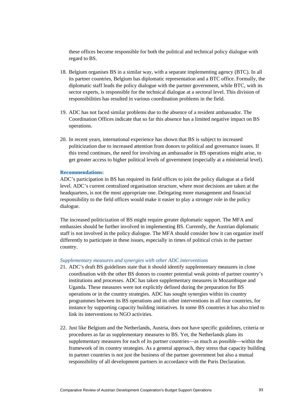these offices become responsible for both the political and technical policy dialogue with regard to BS.

- 18. Belgium organises BS in a similar way, with a separate implementing agency (BTC). In all its partner countries, Belgium has diplomatic representation and a BTC office. Formally, the diplomatic staff leads the policy dialogue with the partner government, while BTC, with its sector experts, is responsible for the technical dialogue at a sectoral level. This division of responsibilities has resulted in various coordination problems in the field.
- 19. ADC has not faced similar problems due to the absence of a resident ambassador. The Coordination Offices indicate that so far this absence has a limited negative impact on BS operations.
- 20. In recent years, international experience has shown that BS is subject to increased politicization due to increased attention from donors to political and governance issues. If this trend continues, the need for involving an ambassador in BS operations might arise, to get greater access to higher political levels of government (especially at a ministerial level).

#### **Recommendations:**

ADC's participation in BS has required its field offices to join the policy dialogue at a field level. ADC's current centralized organisation structure, where most decisions are taken at the headquarters, is not the most appropriate one. Delegating more management and financial responsibility to the field offices would make it easier to play a stronger role in the policy dialogue.

The increased politicization of BS might require greater diplomatic support. The MFA and embassies should be further involved in implementing BS. Currently, the Austrian diplomatic staff is not involved in the policy dialogue. The MFA should consider how it can organize itself differently to participate in these issues, especially in times of political crisis in the partner country.

# *Supplementary measures and synergies with other ADC interventions*

- 21. ADC's draft BS guidelines state that it should identify supplementary measures in close coordination with the other BS donors to counter potential weak points of partner country's institutions and processes. ADC has taken supplementary measures in Mozambique and Uganda. These measures were not explicitly defined during the preparation for BS operations or in the country strategies. ADC has sought synergies within its country programmes between its BS operations and its other interventions in all four countries, for instance by supporting capacity building initiatives. In some BS countries it has also tried to link its interventions to NGO activities.
- 22. Just like Belgium and the Netherlands, Austria, does not have specific guidelines, criteria or procedures as far as supplementary measures to BS. Yet, the Netherlands plans its supplementary measures for each of its partner countries—as much as possible—within the framework of its country strategies. As a general approach, they stress that capacity building in partner countries is not just the business of the partner government but also a mutual responsibility of all development partners in accordance with the Paris Declaration.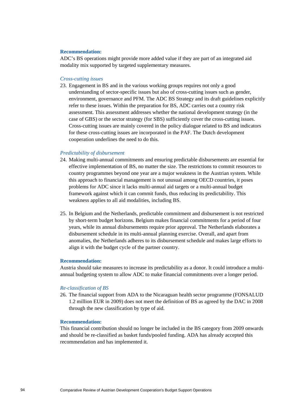#### **Recommendation:**

ADC's BS operations might provide more added value if they are part of an integrated aid modality mix supported by targeted supplementary measures.

#### *Cross-cutting issues*

23. Engagement in BS and in the various working groups requires not only a good understanding of sector-specific issues but also of cross-cutting issues such as gender, environment, governance and PFM. The ADC BS Strategy and its draft guidelines explicitly refer to these issues. Within the preparation for BS, ADC carries out a country risk assessment. This assessment addresses whether the national development strategy (in the case of GBS) or the sector strategy (for SBS) sufficiently cover the cross-cutting issues. Cross-cutting issues are mainly covered in the policy dialogue related to BS and indicators for these cross-cutting issues are incorporated in the PAF. The Dutch development cooperation underlines the need to do this.

# *Predictability of disbursement*

- 24. Making multi-annual commitments and ensuring predictable disbursements are essential for effective implementation of BS, no matter the size. The restrictions to commit resources to country programmes beyond one year are a major weakness in the Austrian system. While this approach to financial management is not unusual among OECD countries, it poses problems for ADC since it lacks multi-annual aid targets or a multi-annual budget framework against which it can commit funds, thus reducing its predictability. This weakness applies to all aid modalities, including BS.
- 25. In Belgium and the Netherlands, predictable commitment and disbursement is not restricted by short-term budget horizons. Belgium makes financial commitments for a period of four years, while its annual disbursements require prior approval. The Netherlands elaborates a disbursement schedule in its multi-annual planning exercise. Overall, and apart from anomalies, the Netherlands adheres to its disbursement schedule and makes large efforts to align it with the budget cycle of the partner country.

#### **Recommendation:**

Austria should take measures to increase its predictability as a donor. It could introduce a multiannual budgeting system to allow ADC to make financial commitments over a longer period.

#### *Re-classification of BS*

26. The financial support from ADA to the Nicaraguan health sector programme (FONSALUD 1.2 million EUR in 2009) does not meet the definition of BS as agreed by the DAC in 2008 through the new classification by type of aid.

#### **Recommendation:**

This financial contribution should no longer be included in the BS category from 2009 onwards and should be re-classified as basket funds/pooled funding. ADA has already accepted this recommendation and has implemented it.